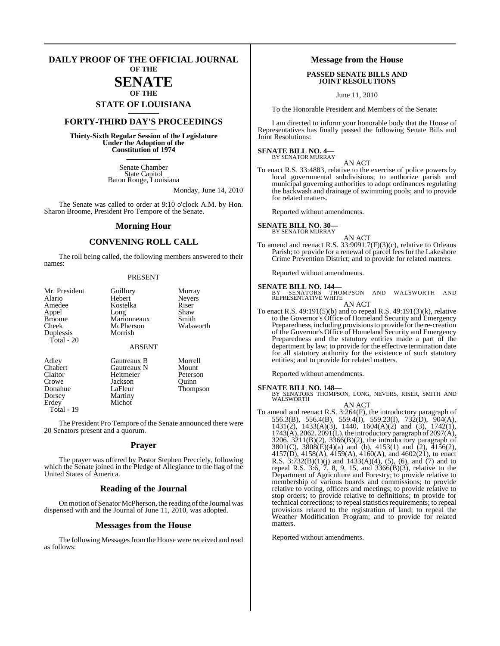### **DAILY PROOF OF THE OFFICIAL JOURNAL OF THE**

# **SENATE**

# **OF THE STATE OF LOUISIANA \_\_\_\_\_\_\_**

## **FORTY-THIRD DAY'S PROCEEDINGS \_\_\_\_\_\_\_**

**Thirty-Sixth Regular Session of the Legislature Under the Adoption of the Constitution of 1974 \_\_\_\_\_\_\_**

> Senate Chamber State Capitol Baton Rouge, Louisiana

> > Monday, June 14, 2010

The Senate was called to order at 9:10 o'clock A.M. by Hon. Sharon Broome, President Pro Tempore of the Senate.

### **Morning Hour**

### **CONVENING ROLL CALL**

The roll being called, the following members answered to their names:

### PRESENT

| Mr. President | Guillory      | Murray        |
|---------------|---------------|---------------|
| Alario        | Hebert        | <b>Nevers</b> |
| Amedee        | Kostelka      | Riser         |
| Appel         | Long          | Shaw          |
| <b>Broome</b> | Marionneaux   | Smith         |
| Cheek         | McPherson     | Walsworth     |
| Duplessis     | Morrish       |               |
| Total - 20    |               |               |
|               | <b>ABSENT</b> |               |
| Adley         | Gautreaux B   | Morrell       |
| Chabert       | Gautreaux N   | Mount         |
| Claitor       | Heitmeier     | Peterson      |
| Crowe         | Jackson       | Ouinn         |
| Donahue       | LaFleur       | Thompson      |
| Dorsey        | Martiny       |               |

Erdey Michot

Total - 19

The President Pro Tempore of the Senate announced there were 20 Senators present and a quorum.

### **Prayer**

The prayer was offered by Pastor Stephen Precciely, following which the Senate joined in the Pledge of Allegiance to the flag of the United States of America.

### **Reading of the Journal**

On motion of Senator McPherson, the reading of the Journal was dispensed with and the Journal of June 11, 2010, was adopted.

### **Messages from the House**

The following Messages from the House were received and read as follows:

### **Message from the House**

### **PASSED SENATE BILLS AND JOINT RESOLUTIONS**

June 11, 2010

To the Honorable President and Members of the Senate:

I am directed to inform your honorable body that the House of Representatives has finally passed the following Senate Bills and Joint Resolutions:

### **SENATE BILL NO. 4—** BY SENATOR MURRAY

AN ACT

To enact R.S. 33:4883, relative to the exercise of police powers by local governmental subdivisions; to authorize parish and municipal governing authorities to adopt ordinances regulating the backwash and drainage of swimming pools; and to provide for related matters.

Reported without amendments.

### **SENATE BILL NO. 30—**

BY SENATOR MURRAY

AN ACT To amend and reenact R.S. 33:9091.7(F)(3)(c), relative to Orleans Parish; to provide for a renewal of parcel fees for the Lakeshore Crime Prevention District; and to provide for related matters.

Reported without amendments.

**SENATE BILL NO. 144—**<br>BY SENATORS THOMPSON AND WALSWORTH AND<br>REPRESENTATIVE WHITE AN ACT

To enact R.S. 49:191(5)(b) and to repeal R.S. 49:191(3)(k), relative to the Governor's Office of Homeland Security and Emergency Preparedness, including provisions to provide for the re-creation of the Governor's Office of Homeland Security and Emergency Preparedness and the statutory entities made a part of the department by law; to provide for the effective termination date for all statutory authority for the existence of such statutory entities; and to provide for related matters.

Reported without amendments.

### **SENATE BILL NO. 148—**

BY SENATORS THOMPSON, LONG, NEVERS, RISER, SMITH AND WALSWORTH

AN ACT

To amend and reenact R.S. 3:264(F), the introductory paragraph of 556.3(B), 556.4(B), 559.4(I), 559.23(I), 732(D), 904(A), 1431(2), 1433(A)(3), 1440, 1604(A)(2) and (3), 1742(1), 1743(A), 2062, 2091(L), the introductory paragraph of 2097(A), 3206, 3211(B)(2), 3366(B)(2), the introductory paragraph of 3801(C), 3808(E)(4)(a) and (b), 4153(1) and (2), 4156(2), 4157(D), 4158(A), 4159(A), 4160(A), and 4602(21), to enact R.S.  $3:732(B)(1)(j)$  and  $1433(A)(4)$ , (5), (6), and (7) and to repeal R.S. 3:6, 7, 8, 9, 15, and 3366(B)(3), relative to the Department of Agriculture and Forestry; to provide relative to membership of various boards and commissions; to provide relative to voting, officers and meetings; to provide relative to stop orders; to provide relative to definitions; to provide for technical corrections; to repeal statistics requirements; to repeal provisions related to the registration of land; to repeal the Weather Modification Program; and to provide for related matters.

Reported without amendments.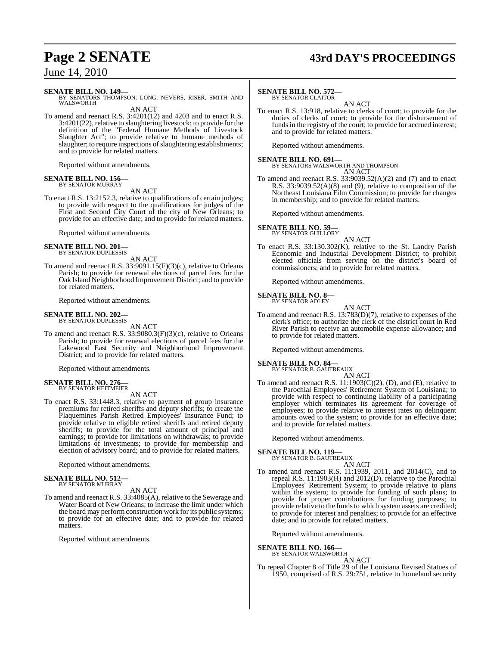# **Page 2 SENATE 43rd DAY'S PROCEEDINGS**

## June 14, 2010

### **SENATE BILL NO. 149—**

BY SENATORS THOMPSON, LONG, NEVERS, RISER, SMITH AND WALSWORTH AN ACT

To amend and reenact R.S. 3:4201(12) and 4203 and to enact R.S. 3:4201(22), relative to slaughtering livestock; to provide for the definition of the "Federal Humane Methods of Livestock Slaughter Act"; to provide relative to humane methods of slaughter; to require inspections of slaughtering establishments; and to provide for related matters.

Reported without amendments.

### **SENATE BILL NO. 156—** BY SENATOR MURRAY

## AN ACT

To enact R.S. 13:2152.3, relative to qualifications of certain judges; to provide with respect to the qualifications for judges of the First and Second City Court of the city of New Orleans; to provide for an effective date; and to provide for related matters.

Reported without amendments.

### **SENATE BILL NO. 201—** BY SENATOR DUPLESSIS

AN ACT

To amend and reenact R.S. 33:9091.15(F)(3)(c), relative to Orleans Parish; to provide for renewal elections of parcel fees for the Oak Island Neighborhood Improvement District; and to provide for related matters.

Reported without amendments.

### **SENATE BILL NO. 202—** BY SENATOR DUPLESSIS

AN ACT

To amend and reenact R.S. 33:9080.3(F)(3)(c), relative to Orleans Parish; to provide for renewal elections of parcel fees for the Lakewood East Security and Neighborhood Improvement District; and to provide for related matters.

Reported without amendments.

### **SENATE BILL NO. 276—** BY SENATOR HEITMEIER

AN ACT

To enact R.S. 33:1448.3, relative to payment of group insurance premiums for retired sheriffs and deputy sheriffs; to create the Plaquemines Parish Retired Employees' Insurance Fund; to provide relative to eligible retired sheriffs and retired deputy sheriffs; to provide for the total amount of principal and earnings; to provide for limitations on withdrawals; to provide limitations of investments; to provide for membership and election of advisory board; and to provide for related matters.

Reported without amendments.

### **SENATE BILL NO. 512—** BY SENATOR MURRAY

### AN ACT

To amend and reenact R.S. 33:4085(A), relative to the Sewerage and Water Board of New Orleans; to increase the limit under which the board may perform construction work for its public systems; to provide for an effective date; and to provide for related matters.

Reported without amendments.

### **SENATE BILL NO. 572—**

BY SENATOR CLAITOR AN ACT

To enact R.S. 13:918, relative to clerks of court; to provide for the duties of clerks of court; to provide for the disbursement of funds in the registry of the court; to provide for accrued interest; and to provide for related matters.

Reported without amendments.

# **SENATE BILL NO. 691—** BY SENATORS WALSWORTH AND THOMPSON

AN ACT

To amend and reenact R.S. 33:9039.52(A)(2) and (7) and to enact R.S. 33:9039.52(A)(8) and (9), relative to composition of the Northeast Louisiana Film Commission; to provide for changes in membership; and to provide for related matters.

Reported without amendments.

### **SENATE BILL NO. 59—** BY SENATOR GUILLORY

AN ACT

To enact R.S. 33:130.302(K), relative to the St. Landry Parish Economic and Industrial Development District; to prohibit elected officials from serving on the district's board of commissioners; and to provide for related matters.

Reported without amendments.

### **SENATE BILL NO. 8—** BY SENATOR ADLEY

AN ACT

To amend and reenact R.S. 13:783(D)(7), relative to expenses of the clerk's office; to authorize the clerk of the district court in Red River Parish to receive an automobile expense allowance; and to provide for related matters.

Reported without amendments.

### **SENATE BILL NO. 84—**

BY SENATOR B. GAUTREAUX AN ACT

To amend and reenact R.S. 11:1903(C)(2), (D), and (E), relative to the Parochial Employees' Retirement System of Louisiana; to provide with respect to continuing liability of a participating employer which terminates its agreement for coverage of employees; to provide relative to interest rates on delinquent amounts owed to the system; to provide for an effective date; and to provide for related matters.

Reported without amendments.

### **SENATE BILL NO. 119—**

BY SENATOR B. GAUTREAUX AN ACT

To amend and reenact R.S. 11:1939, 2011, and 2014(C), and to repeal R.S. 11:1903(H) and 2012(D), relative to the Parochial Employees' Retirement System; to provide relative to plans within the system; to provide for funding of such plans; to provide for proper contributions for funding purposes; to provide relative to the funds to which system assets are credited; to provide for interest and penalties; to provide for an effective date; and to provide for related matters.

Reported without amendments.

# **SENATE BILL NO. 166—** BY SENATOR WALSWORTH

AN ACT

To repeal Chapter 8 of Title 29 of the Louisiana Revised Statues of 1950, comprised of R.S. 29:751, relative to homeland security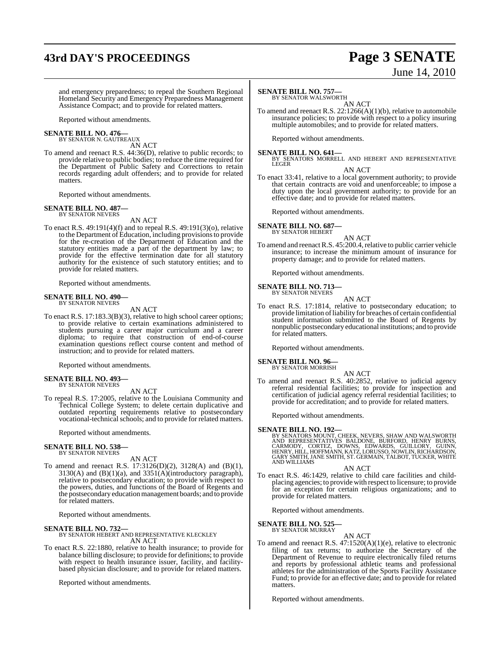# **43rd DAY'S PROCEEDINGS Page 3 SENATE**

# June 14, 2010

and emergency preparedness; to repeal the Southern Regional Homeland Security and Emergency Preparedness Management Assistance Compact; and to provide for related matters.

Reported without amendments.

### **SENATE BILL NO. 476—** BY SENATOR N. GAUTREAUX

AN ACT

To amend and reenact R.S. 44:36(D), relative to public records; to provide relative to public bodies; to reduce the time required for the Department of Public Safety and Corrections to retain records regarding adult offenders; and to provide for related matters.

Reported without amendments.

### **SENATE BILL NO. 487—** BY SENATOR NEVERS

AN ACT

To enact R.S. 49:191(4)(f) and to repeal R.S. 49:191(3)(o), relative to the Department of Education, including provisionsto provide for the re-creation of the Department of Education and the statutory entities made a part of the department by law; to provide for the effective termination date for all statutory authority for the existence of such statutory entities; and to provide for related matters.

Reported without amendments.

### **SENATE BILL NO. 490—** BY SENATOR NEVERS

AN ACT

To enact R.S. 17:183.3(B)(3), relative to high school career options; to provide relative to certain examinations administered to students pursuing a career major curriculum and a career diploma; to require that construction of end-of-course examination questions reflect course content and method of instruction; and to provide for related matters.

Reported without amendments.

### **SENATE BILL NO. 493—** BY SENATOR NEVERS

AN ACT

To repeal R.S. 17:2005, relative to the Louisiana Community and Technical College System; to delete certain duplicative and outdated reporting requirements relative to postsecondary vocational-technical schools; and to provide for related matters.

Reported without amendments.

### **SENATE BILL NO. 538—** BY SENATOR NEVERS

AN ACT

To amend and reenact R.S. 17:3126(D)(2), 3128(A) and (B)(1), 3130(A) and (B)(1)(a), and 3351(A)(introductory paragraph), relative to postsecondary education; to provide with respect to the powers, duties, and functions of the Board of Regents and the postsecondary education management boards; and to provide for related matters.

Reported without amendments.

### **SENATE BILL NO. 732—**

BY SENATOR HEBERT AND REPRESENTATIVE KLECKLEY AN ACT

To enact R.S. 22:1880, relative to health insurance; to provide for balance billing disclosure; to provide for definitions; to provide with respect to health insurance issuer, facility, and facilitybased physician disclosure; and to provide for related matters.

Reported without amendments.

### **SENATE BILL NO. 757—**

BY SENATOR WALSWORTH

AN ACT To amend and reenact R.S. 22:1266(A)(1)(b), relative to automobile insurance policies; to provide with respect to a policy insuring multiple automobiles; and to provide for related matters.

Reported without amendments.

**SENATE BILL NO. 641—**

BY SENATORS MORRELL AND HEBERT AND REPRESENTATIVE **LEGER** 

AN ACT

To enact 33:41, relative to a local government authority; to provide that certain contracts are void and unenforceable; to impose a duty upon the local government authority; to provide for an effective date; and to provide for related matters.

Reported without amendments.

**SENATE BILL NO. 687** 

BY SENATOR HEBERT AN ACT

To amend and reenact R.S. 45:200.4, relative to public carrier vehicle insurance; to increase the minimum amount of insurance for property damage; and to provide for related matters.

Reported without amendments.

**SENATE BILL NO. 713—** BY SENATOR NEVERS

AN ACT

To enact R.S. 17:1814, relative to postsecondary education; to provide limitation ofliability for breaches of certain confidential student information submitted to the Board of Regents by nonpublic postsecondary educational institutions; and to provide for related matters.

Reported without amendments.

### **SENATE BILL NO. 96—** BY SENATOR MORRISH

AN ACT

To amend and reenact R.S. 40:2852, relative to judicial agency referral residential facilities; to provide for inspection and certification of judicial agency referral residential facilities; to provide for accreditation; and to provide for related matters.

Reported without amendments.

**SENATE BILL NO. 192—**<br>BY SENATORS MOUNT, CHEEK, NEVERS, SHAW AND WALSWORTH<br>AND REPRESENTATIVES BALDONE, BURFORD, HENRY BURNS,<br>CARMODY, CORTEZ, DOWNS, EDWARDS, GUILLORY, GUINN,<br>HENRY, HILL, HOFFMANN, KATZ, LORUSSO, NOWLIN, AND WILLIAMS

### AN ACT

To enact R.S. 46:1429, relative to child care facilities and childplacing agencies; to provide with respect to licensure; to provide for an exception for certain religious organizations; and to provide for related matters.

Reported without amendments.

# **SENATE BILL NO. 525—** BY SENATOR MURRAY

AN ACT

To amend and reenact R.S. 47:1520(A)(1)(e), relative to electronic filing of tax returns; to authorize the Secretary of the Department of Revenue to require electronically filed returns and reports by professional athletic teams and professional athletes for the administration of the Sports Facility Assistance Fund; to provide for an effective date; and to provide for related matters.

Reported without amendments.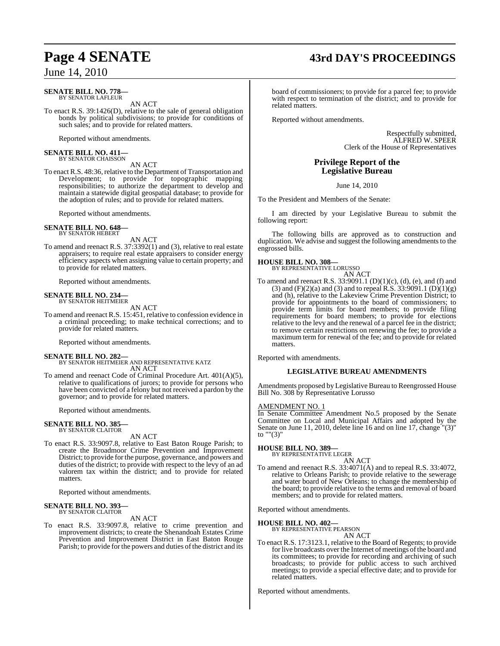# **Page 4 SENATE 43rd DAY'S PROCEEDINGS**

June 14, 2010

### **SENATE BILL NO. 778—** BY SENATOR LAFLEUR

AN ACT

To enact R.S. 39:1426(D), relative to the sale of general obligation bonds by political subdivisions; to provide for conditions of such sales; and to provide for related matters.

Reported without amendments.

### **SENATE BILL NO. 411—** BY SENATOR CHAISSON

### AN ACT

To enact R.S. 48:36, relative to the Department of Transportation and Development; to provide for topographic mapping responsibilities; to authorize the department to develop and maintain a statewide digital geospatial database; to provide for the adoption of rules; and to provide for related matters.

Reported without amendments.

### **SENATE BILL NO. 648—** BY SENATOR HEBERT

AN ACT

To amend and reenact R.S. 37:3392(1) and (3), relative to real estate appraisers; to require real estate appraisers to consider energy efficiency aspects when assigning value to certain property; and to provide for related matters.

Reported without amendments.

# **SENATE BILL NO. 234—** BY SENATOR HEITMEIER

AN ACT To amend and reenact R.S. 15:451, relative to confession evidence in a criminal proceeding; to make technical corrections; and to provide for related matters.

Reported without amendments.

**SENATE BILL NO. 282—** BY SENATOR HEITMEIER AND REPRESENTATIVE KATZ AN ACT

To amend and reenact Code of Criminal Procedure Art. 401(A)(5), relative to qualifications of jurors; to provide for persons who have been convicted of a felony but not received a pardon by the governor; and to provide for related matters.

Reported without amendments.

### **SENATE BILL NO. 385—** BY SENATOR CLAITOR

AN ACT

To enact R.S. 33:9097.8, relative to East Baton Rouge Parish; to create the Broadmoor Crime Prevention and Improvement District; to provide for the purpose, governance, and powers and duties of the district; to provide with respect to the levy of an ad valorem tax within the district; and to provide for related matters.

Reported without amendments.

### **SENATE BILL NO. 393—** BY SENATOR CLAITOR

AN ACT

To enact R.S. 33:9097.8, relative to crime prevention and improvement districts; to create the Shenandoah Estates Crime Prevention and Improvement District in East Baton Rouge Parish; to provide for the powers and duties of the district and its

board of commissioners; to provide for a parcel fee; to provide with respect to termination of the district; and to provide for related matters.

Reported without amendments.

Respectfully submitted, ALFRED W. SPEER Clerk of the House of Representatives

## **Privilege Report of the Legislative Bureau**

June 14, 2010

To the President and Members of the Senate:

I am directed by your Legislative Bureau to submit the following report:

The following bills are approved as to construction and duplication. We advise and suggest the following amendments to the engrossed bills.

### **HOUSE BILL NO. 308— BY REPRES**

| SENTATIVE LORUSSO |        |
|-------------------|--------|
|                   | AN ACT |

To amend and reenact R.S.  $33:9091.1$  (D)(1)(c), (d), (e), and (f) and (3) and  $(F)(2)(a)$  and (3) and to repeal R.S. 33:9091.1  $(D)(1)(g)$ and (h), relative to the Lakeview Crime Prevention District; to provide for appointments to the board of commissioners; to provide term limits for board members; to provide filing requirements for board members; to provide for elections relative to the levy and the renewal of a parcel fee in the district; to remove certain restrictions on renewing the fee; to provide a maximum term for renewal of the fee; and to provide for related matters.

Reported with amendments.

### **LEGISLATIVE BUREAU AMENDMENTS**

Amendments proposed by Legislative Bureau to Reengrossed House Bill No. 308 by Representative Lorusso

### AMENDMENT NO. 1

In Senate Committee Amendment No.5 proposed by the Senate Committee on Local and Municipal Affairs and adopted by the Senate on June 11, 2010, delete line 16 and on line 17, change "(3)" to ""(3)"

### **HOUSE BILL NO. 389—**

BY REPRESENTATIVE LEGER

AN ACT To amend and reenact R.S. 33:4071(A) and to repeal R.S. 33:4072, relative to Orleans Parish; to provide relative to the sewerage and water board of New Orleans; to change the membership of the board; to provide relative to the terms and removal of board members; and to provide for related matters.

Reported without amendments.

### **HOUSE BILL NO. 402—**

BY REPRESENTATIVE PEARSON AN ACT

To enact R.S. 17:3123.1, relative to the Board of Regents; to provide for live broadcasts over the Internet of meetings of the board and its committees; to provide for recording and archiving of such broadcasts; to provide for public access to such archived meetings; to provide a special effective date; and to provide for related matters.

Reported without amendments.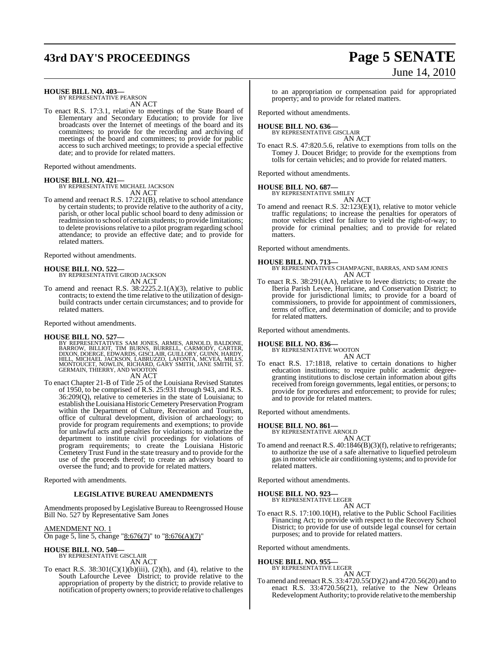# **43rd DAY'S PROCEEDINGS Page 5 SENATE**

# June 14, 2010

### **HOUSE BILL NO. 403—**

BY REPRESENTATIVE PEARSON AN ACT

To enact R.S. 17:3.1, relative to meetings of the State Board of Elementary and Secondary Education; to provide for live broadcasts over the Internet of meetings of the board and its committees; to provide for the recording and archiving of meetings of the board and committees; to provide for public access to such archived meetings; to provide a special effective date; and to provide for related matters.

Reported without amendments.

### **HOUSE BILL NO. 421—**

BY REPRESENTATIVE MICHAEL JACKSON

AN ACT

To amend and reenact R.S. 17:221(B), relative to school attendance by certain students; to provide relative to the authority of a city, parish, or other local public school board to deny admission or readmission to school of certain students; to provide limitations; to delete provisions relative to a pilot program regarding school attendance; to provide an effective date; and to provide for related matters.

Reported without amendments.

### **HOUSE BILL NO. 522—**

BY REPRESENTATIVE GIROD JACKSON AN ACT

To amend and reenact R.S. 38:2225.2.1(A)(3), relative to public contracts; to extend the time relative to the utilization of designbuild contracts under certain circumstances; and to provide for related matters.

Reported without amendments.

### **HOUSE BILL NO. 527—**

BY REPRESENTATIVES SAM JONES, ARMES, ARNOLD, BALDONE,<br>BARROW, BILLIOT, TIM BURNS, BURRELL, CARMODY, CARTER,<br>DIXON,DOERGE, EDWARDS, GISCLAIR, GUILLORY, GUINN, HARDY,<br>HILL, MICHAEL JACKSON, LABRUZZO, LAFONTA, MCVEA, MILLS,<br>M GERMAIN, THIERRY, AND WOOTON

AN ACT

To enact Chapter 21-B of Title 25 of the Louisiana Revised Statutes of 1950, to be comprised of R.S. 25:931 through 943, and R.S. 36:209(Q), relative to cemeteries in the state of Louisiana; to establish the Louisiana Historic Cemetery Preservation Program within the Department of Culture, Recreation and Tourism, office of cultural development, division of archaeology; to provide for program requirements and exemptions; to provide for unlawful acts and penalties for violations; to authorize the department to institute civil proceedings for violations of program requirements; to create the Louisiana Historic Cemetery Trust Fund in the state treasury and to provide for the use of the proceeds thereof; to create an advisory board to oversee the fund; and to provide for related matters.

Reported with amendments.

### **LEGISLATIVE BUREAU AMENDMENTS**

Amendments proposed by Legislative Bureau to Reengrossed House Bill No. 527 by Representative Sam Jones

AMENDMENT NO. 1 On page 5, line 5, change "8:676(7)" to "8:676(A)(7)"

### **HOUSE BILL NO. 540—** BY REPRESENTATIVE GISCLAIR

AN ACT To enact R.S.  $38:301(C)(1)(b)(iii)$ ,  $(2)(h)$ , and  $(4)$ , relative to the South Lafourche Levee District; to provide relative to the appropriation of property by the district; to provide relative to notification of property owners; to provide relative to challenges

to an appropriation or compensation paid for appropriated property; and to provide for related matters.

Reported without amendments.

### **HOUSE BILL NO. 636—** BY REPRESENTATIVE GISCLAIR

AN ACT

To enact R.S. 47:820.5.6, relative to exemptions from tolls on the Tomey J. Doucet Bridge; to provide for the exemptions from tolls for certain vehicles; and to provide for related matters.

Reported without amendments.

## **HOUSE BILL NO. 687—**

BY REPRESENTATIVE SMILEY AN ACT

To amend and reenact R.S. 32:123(E)(1), relative to motor vehicle traffic regulations; to increase the penalties for operators of motor vehicles cited for failure to yield the right-of-way; to provide for criminal penalties; and to provide for related matters.

Reported without amendments.

### **HOUSE BILL NO. 713—**

BY REPRESENTATIVES CHAMPAGNE, BARRAS, AND SAM JONES AN ACT

To enact R.S. 38:291(AA), relative to levee districts; to create the Iberia Parish Levee, Hurricane, and Conservation District; to provide for jurisdictional limits; to provide for a board of commissioners, to provide for appointment of commissioners, terms of office, and determination of domicile; and to provide for related matters.

Reported without amendments.

# **HOUSE BILL NO. 836—** BY REPRESENTATIVE WOOTON

AN ACT

To enact R.S. 17:1818, relative to certain donations to higher education institutions; to require public academic degreegranting institutions to disclose certain information about gifts received from foreign governments, legal entities, or persons; to provide for procedures and enforcement; to provide for rules; and to provide for related matters.

Reported without amendments.

### **HOUSE BILL NO. 861—**

BY REPRESENTATIVE ARNOLD

AN ACT To amend and reenact R.S. 40:1846(B)(3)(f), relative to refrigerants; to authorize the use of a safe alternative to liquefied petroleum gasin motor vehicle air conditioning systems; and to provide for related matters.

Reported without amendments.

# **HOUSE BILL NO. 923—** BY REPRESENTATIVE LEGER

AN ACT

To enact R.S. 17:100.10(H), relative to the Public School Facilities Financing Act; to provide with respect to the Recovery School District; to provide for use of outside legal counsel for certain purposes; and to provide for related matters.

Reported without amendments.

### **HOUSE BILL NO. 955—**

BY REPRESENTATIVE LEGER AN ACT

To amend and reenactR.S. 33:4720.55(D)(2) and 4720.56(20) and to enact R.S. 33:4720.56(21), relative to the New Orleans Redevelopment Authority; to provide relative to the membership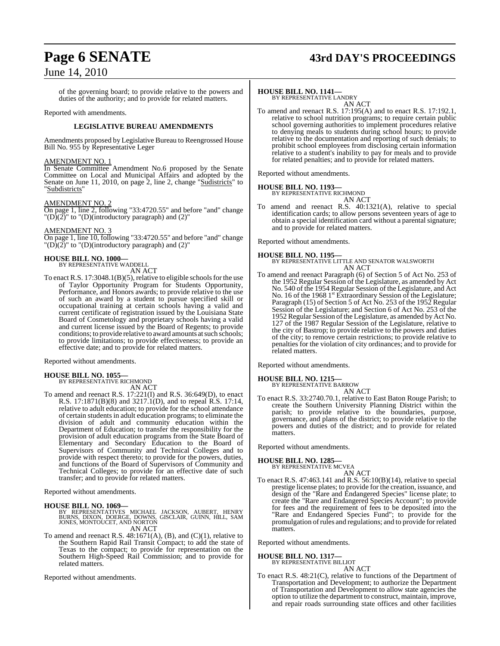# **Page 6 SENATE 43rd DAY'S PROCEEDINGS**

## June 14, 2010

of the governing board; to provide relative to the powers and duties of the authority; and to provide for related matters.

Reported with amendments.

### **LEGISLATIVE BUREAU AMENDMENTS**

Amendments proposed by Legislative Bureau to Reengrossed House Bill No. 955 by Representative Leger

### AMENDMENT NO. 1

In Senate Committee Amendment No.6 proposed by the Senate Committee on Local and Municipal Affairs and adopted by the Senate on June 11, 2010, on page 2, line 2, change "Sudistricts" to "Subdistricts"

### AMENDMENT NO. 2

On page 1, line 2, following "33:4720.55" and before "and" change  $T(D)(2)$ " to  $T(D)(introductory paragraph)$  and  $(2)$ "

### AMENDMENT NO. 3

On page 1, line 10, following "33:4720.55" and before "and" change  $T(D)(2)$ " to  $T(D)$ (introductory paragraph) and (2)"

### **HOUSE BILL NO. 1000—**

BY REPRESENTATIVE WADDELL AN ACT

To enact R.S.  $17:3048.1(B)(5)$ , relative to eligible schools for the use of Taylor Opportunity Program for Students Opportunity, Performance, and Honors awards; to provide relative to the use of such an award by a student to pursue specified skill or occupational training at certain schools having a valid and current certificate of registration issued by the Louisiana State Board of Cosmetology and proprietary schools having a valid and current license issued by the Board of Regents; to provide conditions; to provide relative to award amounts atsuch schools; to provide limitations; to provide effectiveness; to provide an effective date; and to provide for related matters.

Reported without amendments.

# **HOUSE BILL NO. 1055—** BY REPRESENTATIVE RICHMOND

AN ACT

To amend and reenact R.S. 17:221(I) and R.S. 36:649(D), to enact R.S. 17:1871(B)(8) and 3217.1(D), and to repeal R.S. 17:14, relative to adult education; to provide for the school attendance of certain students in adult education programs; to eliminate the division of adult and community education within the Department of Education; to transfer the responsibility for the provision of adult education programs from the State Board of Elementary and Secondary Education to the Board of Supervisors of Community and Technical Colleges and to provide with respect thereto; to provide for the powers, duties, and functions of the Board of Supervisors of Community and Technical Colleges; to provide for an effective date of such transfer; and to provide for related matters.

Reported without amendments.

**HOUSE BILL NO. 1069—** BY REPRESENTATIVES MICHAEL JACKSON, AUBERT, HENRY BURNS, DIXON, DOERGE, DOWNS, GISCLAIR, GUINN, HILL, SAM JONES, MONTOUCET, AND NORTON AN ACT

To amend and reenact R.S. 48:1671(A), (B), and (C)(1), relative to the Southern Rapid Rail Transit Compact; to add the state of Texas to the compact; to provide for representation on the Southern High-Speed Rail Commission; and to provide for related matters.

Reported without amendments.

### **HOUSE BILL NO. 1141—**

BY REPRESENTATIVE LANDRY AN ACT

To amend and reenact R.S. 17:195(A) and to enact R.S. 17:192.1, relative to school nutrition programs; to require certain public school governing authorities to implement procedures relative to denying meals to students during school hours; to provide relative to the documentation and reporting of such denials; to prohibit school employees from disclosing certain information relative to a student's inability to pay for meals and to provide for related penalties; and to provide for related matters.

Reported without amendments.

### **HOUSE BILL NO. 1193—** BY REPRESENTATIVE RICHMOND

AN ACT

To amend and reenact R.S. 40:1321(A), relative to special identification cards; to allow persons seventeen years of age to obtain a special identification card without a parental signature; and to provide for related matters.

Reported without amendments.

**HOUSE BILL NO. 1195—** BY REPRESENTATIVE LITTLE AND SENATOR WALSWORTH AN ACT

To amend and reenact Paragraph (6) of Section 5 of Act No. 253 of the 1952 Regular Session of the Legislature, as amended by Act No. 540 of the 1954 Regular Session of the Legislature, and Act No. 16 of the 1968 1<sup>st</sup> Extraordinary Session of the Legislature; Paragraph (15) of Section 5 of Act No. 253 of the 1952 Regular Session of the Legislature; and Section 6 of Act No. 253 of the 1952 Regular Session ofthe Legislature, as amended by Act No. 127 of the 1987 Regular Session of the Legislature, relative to the city of Bastrop; to provide relative to the powers and duties of the city; to remove certain restrictions; to provide relative to penalties for the violation of city ordinances; and to provide for related matters.

Reported without amendments.

### **HOUSE BILL NO. 1215—**

BY REPRESENTATIVE BARROW

AN ACT To enact R.S. 33:2740.70.1, relative to East Baton Rouge Parish; to create the Southern University Planning District within the parish; to provide relative to the boundaries, purpose, governance, and plans of the district; to provide relative to the powers and duties of the district; and to provide for related matters.

Reported without amendments.

### **HOUSE BILL NO. 1285—**

BY REPRESENTATIVE MCVEA

AN ACT To enact R.S. 47:463.141 and R.S. 56:10(B)(14), relative to special prestige license plates; to provide for the creation, issuance, and design of the "Rare and Endangered Species" license plate; to create the "Rare and Endangered Species Account"; to provide for fees and the requirement of fees to be deposited into the "Rare and Endangered Species Fund"; to provide for the promulgation ofrules and regulations; and to provide for related matters.

Reported without amendments.

# **HOUSE BILL NO. 1317—** BY REPRESENTATIVE BILLIOT

AN ACT

To enact R.S. 48:21(C), relative to functions of the Department of Transportation and Development; to authorize the Department of Transportation and Development to allow state agencies the option to utilize the department to construct, maintain, improve, and repair roads surrounding state offices and other facilities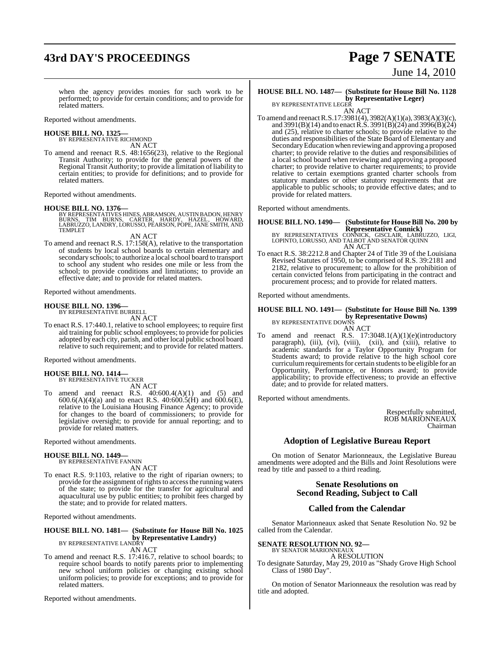# **43rd DAY'S PROCEEDINGS Page 7 SENATE**

# June 14, 2010

when the agency provides monies for such work to be performed; to provide for certain conditions; and to provide for related matters.

Reported without amendments.

### **HOUSE BILL NO. 1325—** BY REPRESENTATIVE RICHMOND

AN ACT

To amend and reenact R.S. 48:1656(23), relative to the Regional Transit Authority; to provide for the general powers of the Regional Transit Authority; to provide a limitation of liability to certain entities; to provide for definitions; and to provide for related matters.

Reported without amendments.

### **HOUSE BILL NO. 1376—**

BY REPRESENTATIVES HINES, ABRAMSON, AUSTIN BADON, HENRY<br>BURNS, TIM BURNS, CARTER, HARDY, HAZEL, HOWARD,<br>LABRUZZO, LANDRY, LORUSSO, PEARSON, POPE, JANE SMITH, AND<br>TEMPLET

AN ACT

To amend and reenact R.S. 17:158(A), relative to the transportation of students by local school boards to certain elementary and secondary schools; to authorize a local school board to transport to school any student who resides one mile or less from the school; to provide conditions and limitations; to provide an effective date; and to provide for related matters.

Reported without amendments.

# **HOUSE BILL NO. 1396—** BY REPRESENTATIVE BURRELL

AN ACT

To enact R.S. 17:440.1, relative to school employees; to require first aid training for public school employees; to provide for policies adopted by each city, parish, and other local public school board relative to such requirement; and to provide for related matters.

Reported without amendments.

# **HOUSE BILL NO. 1414—** BY REPRESENTATIVE TUCKER

AN ACT

To amend and reenact R.S. 40:600.4(A)(1) and (5) and 600.6(A)(4)(a) and to enact R.S. 40:600.5(H) and 600.6(E), relative to the Louisiana Housing Finance Agency; to provide for changes to the board of commissioners; to provide for legislative oversight; to provide for annual reporting; and to provide for related matters.

Reported without amendments.

### **HOUSE BILL NO. 1449—** BY REPRESENTATIVE FANNIN

AN ACT

To enact R.S. 9:1103, relative to the right of riparian owners; to provide for the assignment of rights to access the running waters of the state; to provide for the transfer for agricultural and aquacultural use by public entities; to prohibit fees charged by the state; and to provide for related matters.

Reported without amendments.

## **HOUSE BILL NO. 1481— (Substitute for House Bill No. 1025 by Representative Landry)**<br>BY REPRESENTATIVE LANDRY

AN ACT

To amend and reenact R.S. 17:416.7, relative to school boards; to require school boards to notify parents prior to implementing new school uniform policies or changing existing school uniform policies; to provide for exceptions; and to provide for related matters.

Reported without amendments.

### **HOUSE BILL NO. 1487— (Substitute for House Bill No. 1128 by Representative Leger)** BY REPRESENTATIVE LEGER

AN ACT

To amend and reenactR.S.17:3981(4), 3982(A)(1)(a), 3983(A)(3)(c), and 3991(B)(14) and to enact R.S. 3991(B)(24) and 3996(B)(24) and (25), relative to charter schools; to provide relative to the duties and responsibilities of the State Board of Elementary and Secondary Education when reviewing and approving a proposed charter; to provide relative to the duties and responsibilities of a local school board when reviewing and approving a proposed charter; to provide relative to charter requirements; to provide relative to certain exemptions granted charter schools from statutory mandates or other statutory requirements that are applicable to public schools; to provide effective dates; and to provide for related matters.

Reported without amendments.

# **HOUSE BILL NO. 1490— (Substitute for HouseBill No. 200 by**

**Representative Connick)**<br>BY REPRESENTATIVES CONNICK, GISCLAIR, LABRUZZO, LIGI,<br>LOPINTO, LORUSSO, AND TALBOT AND SENATOR QUINN AN ACT

To enact R.S. 38:2212.8 and Chapter 24 of Title 39 of the Louisiana Revised Statutes of 1950, to be comprised of R.S. 39:2181 and 2182, relative to procurement; to allow for the prohibition of certain convicted felons from participating in the contract and procurement process; and to provide for related matters.

Reported without amendments.

## **HOUSE BILL NO. 1491— (Substitute for House Bill No. 1399 by Representative Downs)** BY REPRESENTATIVE DOWNS

AN ACT

To amend and reenact R.S. 17:3048.1(A)(1)(e)(introductory paragraph), (iii), (vi), (viii), (xiii), and (xiii), relative to academic standards for a Taylor Opportunity Program for Students award; to provide relative to the high school core curriculum requirements for certain students to be eligible for an Opportunity, Performance, or Honors award; to provide applicability; to provide effectiveness; to provide an effective date; and to provide for related matters.

Reported without amendments.

Respectfully submitted, ROB MARIONNEAUX Chairman

### **Adoption of Legislative Bureau Report**

On motion of Senator Marionneaux, the Legislative Bureau amendments were adopted and the Bills and Joint Resolutions were read by title and passed to a third reading.

### **Senate Resolutions on Second Reading, Subject to Call**

## **Called from the Calendar**

Senator Marionneaux asked that Senate Resolution No. 92 be called from the Calendar.

### **SENATE RESOLUTION NO. 92—**

BY SENATOR MARIONNEAUX A RESOLUTION

To designate Saturday, May 29, 2010 as "Shady Grove High School Class of 1980 Day".

On motion of Senator Marionneaux the resolution was read by title and adopted.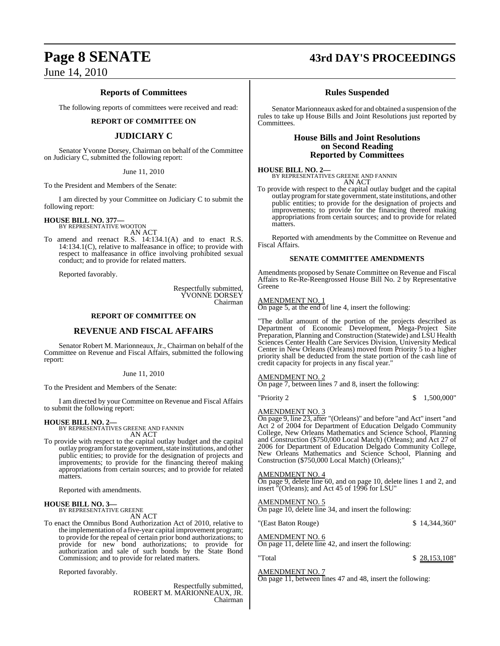### **Reports of Committees**

The following reports of committees were received and read:

### **REPORT OF COMMITTEE ON**

### **JUDICIARY C**

Senator Yvonne Dorsey, Chairman on behalf of the Committee on Judiciary C, submitted the following report:

### June 11, 2010

To the President and Members of the Senate:

I am directed by your Committee on Judiciary C to submit the following report:

# **HOUSE BILL NO. 377—** BY REPRESENTATIVE WOOTON

AN ACT

To amend and reenact R.S. 14:134.1(A) and to enact R.S. 14:134.1(C), relative to malfeasance in office; to provide with respect to malfeasance in office involving prohibited sexual conduct; and to provide for related matters.

Reported favorably.

Respectfully submitted, YVONNE DORSEY Chairman

### **REPORT OF COMMITTEE ON**

### **REVENUE AND FISCAL AFFAIRS**

Senator Robert M. Marionneaux, Jr., Chairman on behalf of the Committee on Revenue and Fiscal Affairs, submitted the following report:

### June 11, 2010

To the President and Members of the Senate:

I am directed by your Committee on Revenue and Fiscal Affairs to submit the following report:

**HOUSE BILL NO. 2—** BY REPRESENTATIVES GREENE AND FANNIN AN ACT

To provide with respect to the capital outlay budget and the capital outlay program for state government, state institutions, and other public entities; to provide for the designation of projects and improvements; to provide for the financing thereof making appropriations from certain sources; and to provide for related matters.

Reported with amendments.

# **HOUSE BILL NO. 3—** BY REPRESENTATIVE GREENE

AN ACT

To enact the Omnibus Bond Authorization Act of 2010, relative to the implementation of a five-year capital improvement program; to provide for the repeal of certain prior bond authorizations; to provide for new bond authorizations; to provide for authorization and sale of such bonds by the State Bond Commission; and to provide for related matters.

Reported favorably.

Respectfully submitted, ROBERT M. MARIONNEAUX, JR. Chairman

# **Page 8 SENATE 43rd DAY'S PROCEEDINGS**

### **Rules Suspended**

Senator Marionneaux asked for and obtained a suspension of the rules to take up House Bills and Joint Resolutions just reported by Committees.

### **House Bills and Joint Resolutions on Second Reading Reported by Committees**

### **HOUSE BILL NO. 2—**

BY REPRESENTATIVES GREENE AND FANNIN AN ACT

To provide with respect to the capital outlay budget and the capital outlay programforstate government,state institutions, and other public entities; to provide for the designation of projects and improvements; to provide for the financing thereof making appropriations from certain sources; and to provide for related matters.

Reported with amendments by the Committee on Revenue and Fiscal Affairs.

### **SENATE COMMITTEE AMENDMENTS**

Amendments proposed by Senate Committee on Revenue and Fiscal Affairs to Re-Re-Reengrossed House Bill No. 2 by Representative Greene

### AMENDMENT NO. 1

On page 5, at the end of line 4, insert the following:

"The dollar amount of the portion of the projects described as Department of Economic Development, Mega-Project Site Preparation, Planning and Construction (Statewide) and LSU Health Sciences Center Health Care Services Division, University Medical Center in New Orleans (Orleans) moved from Priority 5 to a higher priority shall be deducted from the state portion of the cash line of credit capacity for projects in any fiscal year."

### AMENDMENT NO. 2

On page 7, between lines 7 and 8, insert the following:

"Priority 2 \$ 1,500,000"

### AMENDMENT NO. 3

On page 9, line 23, after "(Orleans)" and before "and Act" insert "and Act 2 of 2004 for Department of Education Delgado Community College, New Orleans Mathematics and Science School, Planning and Construction (\$750,000 Local Match) (Orleans); and Act 27 of 2006 for Department of Education Delgado Community College, New Orleans Mathematics and Science School, Planning and Construction (\$750,000 Local Match) (Orleans);"

### AMENDMENT NO. 4

On page 9, delete line 60, and on page 10, delete lines 1 and 2, and insert "(Orleans); and Act 45 of 1996 for LSU"

### AMENDMENT NO. 5

On page 10, delete line 34, and insert the following:

"(East Baton Rouge)  $$14,344,360"$ AMENDMENT NO. 6

# On page 11, delete line 42, and insert the following:

 $\text{Total}$   $\$$  28,153,108"

### AMENDMENT NO. 7

On page 11, between lines 47 and 48, insert the following: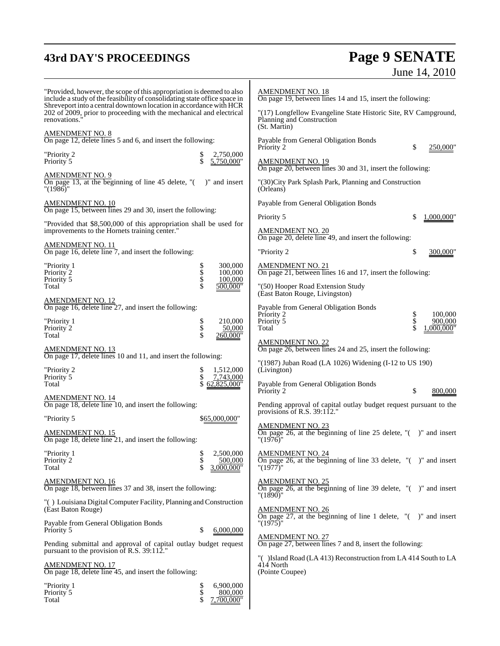# **43rd DAY'S PROCEEDINGS Page 9 SENATE** June 14, 2010

| "Provided, however, the scope of this appropriation is deemed to also<br>include a study of the feasibility of consolidating state office space in<br>Shreveport into a central downtown location in accordance with HCR | <b>AMENDMENT NO. 18</b><br>On page 19, between lines 14 and 15, insert the following:                          |
|--------------------------------------------------------------------------------------------------------------------------------------------------------------------------------------------------------------------------|----------------------------------------------------------------------------------------------------------------|
| 202 of 2009, prior to proceeding with the mechanical and electrical<br>renovations.                                                                                                                                      | "(17) Longfellow Evangeline State Historic Site, RV Campground,<br>Planning and Construction<br>(St. Martin)   |
| AM <u>ENDMENT NO. 8</u><br>On page 12, delete lines 5 and 6, and insert the following:                                                                                                                                   | Payable from General Obligation Bonds<br>250,000"<br>S<br>Priority 2                                           |
| "Priority 2<br>2,750,000<br>\$<br>Priority 5<br>5,750,000"                                                                                                                                                               | <b>AMENDMENT NO. 19</b><br>On page 20, between lines 30 and 31, insert the following:                          |
| AMENDMENT NO. 9<br>On page 13, at the beginning of line 45 delete, $\degree$ ( ) and insert<br>"(1986)"                                                                                                                  | "(30) City Park Splash Park, Planning and Construction<br>(Orleans)                                            |
| AMENDMENT NO. 10<br>On page 15, between lines 29 and 30, insert the following:                                                                                                                                           | Payable from General Obligation Bonds                                                                          |
| "Provided that \$8,500,000 of this appropriation shall be used for                                                                                                                                                       | Priority 5<br>1,000,000                                                                                        |
| improvements to the Hornets training center."                                                                                                                                                                            | <b>AMENDMENT NO. 20</b><br>On page 20, delete line 49, and insert the following:                               |
| <u>AMENDMENT NO. 11</u><br>On page 16, delete line 7, and insert the following:                                                                                                                                          | "Priority 2<br>\$<br>300,000"                                                                                  |
| 300,000<br>"Priority 1<br>Տ<br>Տ<br>Տ<br>Priority 2<br>100,000                                                                                                                                                           | AMENDMENT NO. 21<br>On page 21, between lines 16 and 17, insert the following:                                 |
| Priority 5<br>100,000<br>500,000"<br>Total                                                                                                                                                                               | "(50) Hooper Road Extension Study<br>(East Baton Rouge, Livingston)                                            |
| AMENDMENT NO. 12<br>On page 16, delete line 27, and insert the following:                                                                                                                                                | Payable from General Obligation Bonds<br>Priority 2<br>\$<br>100,000                                           |
| "Priority 1<br>210,000<br>Priority <sup>2</sup><br>50,000<br>Total<br>260,000"                                                                                                                                           | \$<br>Priority 5<br>900,000<br>Total<br>.000.000"                                                              |
| AMENDMENT NO. 13<br>On page 17, delete lines 10 and 11, and insert the following:                                                                                                                                        | AMENDMENT NO. 22<br>On page 26, between lines 24 and 25, insert the following:                                 |
| "Priority 2<br>1,512,000                                                                                                                                                                                                 | "(1987) Juban Road (LA 1026) Widening (I-12 to US 190)<br>(Livington)                                          |
| Priority 5<br>7,743,000<br>62,825,000"<br>Total                                                                                                                                                                          | Payable from General Obligation Bonds<br>Priority 2<br>S<br>800,000                                            |
| <u>AMENDMENT NO. 14</u><br>On page 18, delete line 10, and insert the following:                                                                                                                                         | Pending approval of capital outlay budget request pursuant to the                                              |
| "Priority 5<br>\$65,000,000"                                                                                                                                                                                             | provisions of R.S. $39:112."$<br>AMENDMENT NO. 23                                                              |
| <b>AMENDMENT NO. 15</b><br>On page 18, delete line 21, and insert the following:                                                                                                                                         | On page 26, at the beginning of line 25 delete, $\lbrack$ ( $\lbrack$ ) and insert<br>"(1976)"                 |
| 2,500,000<br>"Priority 1<br>Priority <sup>2</sup><br>500,000<br>Total<br>3,000,000"                                                                                                                                      | <b>AMENDMENT NO. 24</b><br>On page 26, at the beginning of line 33 delete, $"$ ( $"$ )" and insert<br>"(1977)" |
| <b>AMENDMENT NO. 16</b><br>On page 18, between lines 37 and 38, insert the following:                                                                                                                                    | <u>AMENDMENT NO. 25</u><br>On page 26, at the beginning of line 39 delete, $"$ ( $"$ )" and insert<br>"(1890)" |
| "() Louisiana Digital Computer Facility, Planning and Construction<br>(East Baton Rouge)                                                                                                                                 | <u>AMENDMENT NO. 26</u><br>On page 27, at the beginning of line 1 delete, $"$ ( $"$ )" and insert              |
| Payable from General Obligation Bonds<br>\$<br>6,000,000<br>Priority 5                                                                                                                                                   | "(1975)"                                                                                                       |
| Pending submittal and approval of capital outlay budget request<br>pursuant to the provision of R.S. 39:112."                                                                                                            | <b>AMENDMENT NO. 27</b><br>On page 27, between lines 7 and 8, insert the following:                            |
| <u>AMENDMENT NO. 17</u><br>On page 18, delete line 45, and insert the following:                                                                                                                                         | "() Island Road (LA 413) Reconstruction from LA 414 South to LA<br>414 North<br>(Pointe Coupee)                |
| 6,900,000<br>"Priority 1<br>\$<br>\$<br>Priority 5<br>800,000<br>Total<br>.700.000"                                                                                                                                      |                                                                                                                |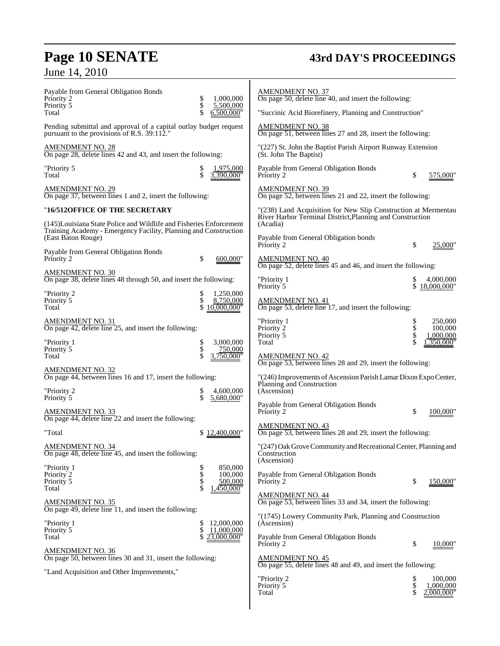# **Page 10 SENATE 43rd DAY'S PROCEEDINGS**

June 14, 2010

| Payable from General Obligation Bonds<br>Priority 2                                                                                     | \$<br>1,000,000                         | <b>AMENDMENT NO. 37</b><br>On page 50, delete line 40, and insert the following:                |          |                         |
|-----------------------------------------------------------------------------------------------------------------------------------------|-----------------------------------------|-------------------------------------------------------------------------------------------------|----------|-------------------------|
| Priority 5<br>Total                                                                                                                     | \$<br>5,500,000<br>6,500,000"           | "Succinic Acid Biorefinery, Planning and Construction"                                          |          |                         |
| Pending submittal and approval of a capital outlay budget request<br>pursuant to the provisions of R.S. 39:112."                        |                                         | <b>AMENDMENT NO. 38</b><br>On page 51, between lines 27 and 28, insert the following:           |          |                         |
| AMENDMENT NO. 28<br>On page 28, delete lines 42 and 43, and insert the following:                                                       |                                         | "(227) St. John the Baptist Parish Airport Runway Extension<br>(St. John The Baptist)           |          |                         |
| "Priority 5<br>Total                                                                                                                    | \$<br>1,975,000<br>\$<br>.390.000"      | Payable from General Obligation Bonds<br>Priority 2                                             | \$       | 575,000"                |
| <u>AMENDMENT NO. 29</u><br>On page 37, between lines 1 and 2, insert the following:                                                     |                                         | AMENDMENT NO. 39<br>On page 52, between lines 21 and 22, insert the following:                  |          |                         |
| "16/512OFFICE OF THE SECRETARY                                                                                                          |                                         | "(238) Land Acquisition for New Slip Construction at Mermentau                                  |          |                         |
| (145) Louisiana State Police and Wildlife and Fisheries Enforcement<br>Training Academy - Emergency Facility, Planning and Construction |                                         | River Harbor Terminal District, Planning and Construction<br>(Acadia)                           |          |                         |
| (East Baton Rouge)                                                                                                                      |                                         | Payable from General Obligation bonds<br>Priority 2                                             | \$       | 25,000"                 |
| Payable from General Obligation Bonds<br>Priority 2                                                                                     | \$<br>600,000"                          | <b>AMENDMENT NO. 40</b><br>On page 52, delete lines 45 and 46, and insert the following:        |          |                         |
| <b>AMENDMENT NO. 30</b><br>On page 38, delete lines 48 through 50, and insert the following:                                            |                                         | "Priority 1                                                                                     |          | 4,000,000               |
| "Priority 2                                                                                                                             | 1,250,000<br>\$                         | Priority 5                                                                                      |          | 18,000,000"             |
| Priority 5<br>Total                                                                                                                     | \$<br>8,750,000<br>10,000,000"          | AMENDMENT NO. 41<br>On page 53, delete line 17, and insert the following:                       |          |                         |
| <u>AMENDMENT NO. 31</u><br>On page 42, delete line 25, and insert the following:                                                        |                                         | "Priority 1<br>Priority 2                                                                       | \$<br>\$ | 250,000<br>100,000      |
| "Priority 1                                                                                                                             | 3,000,000<br>\$                         | Priority 5<br>Total                                                                             |          | 1,000,000<br>1,350,000" |
| Priority 5<br>Total                                                                                                                     | \$<br>750,000<br>3,750,000"             | <b>AMENDMENT NO. 42</b><br>On page 53, between lines 28 and 29, insert the following:           |          |                         |
| AMENDMENT NO. 32<br>On page 44, between lines 16 and 17, insert the following:                                                          |                                         | "(246) Improvements of Ascension Parish Lamar Dixon Expo Center,<br>Planning and Construction   |          |                         |
| "Priority 2<br>Priority 5                                                                                                               | 4,600,000<br>\$<br>\$<br>5,680,000"     | (Ascension)                                                                                     |          |                         |
| AMENDMENT NO. 33<br>On page 44, delete line 22 and insert the following:                                                                |                                         | Payable from General Obligation Bonds<br>Priority 2                                             | \$       | 100,000"                |
| "Total                                                                                                                                  | \$12,400,000"                           | <b>AMENDMENT NO. 43</b><br>On page 53, between lines 28 and 29, insert the following:           |          |                         |
| <b>AMENDMENT NO. 34</b><br>On page 48, delete line 45, and insert the following:                                                        |                                         | "(247) Oak Grove Community and Recreational Center, Planning and<br>Construction<br>(Ascension) |          |                         |
| "Priority 1<br>Priority <sub>2</sub>                                                                                                    | 850,000<br>100,000                      | Payable from General Obligation Bonds                                                           |          |                         |
| Priority 5<br>Total                                                                                                                     | Տ<br>Տ<br>Տ<br>Տ<br>500,000<br>450,000" | Priority 2                                                                                      | \$       | 150,000"                |
| <u>AMENDMENT NO. 35</u><br>On page 49, delete line 11, and insert the following:                                                        |                                         | <b>AMENDMENT NO. 44</b><br>On page 53, between lines 33 and 34, insert the following:           |          |                         |
| "Priority 1                                                                                                                             | 12,000,000<br>\$                        | "(1745) Lowery Community Park, Planning and Construction<br>(Ascension)                         |          |                         |
| Priority 5<br>Total                                                                                                                     | \$<br>11,000,000<br>23,000,000"         | Payable from General Obligation Bonds<br>Priority 2                                             | \$       | 10,000"                 |
| <b>AMENDMENT NO. 36</b><br>On page 50, between lines 30 and 31, insert the following:                                                   |                                         | <b>AMENDMENT NO. 45</b><br>On page 55, delete lines 48 and 49, and insert the following:        |          |                         |
| "Land Acquisition and Other Improvements,"                                                                                              |                                         | "Priority 2                                                                                     |          | 100,000                 |
|                                                                                                                                         |                                         | Priority 5<br>Total                                                                             | \$       | 1,000,000<br>2.000.000" |
|                                                                                                                                         |                                         |                                                                                                 |          |                         |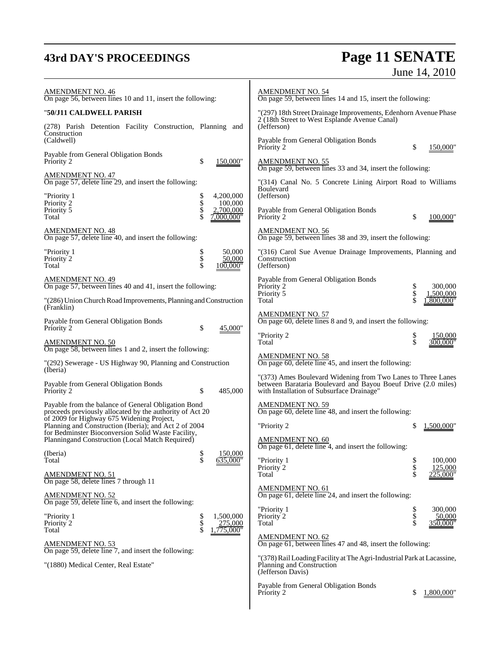# **43rd DAY'S PROCEEDINGS Page 11 SENATE** June 14, 2010

| <b>AMENDMENT NO. 46</b><br>On page 56, between lines 10 and 11, insert the following:                                                                    |                                  | <b>AMENDMENT NO. 54</b><br>On page 59, between lines 14 and 15, insert the following:                                                                                      |                                  |
|----------------------------------------------------------------------------------------------------------------------------------------------------------|----------------------------------|----------------------------------------------------------------------------------------------------------------------------------------------------------------------------|----------------------------------|
| "50/J11 CALDWELL PARISH                                                                                                                                  |                                  | "(297) 18th Street Drainage Improvements, Edenhorn Avenue Phase<br>2 (18th Street to West Esplande Avenue Canal)                                                           |                                  |
| (278) Parish Detention Facility Construction, Planning and<br>Construction<br>(Caldwell)                                                                 |                                  | (Jefferson)<br>Payable from General Obligation Bonds                                                                                                                       |                                  |
| Payable from General Obligation Bonds<br>Priority 2<br>\$                                                                                                | 150,000"                         | Priority 2<br><u>AMENDMENT NO. 55</u>                                                                                                                                      | \$<br>150,000"                   |
| <b>AMENDMENT NO. 47</b><br>On page 57, delete line 29, and insert the following:                                                                         |                                  | On page 59, between lines 33 and 34, insert the following:<br>"(314) Canal No. 5 Concrete Lining Airport Road to Williams                                                  |                                  |
| "Priority 1<br>\$<br>Priority <sup>2</sup>                                                                                                               | 4,200,000<br>100,000             | Boulevard<br>(Jefferson)                                                                                                                                                   |                                  |
| \$<br>\$<br>Priority 5<br>Total                                                                                                                          | 2,700,000<br>7,000,000"          | Payable from General Obligation Bonds<br>Priority 2                                                                                                                        | \$<br>100,000"                   |
| <b>AMENDMENT NO. 48</b><br>On page 57, delete line 40, and insert the following:                                                                         |                                  | <b>AMENDMENT NO. 56</b><br>On page 59, between lines 38 and 39, insert the following:                                                                                      |                                  |
| "Priority 1<br><b>Տ</b><br>Տ<br>Priority 2<br>Total                                                                                                      | 50,000<br>50,000<br>100.000"     | "(316) Carol Sue Avenue Drainage Improvements, Planning and<br>Construction<br>(Jefferson)                                                                                 |                                  |
| <b>AMENDMENT NO. 49</b><br>On page 57, between lines 40 and 41, insert the following:                                                                    |                                  | Payable from General Obligation Bonds<br>Priority 2<br>Priority 5                                                                                                          | \$<br>300,000<br>\$<br>1,500,000 |
| "(286) Union Church Road Improvements, Planning and Construction<br>(Franklin)                                                                           |                                  | Total                                                                                                                                                                      | .800.000'                        |
| Payable from General Obligation Bonds<br>Priority 2<br>\$                                                                                                | 45,000"                          | <b>AMENDMENT NO. 57</b><br>On page 60, delete lines 8 and 9, and insert the following:                                                                                     |                                  |
| <b>AMENDMENT NO. 50</b><br>On page 58, between lines 1 and 2, insert the following:                                                                      |                                  | "Priority 2<br>Total                                                                                                                                                       | \$<br>150,000<br>\$<br>300.000'  |
| "(292) Sewerage - US Highway 90, Planning and Construction<br>(Iberia)                                                                                   |                                  | <b>AMENDMENT NO. 58</b><br>On page 60, delete line 45, and insert the following:                                                                                           |                                  |
| Payable from General Obligation Bonds<br>\$<br>Priority 2                                                                                                | 485,000                          | "(373) Ames Boulevard Widening from Two Lanes to Three Lanes<br>between Barataria Boulevard and Bayou Boeuf Drive (2.0 miles)<br>with Installation of Subsurface Drainage" |                                  |
| Payable from the balance of General Obligation Bond<br>proceeds previously allocated by the authority of Act 20                                          |                                  | <b>AMENDMENT NO. 59</b><br>On page 60, delete line 48, and insert the following:                                                                                           |                                  |
| of 2009 for Highway 675 Widening Project,<br>Planning and Construction (Iberia), and Act 2 of 2004<br>for Bedminster Bioconversion Solid Waste Facility, |                                  | "Priority 2                                                                                                                                                                | \$<br>1,500,000                  |
| Planningand Construction (Local Match Required)<br>(Iberia)                                                                                              | 150,000                          | <b>AMENDMENT NO. 60</b><br>On page 61, delete line 4, and insert the following:                                                                                            |                                  |
| \$<br>\$<br>Total                                                                                                                                        | 635,000"                         | "Priority 1<br>Priority 2                                                                                                                                                  | \$<br>100,000<br>\$<br>125,000   |
| <b>AMENDMENT NO. 51</b><br>On page 58, delete lines 7 through 11                                                                                         |                                  | Total<br><b>AMENDMENT NO. 61</b>                                                                                                                                           | \$<br>:25.000'                   |
| <b>AMENDMENT NO. 52</b><br>On page 59, delete line $6$ , and insert the following:                                                                       |                                  | On page 61, delete line 24, and insert the following:<br>"Priority 1                                                                                                       | \$<br>300,000                    |
| "Priority 1<br>Տ<br>Տ<br>Տ<br>Priority 2<br>Total                                                                                                        | 1,500,000<br>275,000<br>775.000" | Priority 2<br>Total                                                                                                                                                        | \$<br>\$<br>50,000<br>350,000'   |
| <u>AMENDMENT NO. 53</u>                                                                                                                                  |                                  | <b>AMENDMENT NO. 62</b><br>On page 61, between lines 47 and 48, insert the following:                                                                                      |                                  |
| On page 59, delete line 7, and insert the following:<br>"(1880) Medical Center, Real Estate"                                                             |                                  | "(378) Rail Loading Facility at The Agri-Industrial Park at Lacassine,<br>Planning and Construction<br>(Jefferson Davis)                                                   |                                  |
|                                                                                                                                                          |                                  | Payable from General Obligation Bonds<br>Priority 2                                                                                                                        | \$<br>1,800,000"                 |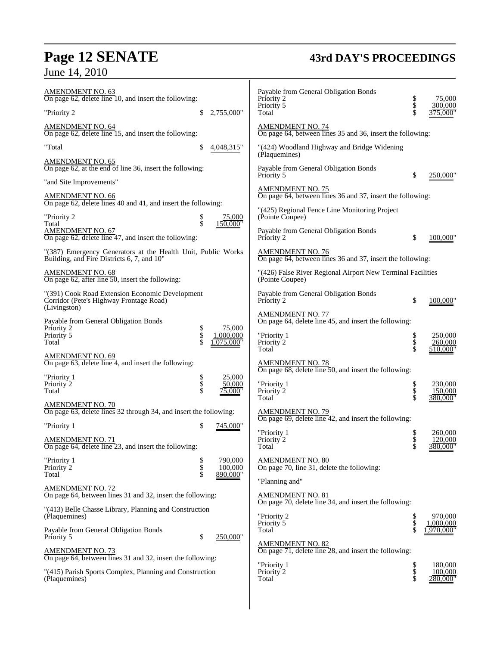# **Page 12 SENATE 43rd DAY'S PROCEEDINGS**

June 14, 2010

| <u>AMENDMENT NO. 63</u><br>On page $62$ , delete line 10, and insert the following:                        |                |                     | Payable from General Obligation Bonds<br>Priority 2                                   | \$<br>\$       | 75,000                         |
|------------------------------------------------------------------------------------------------------------|----------------|---------------------|---------------------------------------------------------------------------------------|----------------|--------------------------------|
| "Priority 2                                                                                                | \$             | 2,755,000"          | Priority 5<br>Total                                                                   | \$             | 300,000<br>375.000"            |
| <b>AMENDMENT NO. 64</b><br>On page 62, delete line 15, and insert the following:                           |                |                     | <b>AMENDMENT NO. 74</b><br>On page 64, between lines 35 and 36, insert the following: |                |                                |
| "Total                                                                                                     | \$             | 4,048,315"          | "(424) Woodland Highway and Bridge Widening                                           |                |                                |
| <b>AMENDMENT NO. 65</b><br>On page 62, at the end of line 36, insert the following:                        |                |                     | (Plaquemines)<br>Payable from General Obligation Bonds<br>Priority 5                  | \$             | 250,000'                       |
| "and Site Improvements"                                                                                    |                |                     |                                                                                       |                |                                |
| <b>AMENDMENT NO. 66</b><br>On page 62, delete lines 40 and 41, and insert the following:                   |                |                     | <b>AMENDMENT NO. 75</b><br>On page 64, between lines 36 and 37, insert the following: |                |                                |
| "Priority 2                                                                                                | s<br>\$        | 75,000<br>150,000"  | "(425) Regional Fence Line Monitoring Project<br>(Pointe Coupee)                      |                |                                |
| Total<br><b>AMENDMENT NO. 67</b><br>On page 62, delete line 47, and insert the following:                  |                |                     | Payable from General Obligation Bonds<br>Priority 2                                   | \$             | 100,000                        |
| "(387) Emergency Generators at the Health Unit, Public Works<br>Building, and Fire Districts 6, 7, and 10" |                |                     | AMENDMENT NO. 76<br>On page 64, between lines 36 and 37, insert the following:        |                |                                |
| <b>AMENDMENT NO. 68</b><br>On page 62, after line 50, insert the following:                                |                |                     | "(426) False River Regional Airport New Terminal Facilities<br>(Pointe Coupee)        |                |                                |
| "(391) Cook Road Extension Economic Development<br>Corridor (Pete's Highway Frontage Road)<br>(Livingston) |                |                     | Payable from General Obligation Bonds<br>Priority 2                                   | \$             | 100,000"                       |
| Payable from General Obligation Bonds                                                                      |                |                     | <b>AMENDMENT NO. 77</b><br>On page 64, delete line 45, and insert the following:      |                |                                |
| Priority 2<br>Priority 5                                                                                   | \$<br>\$<br>\$ | 75,000<br>1,000,000 | "Priority 1                                                                           | \$             | 250,000                        |
| Total                                                                                                      |                | .075.000"           | Priority 2<br>Total                                                                   | \$<br>Ś        | 260,000<br>510.000"            |
| <b>AMENDMENT NO. 69</b><br>On page 63, delete line 4, and insert the following:                            |                |                     | <b>AMENDMENT NO. 78</b><br>On page 68, delete line 50, and insert the following:      |                |                                |
| "Priority 1<br>Priority 2                                                                                  | Տ<br>Տ<br>Տ    | 25,000<br>50,000    | "Priority 1                                                                           | \$             | 230,000                        |
| Total                                                                                                      |                | 75,000"             | Priority 2<br>Total                                                                   | \$<br>\$       | 150,000<br>380.000"            |
| <b>AMENDMENT NO. 70</b><br>On page 63, delete lines 32 through 34, and insert the following:               |                |                     | <b>AMENDMENT NO. 79</b><br>On page 69, delete line $42$ , and insert the following:   |                |                                |
| "Priority 1                                                                                                | \$             | 745,000"            | "Priority 1                                                                           | \$             | 260,000                        |
| <b>AMENDMENT NO. 71</b><br>On page 64, delete line 23, and insert the following:                           |                |                     | Priority 2<br>Total                                                                   | \$             | 120,000<br>380,000"            |
| "Priority 1<br>Priority 2                                                                                  | \$             | 790,000<br>100,000  | <b>AMENDMENT NO. 80</b><br>On page 70, line 31, delete the following:                 |                |                                |
| Total                                                                                                      | \$<br>\$       | 890,000"            | "Planning and"                                                                        |                |                                |
| <b>AMENDMENT NO. 72</b><br>On page 64, between lines 31 and 32, insert the following:                      |                |                     | <u>AMENDMENT NO. 81</u>                                                               |                |                                |
| "(413) Belle Chasse Library, Planning and Construction<br>(Plaquemines)                                    |                |                     | On page 70, delete line 34, and insert the following:<br>"Priority 2                  | \$             | 970,000                        |
| Payable from General Obligation Bonds<br>Priority 5                                                        | \$             | 250,000"            | Priority 5<br>Total                                                                   | \$             | ,000,000<br>.970.000           |
| AMENDMENT NO. 73<br>On page 64, between lines 31 and 32, insert the following:                             |                |                     | <b>AMENDMENT NO. 82</b><br>On page 71, delete line 28, and insert the following:      |                |                                |
| "(415) Parish Sports Complex, Planning and Construction<br>(Plaquemines)                                   |                |                     | "Priority 1<br>Priority 2<br>Total                                                    | \$<br>\$<br>\$ | 180,000<br>100,000<br>280.000" |
|                                                                                                            |                |                     |                                                                                       |                |                                |

 $\overline{\phantom{a}}$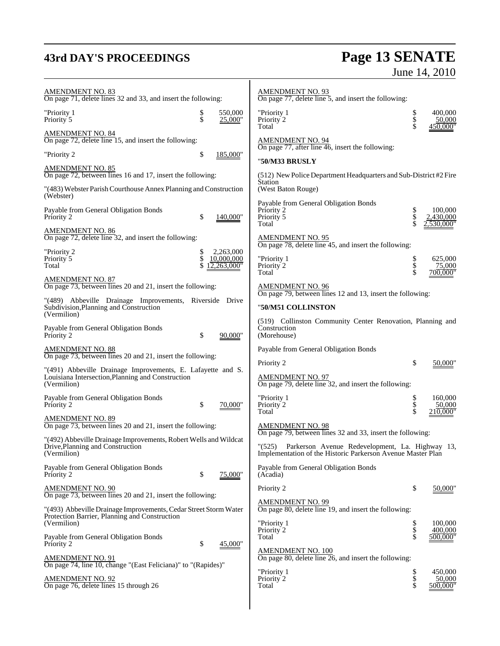# **43rd DAY'S PROCEEDINGS Page 13 SENATE** June 14, 2010

| <b>AMENDMENT NO. 83</b><br>On page 71, delete lines 32 and 33, and insert the following:                                         |                                 |                    | <b>AMENDMENT NO. 93</b><br>On page 77, delete line 5, and insert the following:                                                                                                    |                |                                |
|----------------------------------------------------------------------------------------------------------------------------------|---------------------------------|--------------------|------------------------------------------------------------------------------------------------------------------------------------------------------------------------------------|----------------|--------------------------------|
| "Priority 1<br>Priority 5                                                                                                        | \$<br>\$                        | 550,000<br>25,000" | "Priority 1<br>Priority 2<br>Total                                                                                                                                                 | \$             | 400,000<br>50,000<br>450,000"  |
| <u>AMENDMENT NO. 84</u><br>On page 72, delete line 15, and insert the following:                                                 |                                 |                    | <b>AMENDMENT NO. 94</b>                                                                                                                                                            |                |                                |
| "Priority 2                                                                                                                      | \$                              | 185,000"           | On page $77$ , after line $46$ , insert the following:                                                                                                                             |                |                                |
| AMENDMENT NO. 85<br>On page 72, between lines 16 and 17, insert the following:                                                   |                                 |                    | "50/M33 BRUSLY<br>(512) New Police Department Headquarters and Sub-District #2 Fire                                                                                                |                |                                |
| "(483) Webster Parish Courthouse Annex Planning and Construction<br>(Webster)                                                    |                                 |                    | Station<br>(West Baton Rouge)                                                                                                                                                      |                |                                |
| Payable from General Obligation Bonds<br>Priority 2                                                                              | \$                              | 140,000"           | Payable from General Obligation Bonds<br>Priority 2<br>Priority 5<br>Total                                                                                                         | \$<br>\$       | 100,000<br>430.000<br>530.000" |
| <b>AMENDMENT NO. 86</b><br>On page 72, delete line 32, and insert the following:                                                 |                                 |                    | <b>AMENDMENT NO. 95</b>                                                                                                                                                            |                |                                |
| "Priority 2<br>Priority 5<br>Total                                                                                               | \$<br>10,000,000<br>12,263,000" | 2,263,000          | On page 78, delete line 45, and insert the following:<br>"Priority 1<br>Priority <sup>2</sup><br>Total                                                                             | \$<br>\$<br>\$ | 625,000<br>75,000<br>700.000"  |
| AMENDMENT NO. 87<br>On page 73, between lines 20 and 21, insert the following:                                                   |                                 |                    | <b>AMENDMENT NO. 96</b>                                                                                                                                                            |                |                                |
| "(489) Abbeville Drainage Improvements, Riverside Drive<br>Subdivision, Planning and Construction<br>(Vermilion)                 |                                 |                    | On page 79, between lines 12 and 13, insert the following:<br>"50/M51 COLLINSTON                                                                                                   |                |                                |
| Payable from General Obligation Bonds<br>Priority 2                                                                              | \$                              | 90,000"            | (519) Collinston Community Center Renovation, Planning and<br>Construction<br>(Morehouse)                                                                                          |                |                                |
| <b>AMENDMENT NO. 88</b><br>On page 73, between lines 20 and 21, insert the following:                                            |                                 |                    | Payable from General Obligation Bonds                                                                                                                                              |                |                                |
| "(491) Abbeville Drainage Improvements, E. Lafayette and S.<br>Louisiana Intersection, Planning and Construction<br>(Vermilion)  |                                 |                    | Priority 2<br><b>AMENDMENT NO. 97</b><br>On page 79, delete line 32, and insert the following:                                                                                     | \$             | 50,000'                        |
| Payable from General Obligation Bonds<br>Priority 2                                                                              | \$                              | 70,000"            | "Priority 1<br>Priority 2<br>Total                                                                                                                                                 | \$<br>\$<br>\$ | 160,000<br>50,000<br>210.000'  |
| <b>AMENDMENT NO. 89</b><br>On page 73, between lines 20 and 21, insert the following:                                            |                                 |                    | <b>AMENDMENT NO. 98</b>                                                                                                                                                            |                |                                |
| "(492) Abbeville Drainage Improvements, Robert Wells and Wildcat<br>Drive, Planning and Construction<br>(Vermilion)              |                                 |                    | On page 79, between lines 32 and 33, insert the following:<br>(525) Parkerson Avenue Redevelopment, La. Highway 13,<br>Implementation of the Historic Parkerson Avenue Master Plan |                |                                |
| Payable from General Obligation Bonds<br>Priority 2                                                                              | \$                              | 75,000"            | Payable from General Obligation Bonds<br>(Acadia)                                                                                                                                  |                |                                |
| <b>AMENDMENT NO. 90</b><br>On page 73, between lines 20 and 21, insert the following:                                            |                                 |                    | Priority 2                                                                                                                                                                         | \$             | 50,000"                        |
| "(493) Abbeville Drainage Improvements, Cedar Street Storm Water<br>Protection Barrier, Planning and Construction<br>(Vermilion) |                                 |                    | <b>AMENDMENT NO. 99</b><br>On page 80, delete line 19, and insert the following:<br>"Priority 1                                                                                    |                | 100,000                        |
| Payable from General Obligation Bonds                                                                                            |                                 |                    | Priority 2<br>Total                                                                                                                                                                | \$<br>\$<br>\$ | 400,000<br>500.000'            |
| Priority 2<br><b>AMENDMENT NO. 91</b>                                                                                            | \$                              | 45,000"            | <u>AMENDMENT NO. 100</u><br>On page 80, delete line 26, and insert the following:                                                                                                  |                |                                |
| On page 74, line 10, change "(East Feliciana)" to "(Rapides)"                                                                    |                                 |                    | "Priority 1                                                                                                                                                                        | \$<br>\$       | 450,000                        |
| <b>AMENDMENT NO. 92</b><br>On page 76, delete lines 15 through 26                                                                |                                 |                    | Priority 2<br>Total                                                                                                                                                                | \$             | 50,000<br>500,000              |
|                                                                                                                                  |                                 |                    |                                                                                                                                                                                    |                |                                |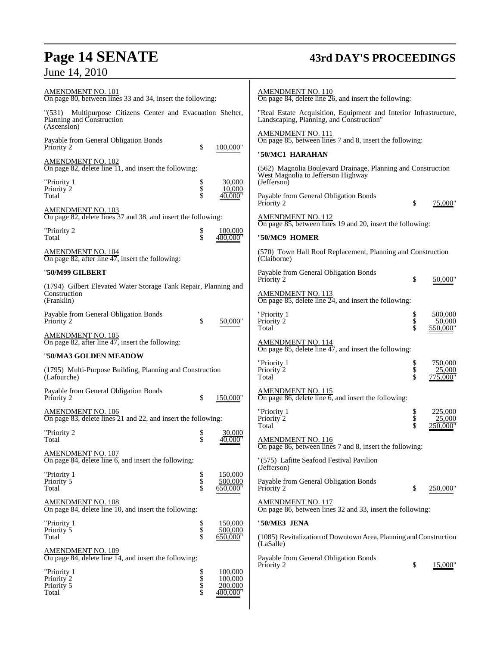# **Page 14 SENATE 43rd DAY'S PROCEEDINGS**

| AMENDMENT NO. 101<br>On page 80, between lines 33 and 34, insert the following:                         |                  |                                           | <u>AMENDMENT NO. 110</u><br>On page 84, delete line $26$ , and insert the following:                              |                |                               |
|---------------------------------------------------------------------------------------------------------|------------------|-------------------------------------------|-------------------------------------------------------------------------------------------------------------------|----------------|-------------------------------|
| "(531) Multipurpose Citizens Center and Evacuation Shelter,<br>Planning and Construction<br>(Ascension) |                  |                                           | "Real Estate Acquisition, Equipment and Interior Infrastructure,<br>Landscaping, Planning, and Construction"      |                |                               |
| Payable from General Obligation Bonds<br>Priority 2                                                     | \$               | 100,000"                                  | <b>AMENDMENT NO. 111</b><br>On page 85, between lines 7 and 8, insert the following:                              |                |                               |
| <b>AMENDMENT NO. 102</b>                                                                                |                  |                                           | "50/MC1 HARAHAN                                                                                                   |                |                               |
| On page 82, delete line 11, and insert the following:<br>"Priority 1                                    |                  | 30,000                                    | (562) Magnolia Boulevard Drainage, Planning and Construction<br>West Magnolia to Jefferson Highway<br>(Jefferson) |                |                               |
| Priority 2<br>Total                                                                                     | ծ<br>Տ           | 10,000<br>40.000"                         | Payable from General Obligation Bonds<br>Priority 2                                                               | \$             | 75,000'                       |
| <b>AMENDMENT NO. 103</b><br>On page 82, delete lines 37 and 38, and insert the following:               |                  |                                           | <b>AMENDMENT NO. 112</b><br>On page 85, between lines 19 and 20, insert the following:                            |                |                               |
| "Priority 2<br>Total                                                                                    | Տ<br>Տ           | 100,000<br>400.000"                       | "50/MC9 HOMER                                                                                                     |                |                               |
| AMENDMENT NO. 104<br>On page 82, after line $47$ , insert the following:                                |                  |                                           | (570) Town Hall Roof Replacement, Planning and Construction<br>(Claiborne)                                        |                |                               |
| "50/M99 GILBERT                                                                                         |                  |                                           | Payable from General Obligation Bonds<br>Priority 2                                                               | \$             | 50,000"                       |
| (1794) Gilbert Elevated Water Storage Tank Repair, Planning and<br>Construction<br>(Franklin)           |                  |                                           | <u>AMENDMENT NO. 113</u><br>On page 85, delete line $\overline{24}$ , and insert the following:                   |                |                               |
| Payable from General Obligation Bonds<br>Priority 2                                                     | \$               | 50,000"                                   | "Priority 1<br>Priority 2                                                                                         | \$<br>\$<br>\$ | 500,000<br>50,000<br>550.000' |
| <u>AMENDMENT NO. 105</u><br>On page 82, after line $47$ , insert the following:                         |                  |                                           | Total<br>AMENDMENT NO. 114                                                                                        |                |                               |
| "50/MA3 GOLDEN MEADOW                                                                                   |                  |                                           | On page 85, delete line 47, and insert the following:                                                             |                |                               |
| (1795) Multi-Purpose Building, Planning and Construction<br>(Lafourche)                                 |                  |                                           | "Priority 1<br>Priority 2<br>Total                                                                                | \$<br>\$       | 750,000<br>25,000<br>775,000' |
| Payable from General Obligation Bonds<br>Priority 2                                                     | \$               | 150,000"                                  | AMENDMENT NO. 115<br>On page 86, delete line $6$ , and insert the following:                                      |                |                               |
| AMENDMENT NO. 106<br>On page 83, delete lines 21 and 22, and insert the following:                      |                  |                                           | "Priority 1<br>Priority 2<br>Total                                                                                | \$             | 225,000<br>25,000<br>50.000   |
| "Priority 2<br>Total                                                                                    | \$<br>\$         | 30,000<br>40.000"                         | <b>AMENDMENT NO. 116</b>                                                                                          |                |                               |
| <u>AMENDMENT NO. 107</u><br>On page 84, delete line 6, and insert the following:                        |                  |                                           | On page 86, between lines 7 and 8, insert the following:<br>"(575) Lafitte Seafood Festival Pavilion              |                |                               |
| "Priority 1<br>Priority 5<br>Total                                                                      | \$<br>\$         | 150,000<br>500,000<br>650,000"            | (Jefferson)<br>Payable from General Obligation Bonds<br>Priority 2                                                | \$             | 250,000"                      |
| AMENDMENT NO. 108<br>On page 84, delete line 10, and insert the following:                              |                  |                                           | <b>AMENDMENT NO. 117</b><br>On page 86, between lines 32 and 33, insert the following:                            |                |                               |
| "Priority 1<br>Priority 5                                                                               | Տ<br>Տ<br>Տ      | 150,000<br>500,000                        | "50/ME3 JENA                                                                                                      |                |                               |
| Total<br><u>AMENDMENT NO. 109</u>                                                                       |                  | 650,000"                                  | (1085) Revitalization of Downtown Area, Planning and Construction<br>(LaSalle)                                    |                |                               |
| On page 84, delete line 14, and insert the following:                                                   |                  |                                           | Payable from General Obligation Bonds<br>Priority 2                                                               | \$             | 15,000"                       |
| "Priority 1<br>Priority <sup>2</sup><br>Priority 5<br>Total                                             | Տ<br>Տ<br>Տ<br>Տ | 100,000<br>100,000<br>200,000<br>400,000" |                                                                                                                   |                |                               |
|                                                                                                         |                  |                                           |                                                                                                                   |                |                               |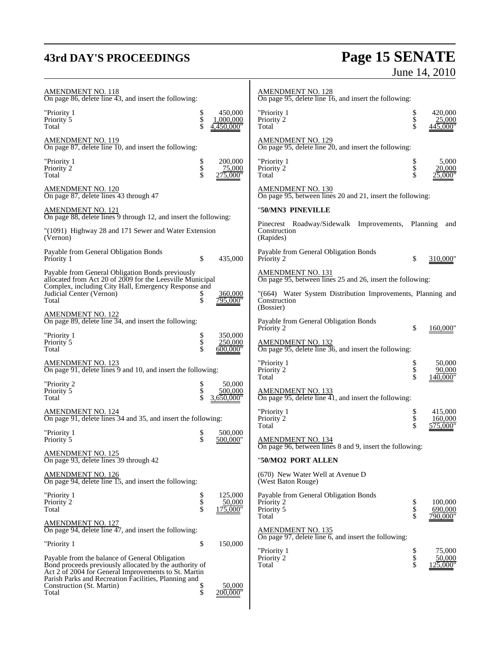# **43rd DAY'S PROCEEDINGS**

# **Page 15 SENATE**<br>June 14, 2010

| <b>AMENDMENT NO. 118</b><br>On page 86, delete line 43, and insert the following:                                                                                                                                        |                |                                    | <b>AMENDMENT NO. 128</b><br>On page 95, delete line 16, and insert the following:        |                |                                   |
|--------------------------------------------------------------------------------------------------------------------------------------------------------------------------------------------------------------------------|----------------|------------------------------------|------------------------------------------------------------------------------------------|----------------|-----------------------------------|
| "Priority 1<br>Priority 5<br>Total                                                                                                                                                                                       | Տ<br>Տ<br>Տ    | 450,000<br>1,000,000<br>4,450,000" | "Priority 1<br>Priority 2<br>Total                                                       | \$<br>\$       | 420,000<br>25,000<br>445,000"     |
| AMENDMENT NO. 119<br>On page 87, delete line 10, and insert the following:                                                                                                                                               |                |                                    | <u>AMENDMENT NO. 129</u><br>On page 95, delete line 20, and insert the following:        |                |                                   |
| "Priority 1<br>Priority 2<br>Total                                                                                                                                                                                       | \$<br>\$<br>\$ | 200,000<br>75.000<br>275,000"      | "Priority 1<br>Priority 2<br>Total                                                       | \$<br>\$<br>\$ | 5,000<br>20.000<br>$.000^{\circ}$ |
| AMENDMENT NO. 120<br>On page 87, delete lines 43 through 47                                                                                                                                                              |                |                                    | AMENDMENT NO. 130<br>On page 95, between lines 20 and 21, insert the following:          |                |                                   |
| AMENDMENT NO. 121<br>On page 88, delete lines 9 through 12, and insert the following:                                                                                                                                    |                |                                    | "50/MN3 PINEVILLE                                                                        |                |                                   |
| "(1091) Highway 28 and 171 Sewer and Water Extension<br>(Vernon)                                                                                                                                                         |                |                                    | Pinecrest Roadway/Sidewalk Improvements,<br>Construction<br>(Rapides)                    | Planning       | and                               |
| Payable from General Obligation Bonds<br>Priority 1                                                                                                                                                                      | \$             | 435,000                            | Payable from General Obligation Bonds<br>Priority 2                                      | \$             | 310,000"                          |
| Payable from General Obligation Bonds previously<br>allocated from Act 20 of 2009 for the Leesville Municipal                                                                                                            |                |                                    | AMENDMENT NO. 131<br>On page 95, between lines 25 and 26, insert the following:          |                |                                   |
| Complex, including City Hall, Emergency Response and<br>Judicial Center (Vernon)<br>Total                                                                                                                                | Տ<br>\$        | 360,000<br>795,000"                | "(664) Water System Distribution Improvements, Planning and<br>Construction<br>(Bossier) |                |                                   |
| AMENDMENT NO. 122<br>On page 89, delete line 34, and insert the following:                                                                                                                                               |                |                                    | Payable from General Obligation Bonds<br>Priority 2                                      | \$             | 160,000"                          |
| "Priority 1<br>Priority 5<br>Total                                                                                                                                                                                       | \$<br>Տ        | 350,000<br>250,000<br>600.000"     | <b>AMENDMENT NO. 132</b><br>On page 95, delete line 36, and insert the following:        |                |                                   |
| AMENDMENT NO. 123<br>On page 91, delete lines 9 and 10, and insert the following:                                                                                                                                        |                |                                    | "Priority 1<br>Priority 2<br>Total                                                       | \$<br>\$       | 50,000<br>90,000<br>40,000'       |
| "Priority 2<br>Priority 5<br>Total                                                                                                                                                                                       | Տ<br>Տ<br>Տ    | 50,000<br>500,000<br>3.650.000"    | <b>AMENDMENT NO. 133</b><br>On page 95, delete line 41, and insert the following:        |                |                                   |
| AMENDMENT NO. 124<br>On page 91, delete lines 34 and 35, and insert the following:                                                                                                                                       |                |                                    | "Priority 1<br>Priority 2<br>Total                                                       | \$             | 415,000<br>160,000<br>575,000'    |
| "Priority 1<br>Priority 5                                                                                                                                                                                                | \$<br>\$       | 500,000<br>500,000"                | <b>AMENDMENT NO. 134</b><br>On page 96, between lines 8 and 9, insert the following:     |                |                                   |
| <b>AMENDMENT NO. 125</b><br>On page 93, delete lines 39 through 42                                                                                                                                                       |                |                                    | "50/MO2 PORT ALLEN                                                                       |                |                                   |
| <u>AMENDMENT NO. 126</u><br>On page 94, delete line 15, and insert the following:                                                                                                                                        |                |                                    | (670) New Water Well at Avenue D<br>(West Baton Rouge)                                   |                |                                   |
| "Priority 1<br>Priority 2<br>Total                                                                                                                                                                                       | Տ<br>Տ<br>Տ    | 125,000<br>50,000<br>175,000"      | Payable from General Obligation Bonds<br>Priority 2<br>Priority 5<br>Total               | \$<br>\$       | 100,000<br>690,000<br>790,000'    |
| <u>AMENDMENT NO. 127</u><br>On page 94, delete line 47, and insert the following:                                                                                                                                        |                |                                    | <b>AMENDMENT NO. 135</b>                                                                 |                |                                   |
| "Priority 1                                                                                                                                                                                                              | \$             | 150,000                            | On page 97, delete line $6$ , and insert the following:<br>"Priority 1                   | \$             | 75.000                            |
| Payable from the balance of General Obligation<br>Bond proceeds previously allocated by the authority of<br>Act 2 of 2004 for General Improvements to St. Martin<br>Parish Parks and Recreation Facilities, Planning and |                |                                    | Priority 2<br>Total                                                                      | \$<br>\$       | 50,000<br>.25,000'                |
| Construction (St. Martin)<br>Total                                                                                                                                                                                       | \$<br>\$       | 50,000<br>200,000'                 |                                                                                          |                |                                   |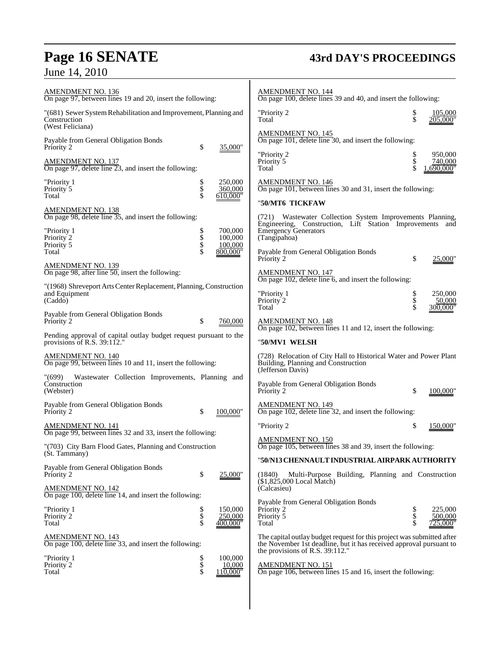# **Page 16 SENATE 43rd DAY'S PROCEEDINGS**

| <u>AMENDMENT NO. 136</u><br>On page 97, between lines 19 and 20, insert the following:                                        | <b>AMENDMENT NO. 144</b><br>On page 100, delete lines 39 and 40, and insert the following:                                                                              |
|-------------------------------------------------------------------------------------------------------------------------------|-------------------------------------------------------------------------------------------------------------------------------------------------------------------------|
| "(681) Sewer System Rehabilitation and Improvement, Planning and<br>Construction<br>(West Feliciana)                          | "Priority 2<br>105,000<br>205,000"<br>Total                                                                                                                             |
| Payable from General Obligation Bonds<br>\$<br>Priority 2<br>35,000"                                                          | <b>AMENDMENT NO. 145</b><br>On page 101, delete line 30, and insert the following:                                                                                      |
| <u>AMENDMENT NO. 137</u><br>On page 97, delete line $\overline{23}$ , and insert the following:                               | "Priority 2<br>950,000<br>\$<br>\$<br>Priority 5<br>740,000<br>690.000"<br>Total                                                                                        |
| 250,000<br>"Priority 1<br>\$<br>\$<br>\$<br>360,000<br>Priority 5<br>610,000"<br>Total                                        | <b>AMENDMENT NO. 146</b><br>On page 101, between lines 30 and 31, insert the following:                                                                                 |
|                                                                                                                               | "50/MT6 TICKFAW                                                                                                                                                         |
| AMENDMENT NO. 138<br>On page 98, delete line 35, and insert the following:<br>"Priority 1<br>700,000<br>100,000<br>Priority 2 | (721) Wastewater Collection System Improvements Planning,<br>Engineering, Construction, Lift Station Improvements<br>and<br><b>Emergency Generators</b><br>(Tangipahoa) |
| Priority 5<br>100,000<br>800,000"<br>Total                                                                                    | Payable from General Obligation Bonds<br>Priority 2<br>\$<br>25,000"                                                                                                    |
| AMENDMENT NO. 139<br>On page 98, after line 50, insert the following:                                                         | <b>AMENDMENT NO. 147</b><br>On page $102$ , delete line 6, and insert the following:                                                                                    |
| "(1968) Shreveport Arts Center Replacement, Planning, Construction<br>and Equipment<br>(Caddo)                                | "Priority 1<br>250,000<br><b>ծ</b><br>Տ<br>50,000<br>Priority 2<br>Total<br>300.000"                                                                                    |
| Payable from General Obligation Bonds<br>Priority 2<br>S<br>760,000                                                           | AMENDMENT NO. 148<br>On page 102, between lines 11 and 12, insert the following:                                                                                        |
| Pending approval of capital outlay budget request pursuant to the<br>provisions of R.S. 39:112."                              | "50/MV1 WELSH                                                                                                                                                           |
| AMENDMENT NO. 140<br>On page 99, between lines 10 and 11, insert the following:                                               | (728) Relocation of City Hall to Historical Water and Power Plant<br>Building, Planning and Construction<br>(Jefferson Davis)                                           |
| "(699)<br>Wastewater Collection Improvements, Planning and<br>Construction<br>(Webster)                                       | Payable from General Obligation Bonds<br>Priority 2<br>\$<br>100,000"                                                                                                   |
| Payable from General Obligation Bonds<br>Priority 2<br>\$<br>100,000"                                                         | <b>AMENDMENT NO. 149</b><br>On page 102, delete line 32, and insert the following:                                                                                      |
| AMENDMENT NO. 141<br>On page 99, between lines 32 and 33, insert the following:                                               | "Priority 2<br>150,000"                                                                                                                                                 |
| "(703) City Barn Flood Gates, Planning and Construction<br>(St. Tammany)                                                      | <b>AMENDMENT NO. 150</b><br>On page 105, between lines 38 and 39, insert the following:                                                                                 |
|                                                                                                                               | "50/N13 CHENNAULT INDUSTRIAL AIRPARK AUTHORITY                                                                                                                          |
| Payable from General Obligation Bonds<br>\$<br>Priority 2<br>25,000"                                                          | (1840)<br>Multi-Purpose Building, Planning and Construction<br>$(S1, 825, 000$ Local Match)                                                                             |
| <b>AMENDMENT NO. 142</b><br>On page 100, delete line 14, and insert the following:                                            | (Calcasieu)                                                                                                                                                             |
| "Priority 1<br>\$<br>Տ<br>150,000<br>250,000<br>Priority 2<br>Total<br>400,000"                                               | Payable from General Obligation Bonds<br>225,000<br>Priority 2<br>Տ<br>Տ<br>Տ<br>Priority 5<br>500,000<br>Total<br>725,000"                                             |
|                                                                                                                               |                                                                                                                                                                         |
| AMENDMENT NO. 143<br>On page 100, delete line 33, and insert the following:                                                   | The capital outlay budget request for this project was submitted after<br>the November 1st deadline, but it has received approval pursuant to                           |
| "Priority 1<br>\$<br>100,000<br>$\frac{1}{3}$<br>Priority 2<br>10,000<br>Total<br>110,000"                                    | the provisions of R.S. 39:112."<br><b>AMENDMENT NO. 151</b><br>On page 106, between lines 15 and 16, insert the following:                                              |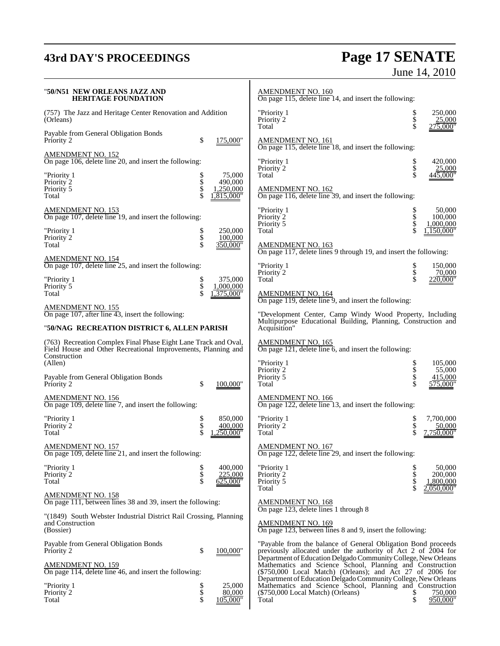# **43rd DAY'S PROCEEDINGS Page 17 SENATE** June 14, 2010

| "50/N51  NEW ORLEANS JAZZ AND<br><b>HERITAGE FOUNDATION</b>                                                                                      |                    |                                             | <b>AMENDMENT NO. 160</b><br>On page 115, delete line 14, and insert the following:                                                                                                       |                                                                |
|--------------------------------------------------------------------------------------------------------------------------------------------------|--------------------|---------------------------------------------|------------------------------------------------------------------------------------------------------------------------------------------------------------------------------------------|----------------------------------------------------------------|
| (757) The Jazz and Heritage Center Renovation and Addition<br>(Orleans)                                                                          |                    |                                             | "Priority 1<br>\$<br>Priority 2<br>\$<br>Total                                                                                                                                           | \$<br>250,000<br>25,000<br>$27\overline{5,000}$ "              |
| Payable from General Obligation Bonds<br>Priority 2                                                                                              | \$                 | 175,000"                                    | <b>AMENDMENT NO. 161</b><br>On page 115, delete line 18, and insert the following:                                                                                                       |                                                                |
| <b>AMENDMENT NO. 152</b><br>On page 106, delete line 20, and insert the following:                                                               |                    |                                             | "Priority 1                                                                                                                                                                              | \$<br>420,000                                                  |
| "Priority 1<br>Priority 2<br>Priority 5<br>Total                                                                                                 | Տ<br>Տ<br>Տ<br>Տ   | 75,000<br>490,000<br>1,250,000<br>,815,000" | \$<br>Priority 2<br>\$<br>Total<br><b>AMENDMENT NO. 162</b><br>On page 116, delete line 39, and insert the following:                                                                    | 25,000<br>445,000"                                             |
| <b>AMENDMENT NO. 153</b><br>On page 107, delete line 19, and insert the following:                                                               |                    |                                             | \$<br>"Priority 1<br>Priority 2<br>Priority 5                                                                                                                                            | 50,000<br>\$<br>\$<br>100,000<br>1,000,000                     |
| "Priority 1<br>Priority 2<br>Total                                                                                                               | ծ<br>Տ             | 250,000<br>100,000<br>350,000"              | Total<br><b>AMENDMENT NO. 163</b><br>On page 117, delete lines 9 through 19, and insert the following:                                                                                   | 150,000"                                                       |
| <b>AMENDMENT NO. 154</b><br>On page 107, delete line 25, and insert the following:                                                               |                    |                                             | "Priority 1<br>Priority 2                                                                                                                                                                | \$<br>150,000<br>\$<br>70,000                                  |
| "Priority 1<br>Priority 5<br>Total                                                                                                               | P<br>$\frac{1}{3}$ | 375,000<br>1,000,000<br>375,000"            | \$<br>Total<br><b>AMENDMENT NO. 164</b>                                                                                                                                                  | 220.000"                                                       |
| <b>AMENDMENT NO. 155</b><br>On page 107, after line $\overline{43}$ , insert the following:                                                      |                    |                                             | On page 119, delete line 9, and insert the following:<br>"Development Center, Camp Windy Wood Property, Including<br>Multipurpose Educational Building, Planning, Construction and       |                                                                |
| "50/NAG RECREATION DISTRICT 6, ALLEN PARISH                                                                                                      |                    |                                             | Acquisition"                                                                                                                                                                             |                                                                |
| (763) Recreation Complex Final Phase Eight Lane Track and Oval,<br>Field House and Other Recreational Improvements, Planning and<br>Construction |                    |                                             | <b>AMENDMENT NO. 165</b><br>On page 121, delete line 6, and insert the following:                                                                                                        |                                                                |
| (Allen)<br>Payable from General Obligation Bonds<br>Priority 2                                                                                   | \$                 | 100,000"                                    | "Priority 1<br>Priority 2<br>Priority 5<br>\$<br>Total                                                                                                                                   | \$<br>105,000<br>\$<br>55,000<br>415,000<br>575,000"           |
| <b>AMENDMENT NO. 156</b><br>On page 109, delete line 7, and insert the following:                                                                |                    |                                             | <b>AMENDMENT NO. 166</b><br>On page 122, delete line 13, and insert the following:                                                                                                       |                                                                |
| "Priority 1<br>Priority 2<br>Total                                                                                                               | \$<br>\$           | 850,000<br>400,000<br>250.000"              | "Priority 1<br>Priority 2<br>Total                                                                                                                                                       | \$<br>7.700.000<br>\$<br>50,000<br>750,000"                    |
| <b>AMENDMENT NO. 157</b><br>On page 109, delete line 21, and insert the following:                                                               |                    |                                             | <b>AMENDMENT NO. 167</b><br>On page 122, delete line 29, and insert the following:                                                                                                       |                                                                |
| "Priority 1<br>Priority 2<br>Total                                                                                                               | \$<br>\$<br>\$     | 400,000<br>225,000<br>625,000"              | "Priority 1<br>Priority 2<br>Priority 5<br>Total                                                                                                                                         | \$<br>50,000<br>\$<br>\$<br>200,000<br>1,800,000<br>2,050,000" |
| <b>AMENDMENT NO. 158</b><br>On page 111, between lines 38 and 39, insert the following:                                                          |                    |                                             | <b>AMENDMENT NO. 168</b>                                                                                                                                                                 |                                                                |
| "(1849) South Webster Industrial District Rail Crossing, Planning<br>and Construction<br>(Bossier)                                               |                    |                                             | On page 123, delete lines 1 through 8<br><b>AMENDMENT NO. 169</b><br>On page 123, between lines 8 and 9, insert the following:                                                           |                                                                |
| Payable from General Obligation Bonds<br>Priority 2                                                                                              | \$                 | 100,000"                                    | "Payable from the balance of General Obligation Bond proceeds<br>previously allocated under the authority of Act 2 of 2004 for                                                           |                                                                |
| <b>AMENDMENT NO. 159</b><br>On page 114, delete line 46, and insert the following:                                                               |                    |                                             | Department of Education Delgado Community College, New Orleans<br>Mathematics and Science School, Planning and Construction<br>(\$750,000 Local Match) (Orleans); and Act 27 of 2006 for |                                                                |
| "Priority 1<br>Priority 2<br>Total                                                                                                               | Տ<br>Տ<br>Տ        | 25,000<br>80,000<br>105,000"                | Department of Education Delgado Community College, New Orleans<br>Mathematics and Science School, Planning and Construction<br>(\$750,000 Local Match) (Orleans)<br>Total                | 750,000<br>\$<br>950.000"                                      |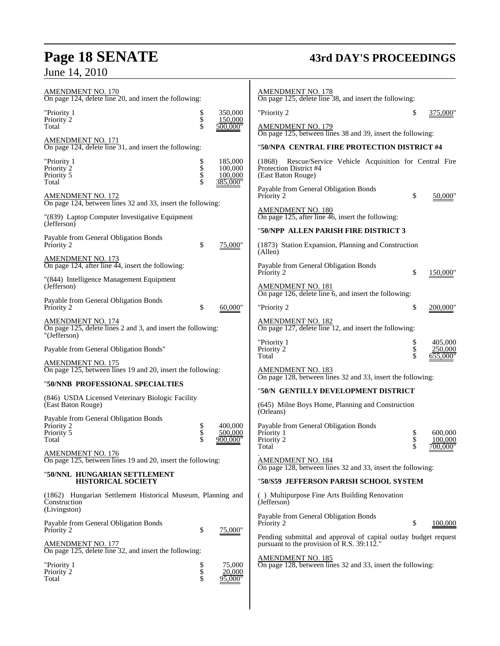# **Page 18 SENATE 43rd DAY'S PROCEEDINGS**

June 14, 2010

| <b>AMENDMENT NO. 170</b><br>On page 124, delete line 20, and insert the following:                       |                |                                           | <b>AMENDMENT NO. 178</b><br>On page 125, delete line 38, and insert the following:                                   |        |                        |
|----------------------------------------------------------------------------------------------------------|----------------|-------------------------------------------|----------------------------------------------------------------------------------------------------------------------|--------|------------------------|
| "Priority 1                                                                                              |                | 350,000<br>150,000                        | "Priority 2                                                                                                          | S      | 375,000"               |
| Priority 2<br>Total                                                                                      | Տ<br>Տ<br>Տ    | 500,000"                                  | <b>AMENDMENT NO. 179</b><br>On page 125, between lines 38 and 39, insert the following:                              |        |                        |
| AMENDMENT NO. 171<br>On page 124, delete line 31, and insert the following:                              |                |                                           | "50/NPA_CENTRAL FIRE PROTECTION DISTRICT #4                                                                          |        |                        |
|                                                                                                          |                |                                           |                                                                                                                      |        |                        |
| "Priority 1<br>Priority 2<br>Priority 5<br>Total                                                         | \$<br>\$<br>\$ | 185,000<br>100,000<br>100,000<br>385,000" | Rescue/Service Vehicle Acquisition for Central Fire<br>(1868)<br><b>Protection District #4</b><br>(East Baton Rouge) |        |                        |
| AMENDMENT NO. 172                                                                                        |                |                                           | Payable from General Obligation Bonds<br>Priority 2                                                                  | \$     | 50,000"                |
| On page 124, between lines 32 and 33, insert the following:                                              |                |                                           | <b>AMENDMENT NO. 180</b>                                                                                             |        |                        |
| "(839) Laptop Computer Investigative Equipment<br>(Jefferson)                                            |                |                                           | On page 125, after line $\overline{46}$ , insert the following:                                                      |        |                        |
| Payable from General Obligation Bonds                                                                    |                |                                           | "50/NPP ALLEN PARISH FIRE DISTRICT 3                                                                                 |        |                        |
| Priority 2                                                                                               | \$             | 75,000"                                   | (1873) Station Expansion, Planning and Construction<br>(Allen)                                                       |        |                        |
| AMENDMENT NO. 173<br>On page 124, after line 44, insert the following:                                   |                |                                           | Payable from General Obligation Bonds<br>Priority 2                                                                  | \$     | 150,000"               |
| "(844) Intelligence Management Equipment<br>(Jefferson)                                                  |                |                                           | <b>AMENDMENT NO. 181</b>                                                                                             |        |                        |
| Payable from General Obligation Bonds                                                                    |                |                                           | On page 126, delete line 6, and insert the following:                                                                |        |                        |
| Priority 2                                                                                               | \$             | 60,000"                                   | "Priority 2                                                                                                          | \$     | 200,000"               |
| <b>AMENDMENT NO. 174</b><br>On page 125, delete lines 2 and 3, and insert the following:<br>"(Jefferson) |                |                                           | <u>AMENDMENT NO. 182</u><br>On page 127, delete line $12$ , and insert the following:                                |        |                        |
|                                                                                                          |                |                                           | "Priority 1                                                                                                          |        | 405,000                |
| Payable from General Obligation Bonds"                                                                   |                |                                           | Priority 2<br>Total                                                                                                  | ծ<br>Տ | 250,000<br>$655,000$ " |
| <u>AMENDMENT NO. 175</u><br>On page 125, between lines 19 and 20, insert the following:                  |                |                                           | AMENDMENT NO. 183                                                                                                    |        |                        |
| "50/NNB PROFESSIONAL SPECIALTIES                                                                         |                |                                           | On page 128, between lines 32 and 33, insert the following:                                                          |        |                        |
| (846) USDA Licensed Veterinary Biologic Facility                                                         |                |                                           | "50/N GENTILLY DEVELOPMENT DISTRICT                                                                                  |        |                        |
| (East Baton Rouge)                                                                                       |                |                                           | (645) Milne Boys Home, Planning and Construction<br>(Orleans)                                                        |        |                        |
| Payable from General Obligation Bonds<br>Priority 2                                                      | \$             | 400,000                                   | Payable from General Obligation Bonds                                                                                |        |                        |
| Priority 5                                                                                               | \$             | 500,000                                   | Priority 1                                                                                                           |        | 600,000                |
| Total                                                                                                    |                | 900,000"                                  | Priority 2<br>Total                                                                                                  | \$     | 100,000<br>$700,000$ " |
| <b>AMENDMENT NO. 176</b><br>On page 125, between lines 19 and 20, insert the following:                  |                |                                           | <b>AMENDMENT NO. 184</b>                                                                                             |        |                        |
| "50/NNL HUNGARIAN SETTLEMENT<br><b>HISTORICAL SOCIETY</b>                                                |                |                                           | On page 128, between lines 32 and 33, insert the following:<br>"50/S59 JEFFERSON PARISH SCHOOL SYSTEM                |        |                        |
|                                                                                                          |                |                                           |                                                                                                                      |        |                        |
| (1862) Hungarian Settlement Historical Museum, Planning and<br>Construction<br>(Livingston)              |                |                                           | () Multipurpose Fine Arts Building Renovation<br>(Jefferson)                                                         |        |                        |
| Payable from General Obligation Bonds                                                                    |                |                                           | Payable from General Obligation Bonds<br>Priority 2                                                                  | S      | 100,000                |
| Priority 2                                                                                               | \$             | 75,000"                                   | Pending submittal and approval of capital outlay budget request                                                      |        |                        |
| <b>AMENDMENT NO. 177</b><br>On page 125, delete line 32, and insert the following:                       |                |                                           | pursuant to the provision of R.S. 39:112."                                                                           |        |                        |
|                                                                                                          |                |                                           | <u>AMENDMENT NO. 185</u>                                                                                             |        |                        |
| "Priority 1<br>Priority 2                                                                                | \$<br>\$<br>\$ | 75,000<br>20,000                          | On page 128, between lines 32 and 33, insert the following:                                                          |        |                        |
| Total                                                                                                    |                | 95,000"                                   |                                                                                                                      |        |                        |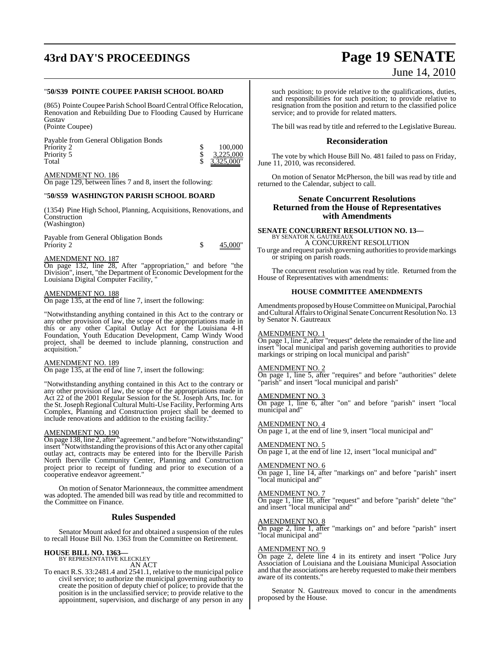# **43rd DAY'S PROCEEDINGS Page 19 SENATE**

### "**50/S39 POINTE COUPEE PARISH SCHOOL BOARD**

(865) Pointe Coupee Parish School Board Central Office Relocation, Renovation and Rebuilding Due to Flooding Caused by Hurricane Gustav (Pointe Coupee)

Payable from General Obligation Bonds Priority 2 <br>
Priority 5 <br>
Total <br>
S 3,225,000<br>
S 3,225,000<br>
S 3,325,000 Priority 5<br>Total



AMENDMENT NO. 186 On page 129, between lines 7 and 8, insert the following:

### "**50/S59 WASHINGTON PARISH SCHOOL BOARD**

(1354) Pine High School, Planning, Acquisitions, Renovations, and **Construction** (Washington)

Payable from General Obligation Bonds Priority 2 \$ 45,000"

### AMENDMENT NO. 187

On page 132, line 28, After "appropriation," and before "the Division", insert, "the Department of Economic Development for the Louisiana Digital Computer Facility, "

### AMENDMENT NO. 188

On page 135, at the end of line 7, insert the following:

"Notwithstanding anything contained in this Act to the contrary or any other provision of law, the scope of the appropriations made in this or any other Capital Outlay Act for the Louisiana 4-H Foundation, Youth Education Development, Camp Windy Wood project, shall be deemed to include planning, construction and acquisition."

### AMENDMENT NO. 189

On page 135, at the end of line 7, insert the following:

"Notwithstanding anything contained in this Act to the contrary or any other provision of law, the scope of the appropriations made in Act 22 of the 2001 Regular Session for the St. Joseph Arts, Inc. for the St.Joseph Regional Cultural Multi-Use Facility, Performing Arts Complex, Planning and Construction project shall be deemed to include renovations and addition to the existing facility."

### AMENDMENT NO. 190

On page 138, line 2, after "agreement." and before "Notwithstanding" insert "Notwithstanding the provisions ofthis Act or any other capital outlay act, contracts may be entered into for the Iberville Parish North Iberville Community Center, Planning and Construction project prior to receipt of funding and prior to execution of a cooperative endeavor agreement."

On motion of Senator Marionneaux, the committee amendment was adopted. The amended bill was read by title and recommitted to the Committee on Finance.

### **Rules Suspended**

Senator Mount asked for and obtained a suspension of the rules to recall House Bill No. 1363 from the Committee on Retirement.

### **HOUSE BILL NO. 1363—**

BY REPRESENTATIVE KLECKLEY AN ACT

To enact R.S. 33:2481.4 and 2541.1, relative to the municipal police civil service; to authorize the municipal governing authority to create the position of deputy chief of police; to provide that the position is in the unclassified service; to provide relative to the appointment, supervision, and discharge of any person in any

# June 14, 2010

such position; to provide relative to the qualifications, duties, and responsibilities for such position; to provide relative to resignation from the position and return to the classified police service; and to provide for related matters.

The bill was read by title and referred to the Legislative Bureau.

### **Reconsideration**

The vote by which House Bill No. 481 failed to pass on Friday, June 11, 2010, was reconsidered.

On motion of Senator McPherson, the bill was read by title and returned to the Calendar, subject to call.

### **Senate Concurrent Resolutions Returned from the House of Representatives with Amendments**

# **SENATE CONCURRENT RESOLUTION NO. 13<br>BY SENATOR N. GAUTREAUX<br>A CONCURRENT RESOLUTION**

To urge and request parish governing authorities to provide markings or striping on parish roads.

The concurrent resolution was read by title. Returned from the House of Representatives with amendments:

### **HOUSE COMMITTEE AMENDMENTS**

Amendments proposed by House Committee on Municipal, Parochial and Cultural Affairs to Original Senate Concurrent Resolution No. 13 by Senator N. Gautreaux

### AMENDMENT NO. 1

On page 1, line 2, after "request" delete the remainder of the line and insert "local municipal and parish governing authorities to provide markings or striping on local municipal and parish"

### AMENDMENT NO. 2

On page 1, line 5, after "requires" and before "authorities" delete "parish" and insert "local municipal and parish"

### AMENDMENT NO. 3

On page 1, line 6, after "on" and before "parish" insert "local municipal and"

### AMENDMENT NO. 4

On page 1, at the end of line 9, insert "local municipal and"

### AMENDMENT NO. 5

On page 1, at the end of line 12, insert "local municipal and"

### AMENDMENT NO. 6

On page 1, line 14, after "markings on" and before "parish" insert "local municipal and"

### AMENDMENT NO. 7

On page 1, line 18, after "request" and before "parish" delete "the" and insert "local municipal and"

### AMENDMENT NO. 8

On page 2, line 1, after "markings on" and before "parish" insert "local municipal and"

### AMENDMENT NO. 9

On page 2, delete line 4 in its entirety and insert "Police Jury Association of Louisiana and the Louisiana Municipal Association and that the associations are hereby requested to make their members aware of its contents."

Senator N. Gautreaux moved to concur in the amendments proposed by the House.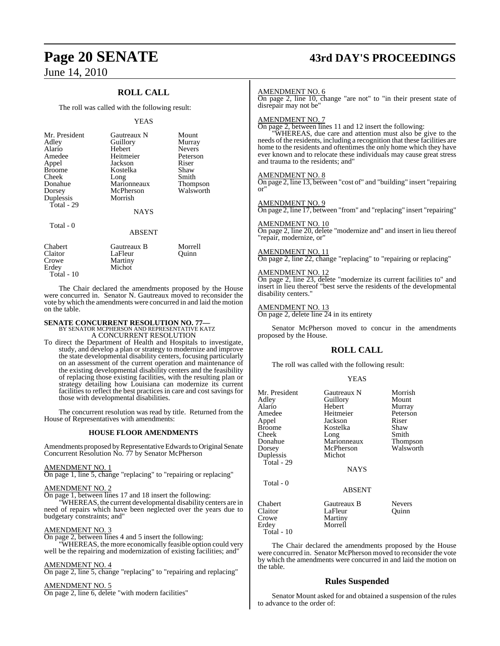## **ROLL CALL**

The roll was called with the following result:

### YEAS

| Mr. President<br>Adley<br>Alario<br>Amedee<br>Appel<br><b>Broome</b><br>Cheek<br>Donahue<br>Dorsey<br>Duplessis<br>Total - 29 | Gautreaux N<br>Guillory<br>Hebert<br>Heitmeier<br>Jackson<br>Kostelka<br>Long<br>Marionneaux<br>McPherson<br>Morrish | Mount<br>Murray<br><b>Nevers</b><br>Peterson<br>Riser<br>Shaw<br>Smith<br><b>Thompson</b><br>Walsworth |
|-------------------------------------------------------------------------------------------------------------------------------|----------------------------------------------------------------------------------------------------------------------|--------------------------------------------------------------------------------------------------------|
|                                                                                                                               | <b>NAYS</b>                                                                                                          |                                                                                                        |
| Total - 0                                                                                                                     | <b>ABSENT</b>                                                                                                        |                                                                                                        |

| Chabert    | Gautreaux B | Morrell |
|------------|-------------|---------|
| Claitor    | LaFleur     | Ouinn   |
| Crowe      | Martiny     |         |
| Erdey      | Michot      |         |
| Total - 10 |             |         |

The Chair declared the amendments proposed by the House were concurred in. Senator N. Gautreaux moved to reconsider the vote by which the amendments were concurred in and laid the motion on the table.

## **SENATE CONCURRENT RESOLUTION NO. 77—** BY SENATOR MCPHERSON AND REPRESENTATIVE KATZ A CONCURRENT RESOLUTION

To direct the Department of Health and Hospitals to investigate, study, and develop a plan or strategy to modernize and improve the state developmental disability centers, focusing particularly on an assessment of the current operation and maintenance of the existing developmental disability centers and the feasibility of replacing those existing facilities, with the resulting plan or strategy detailing how Louisiana can modernize its current facilities to reflect the best practices in care and cost savings for those with developmental disabilities.

The concurrent resolution was read by title. Returned from the House of Representatives with amendments:

### **HOUSE FLOOR AMENDMENTS**

Amendments proposed by Representative Edwards to Original Senate Concurrent Resolution No. 77 by Senator McPherson

### AMENDMENT NO. 1

On page 1, line 5, change "replacing" to "repairing or replacing"

### AMENDMENT NO. 2

On page 1, between lines 17 and 18 insert the following:

WHEREAS, the current developmental disability centers are in need of repairs which have been neglected over the years due to budgetary constraints; and"

### AMENDMENT NO. 3

On page 2, between lines 4 and 5 insert the following:

"WHEREAS, the more economically feasible option could very well be the repairing and modernization of existing facilities; and"

### AMENDMENT NO. 4

On page 2, line 5, change "replacing" to "repairing and replacing"

## AMENDMENT NO. 5

On page 2, line 6, delete "with modern facilities"

# **Page 20 SENATE 43rd DAY'S PROCEEDINGS**

### AMENDMENT NO. 6

On page 2, line 10, change "are not" to "in their present state of disrepair may not be"

### AMENDMENT NO. 7

On page 2, between lines 11 and 12 insert the following:

"WHEREAS, due care and attention must also be give to the needs of the residents, including a recognition that these facilities are home to the residents and oftentimes the only home which they have ever known and to relocate these individuals may cause great stress and trauma to the residents; and"

### AMENDMENT NO. 8

On page 2, line 13, between "cost of" and "building" insert "repairing or"

### AMENDMENT NO. 9

On page 2, line 17, between "from" and "replacing" insert "repairing"

### AMENDMENT NO. 10

On page 2, line 20, delete "modernize and" and insert in lieu thereof "repair, modernize, or"

### AMENDMENT NO. 11

On page 2, line 22, change "replacing" to "repairing or replacing"

### AMENDMENT NO. 12

On page 2, line 23, delete "modernize its current facilities to" and insert in lieu thereof "best serve the residents of the developmental disability centers."

### AMENDMENT NO. 13

On page 2, delete line 24 in its entirety

Senator McPherson moved to concur in the amendments proposed by the House.

### **ROLL CALL**

**VEAS** 

The roll was called with the following result:

|                                                                                                                               | 1 L/ W                                                                                                                             |                                                                                           |
|-------------------------------------------------------------------------------------------------------------------------------|------------------------------------------------------------------------------------------------------------------------------------|-------------------------------------------------------------------------------------------|
| Mr. President<br>Adley<br>Alario<br>Amedee<br>Appel<br><b>Broome</b><br>Cheek<br>Donahue<br>Dorsey<br>Duplessis<br>Total - 29 | Gautreaux N<br>Guillory<br>Hebert<br>Heitmeier<br>Jackson<br>Kostelka<br>Long<br>Marionneaux<br>McPherson<br>Michot<br><b>NAYS</b> | Morrish<br>Mount<br>Murray<br>Peterson<br>Riser<br>Shaw<br>Smith<br>Thompson<br>Walsworth |
| Total - 0<br>Chabert<br>Claitor<br>Crowe<br>Erdey                                                                             | <b>ABSENT</b><br>Gautreaux B<br>LaFleur<br>Martiny<br>Morrell                                                                      | <b>Nevers</b><br>Quinn                                                                    |
| Total - 10                                                                                                                    |                                                                                                                                    |                                                                                           |

The Chair declared the amendments proposed by the House were concurred in. Senator McPherson moved to reconsider the vote by which the amendments were concurred in and laid the motion on the table.

### **Rules Suspended**

Senator Mount asked for and obtained a suspension of the rules to advance to the order of: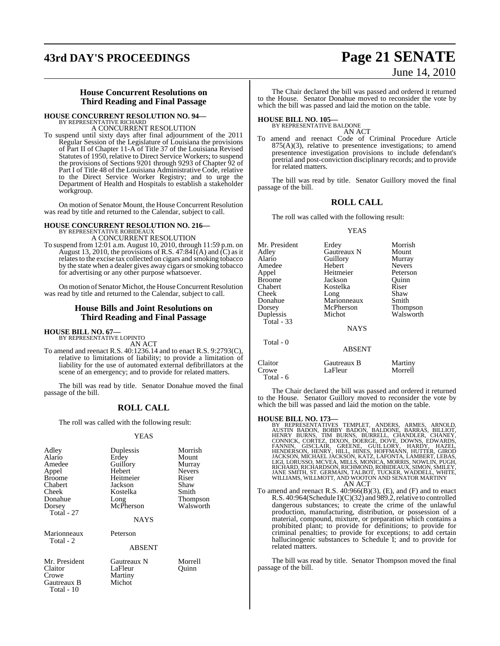# **43rd DAY'S PROCEEDINGS Page 21 SENATE**

# June 14, 2010

### **House Concurrent Resolutions on Third Reading and Final Passage**

## **HOUSE CONCURRENT RESOLUTION NO. 94—** BY REPRESENTATIVE RICHARD A CONCURRENT RESOLUTION

To suspend until sixty days after final adjournment of the 2011 Regular Session of the Legislature of Louisiana the provisions of Part II of Chapter 11-A of Title 37 of the Louisiana Revised Statutes of 1950, relative to Direct Service Workers; to suspend the provisions of Sections 9201 through 9293 of Chapter 92 of Part I of Title 48 of the Louisiana Administrative Code, relative to the Direct Service Worker Registry; and to urge the Department of Health and Hospitals to establish a stakeholder workgroup.

On motion of Senator Mount, the House Concurrent Resolution was read by title and returned to the Calendar, subject to call.

### **HOUSE CONCURRENT RESOLUTION NO. 216—** BY REPRESENTATIVE ROBIDEAUX A CONCURRENT RESOLUTION

To suspend from 12:01 a.m. August 10, 2010, through 11:59 p.m. on August 13, 2010, the provisions of R.S.  $47:841(A)$  and  $(C)$  as it relatesto the excise tax collected on cigars and smoking tobacco by the state when a dealer gives away cigars or smoking tobacco

for advertising or any other purpose whatsoever. On motion of Senator Michot, the House Concurrent Resolution

was read by title and returned to the Calendar, subject to call.

### **House Bills and Joint Resolutions on Third Reading and Final Passage**

# **HOUSE BILL NO. 67—** BY REPRESENTATIVE LOPINTO

Total - 10

AN ACT

To amend and reenact R.S. 40:1236.14 and to enact R.S. 9:2793(C), relative to limitations of liability; to provide a limitation of liability for the use of automated external defibrillators at the scene of an emergency; and to provide for related matters.

The bill was read by title. Senator Donahue moved the final passage of the bill.

### **ROLL CALL**

The roll was called with the following result:

### YEAS

| Adley<br>Alario<br>Amedee<br>Appel<br><b>Broome</b><br>Chabert<br>Cheek<br>Donahue<br>Dorsey<br>Total - 27 | Duplessis<br>Erdey<br>Guillory<br>Hebert<br>Heitmeier<br>Jackson<br>Kostelka<br>Long<br>McPherson<br><b>NAYS</b> | Morrish<br>Mount<br>Murray<br><b>Nevers</b><br>Riser<br>Shaw<br>Smith<br>Thompson<br>Walsworth |
|------------------------------------------------------------------------------------------------------------|------------------------------------------------------------------------------------------------------------------|------------------------------------------------------------------------------------------------|
| Marionneaux<br>Total - 2                                                                                   | Peterson<br><b>ABSENT</b>                                                                                        |                                                                                                |
| Mr. President<br>Claitor<br>Crowe<br>Gautreaux B                                                           | Gautreaux N<br>LaFleur<br>Martiny<br>Michot                                                                      | Morrell<br>Ouinn                                                                               |

The Chair declared the bill was passed and ordered it returned to the House. Senator Donahue moved to reconsider the vote by which the bill was passed and laid the motion on the table.

# **HOUSE BILL NO. 105—** BY REPRESENTATIVE BALDONE

AN ACT

To amend and reenact Code of Criminal Procedure Article  $875(A)(3)$ , relative to presentence investigations; to amend presentence investigation provisions to include defendant's pretrial and post-conviction disciplinary records; and to provide for related matters.

The bill was read by title. Senator Guillory moved the final passage of the bill.

### **ROLL CALL**

The roll was called with the following result:

### YEAS

| Mr. President | Erdey              | Morrish       |
|---------------|--------------------|---------------|
| Adley         | <b>Gautreaux N</b> | Mount         |
| Alario        | Guillory           | Murray        |
| Amedee        | Hebert             | <b>Nevers</b> |
| Appel         | Heitmeier          | Peterson      |
| <b>Broome</b> | Jackson            | Quinn         |
| Chabert       | Kostelka           | Riser         |
| Cheek         | Long               | Shaw          |
| Donahue       | Marionneaux        | Smith         |
| Dorsey        | McPherson          | Thompson      |
| Duplessis     | Michot             | Walsworth     |
| Total - 33    |                    |               |
|               | <b>NAYS</b>        |               |
| Total - 0     |                    |               |
|               | <b>ABSENT</b>      |               |
| Claitor       | Gautreaux B        | Martiny       |
| Crowe         | LaFleur            | Morrell       |

The Chair declared the bill was passed and ordered it returned to the House. Senator Guillory moved to reconsider the vote by which the bill was passed and laid the motion on the table.

Total - 6

**HOUSE BILL NO. 173—**<br>BY REPRESENTATIVES TEMPLET, ANDERS, ARMES, ARNOLD,<br>AUSTIN BADON, BOBBY BADON, BALDONE, BARRAS, BILLIOT,<br>HENRY BURNS, TIM BURNS, BURRELL, CHANDLER, CHANEY,<br>CONNICK, CORTEZ, DIXON, DOERGE, DOVE, DOWNS, AN ACT

To amend and reenact R.S. 40:966(B)(3), (E), and (F) and to enact R.S. 40:964(Schedule I)(C)(32) and 989.2, relative to controlled dangerous substances; to create the crime of the unlawful production, manufacturing, distribution, or possession of a material, compound, mixture, or preparation which contains a prohibited plant; to provide for definitions; to provide for criminal penalties; to provide for exceptions; to add certain hallucinogenic substances to Schedule I; and to provide for related matters.

The bill was read by title. Senator Thompson moved the final passage of the bill.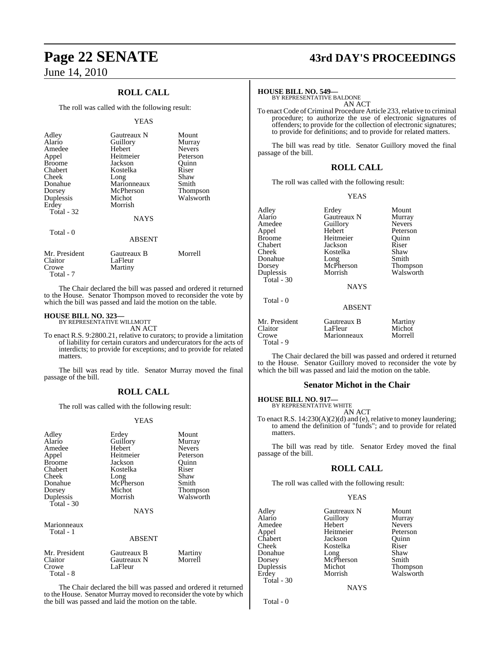## **ROLL CALL**

The roll was called with the following result:

### YEAS

| Adley<br>Alario<br>Amedee<br>Appel<br><b>Broome</b><br>Chabert<br>Cheek<br>Donahue<br>Dorsey<br>Duplessis<br>Erdey<br>Total - 32<br>Total - 0 | Gautreaux N<br>Guillory<br>Hebert<br>Heitmeier<br>Jackson<br>Kostelka<br>Long<br>Marionneaux<br>McPherson<br>Michot<br>Morrish<br><b>NAYS</b> | Mount<br>Murray<br><b>Nevers</b><br>Peterson<br>Ouinn<br>Riser<br>Shaw<br>Smith<br><b>Thompson</b><br>Walsworth |
|-----------------------------------------------------------------------------------------------------------------------------------------------|-----------------------------------------------------------------------------------------------------------------------------------------------|-----------------------------------------------------------------------------------------------------------------|
|                                                                                                                                               | <b>ABSENT</b>                                                                                                                                 |                                                                                                                 |
| Mr. President<br>Claitor<br>Crowe                                                                                                             | Gautreaux B<br>LaFleur<br>Martiny                                                                                                             | Morrell                                                                                                         |

Total - 7

The Chair declared the bill was passed and ordered it returned to the House. Senator Thompson moved to reconsider the vote by which the bill was passed and laid the motion on the table.

# **HOUSE BILL NO. 323—** BY REPRESENTATIVE WILLMOTT

AN ACT

To enact R.S. 9:2800.21, relative to curators; to provide a limitation of liability for certain curators and undercurators for the acts of interdicts; to provide for exceptions; and to provide for related matters.

The bill was read by title. Senator Murray moved the final passage of the bill.

### **ROLL CALL**

The roll was called with the following result:

### YEAS

| Adley<br>Alario<br>Amedee<br>Appel<br><b>Broome</b><br>Chabert<br>Cheek<br>Donahue<br>Dorsey<br>Duplessis | Erdey<br>Guillory<br>Hebert<br>Heitmeier<br>Jackson<br>Kostelka<br>Long<br>McPherson<br>Michot<br>Morrish | Mount<br>Murray<br><b>Nevers</b><br>Peterson<br>Ouinn<br>Riser<br>Shaw<br>Smith<br><b>Thompson</b><br>Walsworth |
|-----------------------------------------------------------------------------------------------------------|-----------------------------------------------------------------------------------------------------------|-----------------------------------------------------------------------------------------------------------------|
| Total - $30$                                                                                              | <b>NAYS</b>                                                                                               |                                                                                                                 |
| Marionneaux<br>Total - 1                                                                                  | ABSENT                                                                                                    |                                                                                                                 |
| Mr. President<br>Claitor<br>Crowe<br>Total - 8                                                            | Gautreaux B<br>Gautreaux N<br>LaFleur                                                                     | Martiny<br>Morrell                                                                                              |

The Chair declared the bill was passed and ordered it returned to the House. Senator Murray moved to reconsider the vote by which the bill was passed and laid the motion on the table.

# **Page 22 SENATE 43rd DAY'S PROCEEDINGS**

### **HOUSE BILL NO. 549—**

BY REPRESENTATIVE BALDONE AN ACT

To enact Code of Criminal Procedure Article 233, relative to criminal procedure; to authorize the use of electronic signatures of offenders; to provide for the collection of electronic signatures; to provide for definitions; and to provide for related matters.

The bill was read by title. Senator Guillory moved the final passage of the bill.

### **ROLL CALL**

The roll was called with the following result:

YEAS

| Adley         | Erdey         | Mount         |
|---------------|---------------|---------------|
| Alario        | Gautreaux N   | Murray        |
| Amedee        | Guillory      | <b>Nevers</b> |
| Appel         | Hebert        | Peterson      |
| Broome        | Heitmeier     | Quinn         |
| Chabert       | Jackson       | Riser         |
| Cheek         | Kostelka      | Shaw          |
| Donahue       | Long          | Smith         |
| Dorsey        | McPherson     | Thompson      |
| Duplessis     | Morrish       | Walsworth     |
| Total - 30    |               |               |
|               | <b>NAYS</b>   |               |
| Total - 0     |               |               |
|               | <b>ABSENT</b> |               |
| Mr. President | Gautreaux B   | Martiny       |
| Claitor       | LaFleur       | Michot        |
| Crowe         | Marionneaux   | Morrell       |
| Total - 9     |               |               |

The Chair declared the bill was passed and ordered it returned to the House. Senator Guillory moved to reconsider the vote by which the bill was passed and laid the motion on the table.

### **Senator Michot in the Chair**

# **HOUSE BILL NO. 917—** BY REPRESENTATIVE WHITE

AN ACT

To enact R.S. 14:230(A)(2)(d) and (e), relative to money laundering; to amend the definition of "funds"; and to provide for related matters.

The bill was read by title. Senator Erdey moved the final passage of the bill.

### **ROLL CALL**

The roll was called with the following result:

YEAS

| Adley      | Gautreaux N | Mount         |
|------------|-------------|---------------|
| Alario     | Guillory    | Murray        |
| Amedee     | Hebert      | <b>Nevers</b> |
| Appel      | Heitmeier   | Peterson      |
| Chabert    | Jackson     | Ouinn         |
| Cheek      | Kostelka    | Riser         |
| Donahue    | Long        | Shaw          |
| Dorsey     | McPherson   | Smith         |
| Duplessis  | Michot      | Thompson      |
| Erdev      | Morrish     | Walsworth     |
| Total - 30 |             |               |

Total - 0

**NAYS**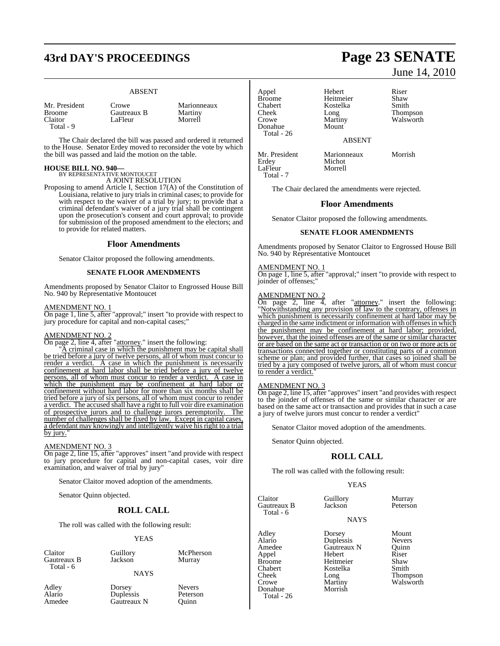# **43rd DAY'S PROCEEDINGS Page 23 SENATE**

### ABSENT

| Mr. President |  |
|---------------|--|
| <b>Broome</b> |  |
| Claitor       |  |
| Total - 9     |  |

Crowe Marionneaux<br>
Gautreaux B Martiny **Gautreaux B** Martiny<br>LaFleur Morrell LaFleur

The Chair declared the bill was passed and ordered it returned to the House. Senator Erdey moved to reconsider the vote by which the bill was passed and laid the motion on the table.

# **HOUSE BILL NO. 940—** BY REPRESENTATIVE MONTOUCET

A JOINT RESOLUTION

Proposing to amend Article I, Section 17(A) of the Constitution of Louisiana, relative to jury trials in criminal cases; to provide for with respect to the waiver of a trial by jury; to provide that a criminal defendant's waiver of a jury trial shall be contingent upon the prosecution's consent and court approval; to provide for submission of the proposed amendment to the electors; and to provide for related matters.

### **Floor Amendments**

Senator Claitor proposed the following amendments.

### **SENATE FLOOR AMENDMENTS**

Amendments proposed by Senator Claitor to Engrossed House Bill No. 940 by Representative Montoucet

### AMENDMENT NO. 1

On page 1, line 5, after "approval;" insert "to provide with respect to jury procedure for capital and non-capital cases;

### AMENDMENT NO. 2

On page 2, line 4, after "attorney." insert the following:

A criminal case in which the punishment may be capital shall be tried before a jury of twelve persons, all of whom must concur to render a verdict. A case in which the punishment is necessarily confinement at hard labor shall be tried before a jury of twelve persons, all of whom must concur to render a verdict. A case in which the punishment may be confinement at hard labor or confinement without hard labor for more than six months shall be tried before a jury of six persons, all of whom must concur to render a verdict. The accused shall have a right to full voir dire examination of prospective jurors and to challenge jurors peremptorily. The number of challenges shall be fixed by law. Except in capital cases, a defendant may knowingly and intelligently waive his right to a trial by jury.

### AMENDMENT NO. 3

On page 2, line 15, after "approves" insert "and provide with respect to jury procedure for capital and non-capital cases, voir dire examination, and waiver of trial by jury"

Senator Claitor moved adoption of the amendments.

Senator Quinn objected.

### **ROLL CALL**

The roll was called with the following result:

### YEAS

Claitor Guillory McPherson<br>Gautreaux B Jackson Murray Gautreaux B Total - 6

**NAYS** 

Adley Dorsey Nevers Alario Duplessis Peterson<br>Amedee Gautreaux N Ouinn Gautreaux N

Appel Hebert Riser Broome Heitmeier Shaw<br>Chabert Kostelka Smith Chabert Kostelka<br>Cheek Long Cheek Long Thompson<br>Crowe Martiny Walsworth Donahue Total - 26

Martiny Walsworth

Michot<br>Morrell

June 14, 2010

### ABSENT

Mr. President Marionneaux Morrish<br>
Erdey Michot LaFleur Total - 7

The Chair declared the amendments were rejected.

### **Floor Amendments**

Senator Claitor proposed the following amendments.

### **SENATE FLOOR AMENDMENTS**

Amendments proposed by Senator Claitor to Engrossed House Bill No. 940 by Representative Montoucet

### AMENDMENT NO. 1

On page 1, line 5, after "approval;" insert "to provide with respect to joinder of offenses;

### AMENDMENT NO. 2

On page 2, line 4, after "attorney." insert the following: "Notwithstanding any provision of law to the contrary, offenses in which punishment is necessarily confinement at hard labor may be charged in the same indictment or information with offensesin which the punishment may be confinement at hard labor; provided, however, that the joined offenses are of the same or similar character or are based on the same act or transaction or on two or more acts or transactions connected together or constituting parts of a common scheme or plan; and provided further, that cases so joined shall be tried by a jury composed of twelve jurors, all of whom must concur to render a verdict.

### AMENDMENT NO. 3

On page 2, line 15, after "approves" insert "and provides with respect to the joinder of offenses of the same or similar character or are based on the same act or transaction and provides that in such a case a jury of twelve jurors must concur to render a verdict"

Senator Claitor moved adoption of the amendments.

Senator Quinn objected.

### **ROLL CALL**

The roll was called with the following result:

### YEAS

Claitor Cuillory Murray<br>Cautreaux B Jackson Peterso Gautreaux B Jackson Peterson Total - 6

Donahue Total - 26 NAYS

Adley Dorsey Mount<br>Alario Duplessis Nevers Alario Duplessis Nevers Gautreaux N<br>Hebert Appel Hebert Riser Broome Heitmeier Shaw<br>Chabert Kostelka Smith Chabert Kostelka<br>Cheek Long

Cheek Long Thompson<br>Crowe Martiny Walsworth Martiny Walsworth<br>Morrish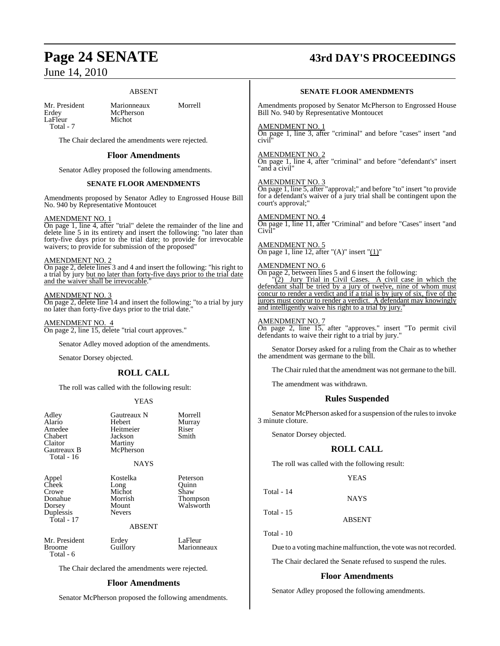### ABSENT

LaFleur Total - 7

Mr. President Marionneaux Morrell<br>Erdev McPherson McPherson<br>Michot

The Chair declared the amendments were rejected.

### **Floor Amendments**

Senator Adley proposed the following amendments.

### **SENATE FLOOR AMENDMENTS**

Amendments proposed by Senator Adley to Engrossed House Bill No. 940 by Representative Montoucet

### AMENDMENT NO. 1

On page 1, line 4, after "trial" delete the remainder of the line and delete line 5 in its entirety and insert the following: "no later than forty-five days prior to the trial date; to provide for irrevocable waivers; to provide for submission of the proposed"

### AMENDMENT NO. 2

On page 2, delete lines 3 and 4 and insert the following: "his right to a trial by jury but no later than forty-five days prior to the trial date and the waiver shall be irrevocable.

### AMENDMENT NO. 3

On page 2, delete line 14 and insert the following: "to a trial by jury no later than forty-five days prior to the trial date.

AMENDMENT NO. 4

On page 2, line 15, delete "trial court approves."

Senator Adley moved adoption of the amendments.

Senator Dorsey objected.

## **ROLL CALL**

The roll was called with the following result:

### YEAS

| Adley<br>Alario<br>Amedee<br>Chabert<br>Claitor<br>Gautreaux B<br>Total - 16 | Gautreaux N<br>Hebert<br>Heitmeier<br>Jackson<br>Martiny<br>McPherson<br><b>NAYS</b> | Morrell<br>Murray<br>Riser<br>Smith |
|------------------------------------------------------------------------------|--------------------------------------------------------------------------------------|-------------------------------------|
| Appel<br>Cheek                                                               | Kostelka<br>Long                                                                     | Peterson<br>Ouinn                   |

Crowe Michot Shaw Donahue Morrish Dorsey Mount<br>
Dunlessis Nevers Duplessis Total - 17

| <b>Peterson</b> |
|-----------------|
| Ouinn           |
| Shaw            |
| <b>Thompson</b> |
| Walsworth       |
|                 |

### ABSENT

Total - 6

Mr. President Erdey LaFleur<br>Broome Guillory Marionn Marionneaux

The Chair declared the amendments were rejected.

### **Floor Amendments**

Senator McPherson proposed the following amendments.

# **Page 24 SENATE 43rd DAY'S PROCEEDINGS**

### **SENATE FLOOR AMENDMENTS**

Amendments proposed by Senator McPherson to Engrossed House Bill No. 940 by Representative Montoucet

### AMENDMENT NO. 1

On page 1, line 3, after "criminal" and before "cases" insert "and civil"

### AMENDMENT NO. 2

On page 1, line 4, after "criminal" and before "defendant's" insert "and a civil"

### AMENDMENT NO. 3

On page 1, line 5, after "approval;" and before "to" insert "to provide for a defendant's waiver of a jury trial shall be contingent upon the court's approval;"

### AMENDMENT NO. 4

On page 1, line 11, after "Criminal" and before "Cases" insert "and Civil"

## AMENDMENT NO. 5

On page 1, line 12, after " $(A)$ " insert " $(1)$ "

## MENDMENT NO. 6

On page 2, between lines 5 and 6 insert the following: "(2) Jury Trial in Civil Cases. A civil case in which the defendant shall be tried by a jury of twelve, nine of whom must concur to render a verdict and if a trial is by jury of six, five of the jurors must concur to render a verdict. A defendant may knowingly and intelligently waive his right to a trial by jury."

### AMENDMENT NO. 7

On page 2, line 15, after "approves." insert "To permit civil defendants to waive their right to a trial by jury.

Senator Dorsey asked for a ruling from the Chair as to whether the amendment was germane to the bill.

The Chair ruled that the amendment was not germane to the bill.

The amendment was withdrawn.

### **Rules Suspended**

Senator McPherson asked for a suspension of the rules to invoke 3 minute cloture.

Senator Dorsey objected.

### **ROLL CALL**

The roll was called with the following result:

```
YEAS
```
**NAYS** 

Total - 14

Total - 15

ABSENT

Total - 10

Due to a voting machine malfunction, the vote was notrecorded.

The Chair declared the Senate refused to suspend the rules.

### **Floor Amendments**

Senator Adley proposed the following amendments.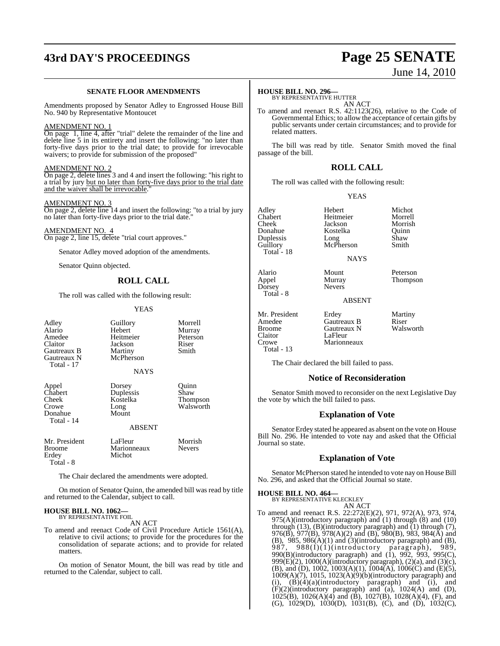# **43rd DAY'S PROCEEDINGS Page 25 SENATE**

### **SENATE FLOOR AMENDMENTS**

Amendments proposed by Senator Adley to Engrossed House Bill No. 940 by Representative Montoucet

### AMENDMENT NO. 1

On page 1, line 4, after "trial" delete the remainder of the line and delete line 5 in its entirety and insert the following: "no later than forty-five days prior to the trial date; to provide for irrevocable waivers; to provide for submission of the proposed"

### AMENDMENT NO. 2

On page 2, delete lines 3 and 4 and insert the following: "his right to a trial by jury but no later than forty-five days prior to the trial date and the waiver shall be irrevocable.

### AMENDMENT NO. 3

On page 2, delete line 14 and insert the following: "to a trial by jury no later than forty-five days prior to the trial date."

### AMENDMENT NO. 4

On page 2, line 15, delete "trial court approves."

Senator Adley moved adoption of the amendments.

Senator Quinn objected.

### **ROLL CALL**

The roll was called with the following result:

### YEAS

| Adley<br>Alario<br>Amedee<br>Claitor<br>Gautreaux B<br>Gautreaux N<br>Total - 17 | Guillory<br>Hebert<br>Heitmeier<br>Jackson<br>Martiny<br>McPherson<br><b>NAYS</b> | Morrell<br>Murray<br>Peterson<br>Riser<br>Smith |
|----------------------------------------------------------------------------------|-----------------------------------------------------------------------------------|-------------------------------------------------|
| Appel<br>Chabert<br>Cheek<br>Crowe<br>Donahue<br>Total - 14                      | Dorsey<br>Duplessis<br>Kostelka<br>Long<br>Mount<br><b>ABSENT</b>                 | Quinn<br>Shaw<br>Thompson<br>Walsworth          |
| Mr. President<br><b>Broome</b>                                                   | LaFleur<br>Marionneaux                                                            | Morrish<br>Nevers                               |

The Chair declared the amendments were adopted.

On motion of Senator Quinn, the amended bill was read by title and returned to the Calendar, subject to call.

### **HOUSE BILL NO. 1062—** BY REPRESENTATIVE FOIL

Erdey Michot

Total - 8

AN ACT

To amend and reenact Code of Civil Procedure Article 1561(A), relative to civil actions; to provide for the procedures for the consolidation of separate actions; and to provide for related matters.

On motion of Senator Mount, the bill was read by title and returned to the Calendar, subject to call.

# June 14, 2010

### **HOUSE BILL NO. 296—**

BY REPRESENTATIVE HUTTER AN ACT

To amend and reenact R.S. 42:1123(26), relative to the Code of Governmental Ethics; to allow the acceptance of certain gifts by public servants under certain circumstances; and to provide for related matters.

The bill was read by title. Senator Smith moved the final passage of the bill.

### **ROLL CALL**

The roll was called with the following result:

YEAS

Adley Hebert Michot Chabert Heitmeier Morrell Cheek Jackson Morris<br>Donahue Kostelka Ouinn Duplessis Long Shaw Guillory McPherson Smith Guillory<br>Total - 18

Alario Mount Peterson Appel Murray Thompson<br>Dorsey Nevers Total - 8

Kostelka

Nevers<sup>1</sup>

ABSENT

NAYS

Mr. President Erdey Martiny Amedee Gautreaux B Riser Broome Gautreaux N<br>Claitor LaFleur Claitor LaFleur<br>Crowe Marionr Total - 13

The Chair declared the bill failed to pass.

Marionneaux

### **Notice of Reconsideration**

Senator Smith moved to reconsider on the next Legislative Day the vote by which the bill failed to pass.

### **Explanation of Vote**

Senator Erdey stated he appeared as absent on the vote on House Bill No. 296. He intended to vote nay and asked that the Official Journal so state.

### **Explanation of Vote**

Senator McPherson stated he intended to vote nay on House Bill No. 296, and asked that the Official Journal so state.

### **HOUSE BILL NO. 464—**

BY REPRESENTATIVE KLECKLEY AN ACT

To amend and reenact R.S. 22:272(E)(2), 971, 972(A), 973, 974, 975(A)(introductory paragraph) and (1) through (8) and (10) through  $(13)$ ,  $(B)$ (introductory paragraph) and  $(1)$  through  $(7)$ , 976(B), 977(B), 978(A)(2) and (B), 980(B), 983, 984(A) and  $(B)$ , 985, 986 $(A)(1)$  and  $(3)(introducing a paragraph)$  and  $(B)$ , 987, 988(I)(1)(introductory paragraph), 989, 990(B)(introductory paragraph) and (1), 992, 993, 995(C), 999 $(E)(2)$ , 1000 $(A)$ (introductory paragraph),  $(2)(a)$ , and  $(3)(c)$ , (B), and (D), 1002, 1003(A)(1), 1004(A), 1006(C) and (E)(5), 1009(A)(7), 1015, 1023(A)(9)(b)(introductory paragraph) and (i),  $(B)(4)(a)$ (introductory paragraph) and (i), and  $(F)(2)$ (introductory paragraph) and  $(a)$ , 1024(A) and (D), 1025(B), 1026(A)(4) and (B), 1027(B), 1028(A)(4), (F), and (G), 1029(D), 1030(D), 1031(B), (C), and (D), 1032(C),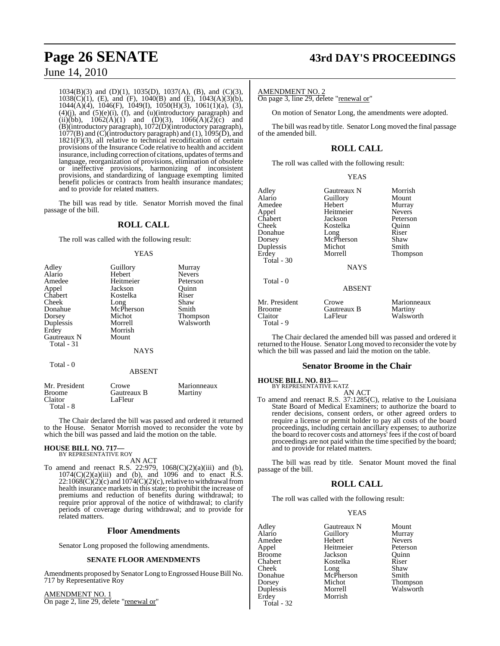1034(B)(3) and (D)(1), 1035(D), 1037(A), (B), and (C)(3), 1038(C)(1), (E), and (F), 1040(B) and (E), 1043(A)(3)(b), 1044(A)(4), 1046(F), 1049(I), 1050(H)(3), 1061(1)(a), (3),  $(4)(j)$ , and  $(5)(e)(i)$ ,  $(f)$ , and  $(u)(introducing)$  paragraph) and (ii)(bb),  $1062(A)(1)$  and  $(D)(3)$ ,  $1066(A)(2)(c)$  and (B)(introductory paragraph), 1072(D)(introductory paragraph),  $1077(B)$  and (C)(introductory paragraph) and (1),  $1095(\overline{D})$ , and  $1821(F)(3)$ , all relative to technical recodification of certain provisions of the Insurance Code relative to health and accident insurance, including correction of citations, updates of terms and language, reorganization of provisions, elimination of obsolete or ineffective provisions, harmonizing of inconsistent provisions, and standardizing of language exempting limited benefit policies or contracts from health insurance mandates; and to provide for related matters.

The bill was read by title. Senator Morrish moved the final passage of the bill.

## **ROLL CALL**

The roll was called with the following result:

### YEAS

| Adley<br>Alario<br>Amedee<br>Appel<br>Chabert<br>Cheek<br>Donahue<br>Dorsey<br>Duplessis<br>Erdey<br>Gautreaux N<br>Total - 31 | Guillory<br>Hebert<br>Heitmeier<br>Jackson<br>Kostelka<br>Long<br>McPherson<br>Michot<br>Morrell<br>Morrish<br>Mount<br><b>NAYS</b> | Murray<br><b>Nevers</b><br>Peterson<br>Ouinn<br>Riser<br>Shaw<br>Smith<br>Thompson<br>Walsworth |
|--------------------------------------------------------------------------------------------------------------------------------|-------------------------------------------------------------------------------------------------------------------------------------|-------------------------------------------------------------------------------------------------|
| Total - 0                                                                                                                      | <b>ABSENT</b>                                                                                                                       |                                                                                                 |
| Mr. President<br>Broome<br>Claitor                                                                                             | Crowe<br>Gautreaux B<br>LaFleur                                                                                                     | Marionneaux<br>Martiny                                                                          |

The Chair declared the bill was passed and ordered it returned to the House. Senator Morrish moved to reconsider the vote by which the bill was passed and laid the motion on the table.

### **HOUSE BILL NO. 717—** BY REPRESENTATIVE ROY

Total - 8

AN ACT

To amend and reenact R.S. 22:979, 1068(C)(2)(a)(iii) and (b),  $1074(C)(2)(a)(iii)$  and (b), and 1096 and to enact R.S.  $22:1068(C)(2)(c)$  and  $1074(C)(2)(c)$ , relative to withdrawal from health insurance markets in this state; to prohibit the increase of premiums and reduction of benefits during withdrawal; to require prior approval of the notice of withdrawal; to clarify periods of coverage during withdrawal; and to provide for related matters.

### **Floor Amendments**

Senator Long proposed the following amendments.

### **SENATE FLOOR AMENDMENTS**

Amendments proposed by Senator Long to Engrossed House Bill No. 717 by Representative Roy

AMENDMENT NO. 1 On page 2, line 29, delete "renewal or"

# **Page 26 SENATE 43rd DAY'S PROCEEDINGS**

AMENDMENT NO. 2

On page 3, line 29, delete "renewal or"

On motion of Senator Long, the amendments were adopted.

The bill was read by title. Senator Long moved the final passage of the amended bill.

## **ROLL CALL**

The roll was called with the following result:

| v |
|---|
|---|

| Adley<br>Alario<br>Amedee<br>Appel<br>Chabert<br>Cheek<br>Donahue<br>Dorsey<br>Duplessis<br>Erdey<br>Total $-30$<br>Total - 0 | Gautreaux N<br>Guillory<br>Hebert<br>Heitmeier<br>Jackson<br>Kostelka<br>Long<br>McPherson<br>Michot<br>Morrell<br><b>NAYS</b><br><b>ABSENT</b> | Morrish<br>Mount<br>Murray<br><b>Nevers</b><br>Peterson<br>Ouinn<br>Riser<br>Shaw<br>Smith<br><b>Thompson</b> |
|-------------------------------------------------------------------------------------------------------------------------------|-------------------------------------------------------------------------------------------------------------------------------------------------|---------------------------------------------------------------------------------------------------------------|
|                                                                                                                               |                                                                                                                                                 |                                                                                                               |
| Mr. President<br><b>Broome</b><br>Claitor                                                                                     | Crowe<br>Gautreaux B<br>LaFleur                                                                                                                 | Marionneaux<br>Martiny<br>Walsworth                                                                           |

The Chair declared the amended bill was passed and ordered it returned to the House. Senator Long moved to reconsider the vote by which the bill was passed and laid the motion on the table.

### **Senator Broome in the Chair**

**HOUSE BILL NO. 813—** BY REPRESENTATIVE KATZ

Total - 9

AN ACT To amend and reenact R.S. 37:1285(C), relative to the Louisiana State Board of Medical Examiners; to authorize the board to render decisions, consent orders, or other agreed orders to require a license or permit holder to pay all costs of the board proceedings, including certain ancillary expenses; to authorize the board to recover costs and attorneys' fees if the cost of board proceedings are not paid within the time specified by the board; and to provide for related matters.

The bill was read by title. Senator Mount moved the final passage of the bill.

## **ROLL CALL**

The roll was called with the following result:

### YEAS

Adley Gautreaux N Mount Amedee Hebert Nevers<br>
Appel Heitmeier Peterson Broome Jackson Quinn<br>Chabert Kostelka Riser Cheek Donahue McPherson Smith<br>Dorsey Michot Thom Dorsey Michot Thompson Duplessis Morrell Walsworth Total - 32

Aussuri Guillory<br>
Hebert Nevers Kostelka Riser<br>Long Shaw

Heitmeier Morrish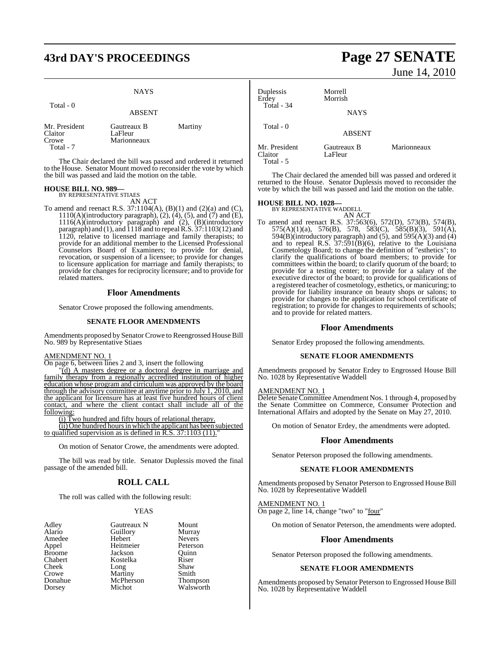# **43rd DAY'S PROCEEDINGS Page 27 SENATE**

|                                                | <b>NAYS</b>                           |         |
|------------------------------------------------|---------------------------------------|---------|
| Total - 0                                      | <b>ABSENT</b>                         |         |
| Mr. President<br>Claitor<br>Crowe<br>Total - 7 | Gautreaux B<br>LaFleur<br>Marionneaux | Martiny |

The Chair declared the bill was passed and ordered it returned to the House. Senator Mount moved to reconsider the vote by which the bill was passed and laid the motion on the table.

### **HOUSE BILL NO. 989—** BY REPRESENTATIVE STIAES

AN ACT

To amend and reenact R.S.  $37:1104(A)$ ,  $(B)(1)$  and  $(2)(a)$  and  $(C)$ , 1110(A)(introductory paragraph), (2), (4), (5), and (7) and (E), 1116(A)(introductory paragraph) and (2), (B)(introductory paragraph) and (1), and 1118 and to repealR.S. 37:1103(12) and 1120, relative to licensed marriage and family therapists; to provide for an additional member to the Licensed Professional Counselors Board of Examiners; to provide for denial, revocation, or suspension of a licensee; to provide for changes to licensure application for marriage and family therapists; to provide for changes for reciprocity licensure; and to provide for related matters.

### **Floor Amendments**

Senator Crowe proposed the following amendments.

### **SENATE FLOOR AMENDMENTS**

Amendments proposed by Senator Crowe to Reengrossed House Bill No. 989 by Representative Stiaes

### AMENDMENT NO. 1

On page 6, between lines 2 and 3, insert the following

"(d) A masters degree or a doctoral degree in marriage and family therapy from a regionally accredited institution of higher education whose program and cirriculum was approved by the board through the advisory committee at anytime prior to July 1, 2010, and the applicant for licensure has at least five hundred hours of client contact, and where the client contact shall include all of the following:

(i) Two hundred and fifty hours of relational therapy.

(ii) One hundred hoursin which the applicant has been subjected to qualified supervision as is defined in  $R.S. 37:1103(11)$ .

On motion of Senator Crowe, the amendments were adopted.

The bill was read by title. Senator Duplessis moved the final passage of the amended bill.

### **ROLL CALL**

The roll was called with the following result:

### YEAS

| Adlev         | Gautreaux N | Mount   |
|---------------|-------------|---------|
| Alario        | Guillory    | Murray  |
| Amedee        | Hebert      | Nevers  |
| Appel         | Heitmeier   | Peterso |
| <b>Broome</b> | Jackson     | Ouinn   |
| Chabert       | Kostelka    | Riser   |
| Cheek         | Long        | Shaw    |
| Crowe         | Martiny     | Smith   |
| Donahue       | McPherson   | Thomp   |
| Dorsey        | Michot      | Walsw   |

Gautreaux N Mount<br> **Administrary County**<br> **Administrary Murray** Ausselland Guillory<br>
Hebert Meyers Heitmeier Peterson<br>Jackson Quinn Jackson Quinn<br>Kostelka Riser Kostelka Riser<br>Long Shaw Long Shaw<br>Martiny Smith McPherson Thompson<br>Michot Walsworth Walsworth

# June 14, 2010

| Duplessis<br>Erdey<br>Total - 34      | Morrell<br>Morrish     |             |
|---------------------------------------|------------------------|-------------|
|                                       | <b>NAYS</b>            |             |
| Total - 0                             | <b>ABSENT</b>          |             |
| Mr. President<br>Claitor<br>Total - 5 | Gautreaux B<br>LaFleur | Marionneaux |

The Chair declared the amended bill was passed and ordered it returned to the House. Senator Duplessis moved to reconsider the vote by which the bill was passed and laid the motion on the table.

# **HOUSE BILL NO. 1028—**

BY REPRESENTATIVE WADDELL AN ACT

To amend and reenact R.S. 37:563(6), 572(D), 573(B), 574(B), 575(A)(1)(a), 576(B), 578, 583(C), 585(B)(3), 591(A), 594(B)(introductory paragraph) and  $(5)$ , and  $595(A)(3)$  and  $(4)$ and to repeal R.S. 37:591(B)(6), relative to the Louisiana Cosmetology Board; to change the definition of "esthetics"; to clarify the qualifications of board members; to provide for committees within the board; to clarify quorum of the board; to provide for a testing center; to provide for a salary of the executive director of the board; to provide for qualifications of a registered teacher of cosmetology, esthetics, or manicuring; to provide for liability insurance on beauty shops or salons; to provide for changes to the application for school certificate of registration; to provide for changes to requirements of schools; and to provide for related matters.

### **Floor Amendments**

Senator Erdey proposed the following amendments.

### **SENATE FLOOR AMENDMENTS**

Amendments proposed by Senator Erdey to Engrossed House Bill No. 1028 by Representative Waddell

### AMENDMENT NO. 1

Delete Senate Committee Amendment Nos. 1 through 4, proposed by the Senate Committee on Commerce, Consumer Protection and International Affairs and adopted by the Senate on May 27, 2010.

On motion of Senator Erdey, the amendments were adopted.

### **Floor Amendments**

Senator Peterson proposed the following amendments.

### **SENATE FLOOR AMENDMENTS**

Amendments proposed by Senator Peterson to Engrossed House Bill No. 1028 by Representative Waddell

AMENDMENT NO. 1 On page 2, line 14, change "two" to "four"

On motion of Senator Peterson, the amendments were adopted.

### **Floor Amendments**

Senator Peterson proposed the following amendments.

### **SENATE FLOOR AMENDMENTS**

Amendments proposed by Senator Peterson to Engrossed House Bill No. 1028 by Representative Waddell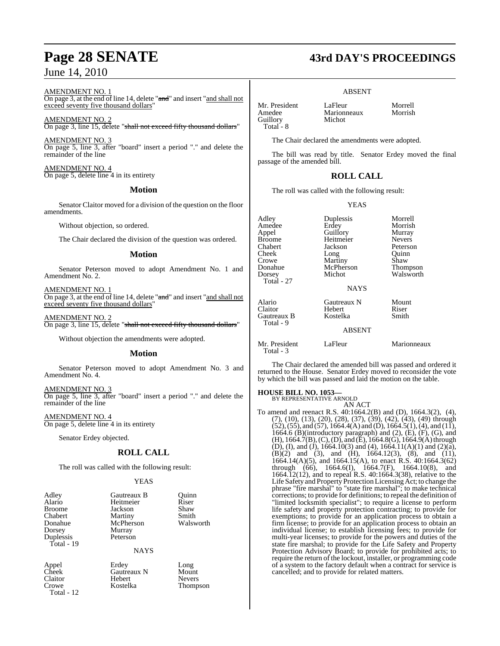AMENDMENT NO. 1

On page 3, at the end of line 14, delete "and" and insert "and shall not exceed seventy five thousand dollars"

AMENDMENT NO. 2 On page 3, line 15, delete "shall not exceed fifty thousand dollars"

AMENDMENT NO. 3 On page 5, line 3, after "board" insert a period "." and delete the remainder of the line

AMENDMENT NO. 4 On page 5, delete line 4 in its entirety

### **Motion**

Senator Claitor moved for a division of the question on the floor amendments.

Without objection, so ordered.

The Chair declared the division of the question was ordered.

### **Motion**

Senator Peterson moved to adopt Amendment No. 1 and Amendment No. 2.

AMENDMENT NO. 1 On page 3, at the end of line 14, delete "and" and insert "and shall not exceed seventy five thousand dollars"

AMENDMENT NO. 2 On page 3, line 15, delete "shall not exceed fifty thousand dollars"

Without objection the amendments were adopted.

### **Motion**

Senator Peterson moved to adopt Amendment No. 3 and Amendment No. 4.

AMENDMENT NO. 3 On page 5, line 3, after "board" insert a period "." and delete the remainder of the line

AMENDMENT NO. 4 On page 5, delete line 4 in its entirety

Senator Erdey objected.

## **ROLL CALL**

The roll was called with the following result:

Murray Peterson

### YEAS

| Adley      |
|------------|
| Alario     |
| Broome     |
| Chabert    |
| Donahue    |
| Dorsey     |
| Duplessis  |
| Total - 19 |
|            |

Gautreaux B Quinn<br>
Heitmeier Riser Heitmeier Riser<br>Iackson Shaw Jackson Shaw<br>Martiny Smith Martiny Smith<br>
McPherson Walsworth McPherson

NAYS

Claitor Hebert<br>Crowe Kostelka Total - 12

Appel Erdey Long Cheek Gautreaux N Mount<br>Claitor Hebert Nevers Thompson

# **Page 28 SENATE 43rd DAY'S PROCEEDINGS**

### ABSENT

Mr. President LaFleur Morrell<br>Amedee Marionneaux Morrish Guillory Total - 8

The Chair declared the amendments were adopted.

Marionneaux<br>Michot

The bill was read by title. Senator Erdey moved the final passage of the amended bill.

### **ROLL CALL**

The roll was called with the following result:

YEAS

| Adley                      | Duplessis     | Morrell       |
|----------------------------|---------------|---------------|
| Amedee                     | Erdey         | Morrish       |
| Appel                      | Guillory      | Murray        |
| Broome                     | Heitmeier     | <b>Nevers</b> |
| Chabert                    | Jackson       | Peterson      |
| Cheek                      | Long          | Ouinn         |
| Crowe                      | Martiny       | Shaw          |
| Donahue                    | McPherson     | Thompson      |
| Dorsey                     | Michot        | Walsworth     |
| Total - 27                 |               |               |
|                            | <b>NAYS</b>   |               |
| Alario                     | Gautreaux N   | Mount         |
| Claitor                    | Hebert        | Riser         |
| Gautreaux B                | Kostelka      | Smith         |
| Total - 9                  |               |               |
|                            | <b>ABSENT</b> |               |
| Mr. President<br>Total - 3 | LaFleur       | Marionneaux   |

The Chair declared the amended bill was passed and ordered it returned to the House. Senator Erdey moved to reconsider the vote by which the bill was passed and laid the motion on the table.

# **HOUSE BILL NO. 1053—** BY REPRESENTATIVE ARNOLD

AN ACT

To amend and reenact R.S. 40:1664.2(B) and (D), 1664.3(2), (4), (7), (10), (13), (20), (28), (37), (39), (42), (43), (49) through  $(52)$ ,  $(55)$ , and  $(57)$ , 1664.4(A) and (D), 1664.5(1), (4), and (11), 1664.6 (B)(introductory paragraph) and  $(2)$ ,  $(E)$ ,  $(F)$ ,  $(G)$ , and (H), 1664.7(B),(C),(D), and (E), 1664.8(G), 1664.9(A) through (D), (I), and (J), 1664.10(3) and (4), 1664.11(A)(1) and (2)(a),  $(B)(2)$  and  $(3)$ , and  $(H)$ , 1664.12(3),  $(8)$ , and  $(11)$ , 1664.14(A)(5), and 1664.15(A), to enact R.S. 40:1664.3(62) through (66), 1664.6(I), 1664.7(F), 1664.10(8), and 1664.12(12), and to repeal R.S. 40:1664.3(38), relative to the Life Safety and Property Protection Licensing Act; to change the phrase "fire marshal" to "state fire marshal"; to make technical corrections; to provide for definitions; to repeal the definition of "limited locksmith specialist"; to require a license to perform life safety and property protection contracting; to provide for exemptions; to provide for an application process to obtain a firm license; to provide for an application process to obtain an individual license; to establish licensing fees; to provide for multi-year licenses; to provide for the powers and duties of the state fire marshal; to provide for the Life Safety and Property Protection Advisory Board; to provide for prohibited acts; to require the return of the lockout, installer, or programming code of a system to the factory default when a contract for service is cancelled; and to provide for related matters.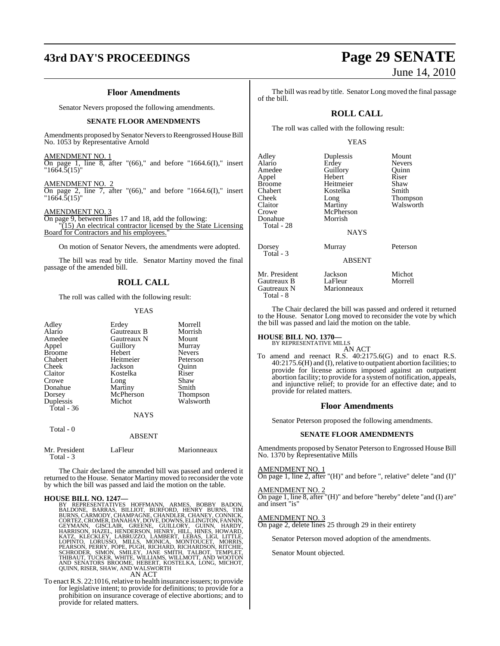# **43rd DAY'S PROCEEDINGS Page 29 SENATE**

### **Floor Amendments**

Senator Nevers proposed the following amendments.

### **SENATE FLOOR AMENDMENTS**

Amendments proposed by Senator Nevers to Reengrossed House Bill No. 1053 by Representative Arnold

### AMENDMENT NO. 1

On page 1, line 8, after " $(66)$ ," and before "1664.6(I)," insert "1664.5(15)"

## AMENDMENT NO. 2

On page 2, line 7, after " $(66)$ ," and before "1664.6(I)," insert "1664.5(15)"

AMENDMENT NO. 3

On page 9, between lines 17 and 18, add the following: "(15) An electrical contractor licensed by the State Licensing Board for Contractors and his employees.'

On motion of Senator Nevers, the amendments were adopted.

The bill was read by title. Senator Martiny moved the final passage of the amended bill.

### **ROLL CALL**

The roll was called with the following result:

### YEAS

| Adley                      | Erdey         | Morrell       |
|----------------------------|---------------|---------------|
| Alario                     | Gautreaux B   | Morrish       |
| Amedee                     | Gautreaux N   | Mount         |
| Appel                      | Guillory      | Murray        |
| <b>Broome</b>              | Hebert        | <b>Nevers</b> |
| Chabert                    | Heitmeier     | Peterson      |
| Cheek                      | Jackson       | Quinn         |
| Claitor                    | Kostelka      | Riser         |
| Crowe                      | Long          | Shaw          |
| Donahue                    | Martiny       | Smith         |
| Dorsey                     | McPherson     | Thompson      |
| Duplessis                  | Michot        | Walsworth     |
| Total $-36$                |               |               |
|                            | <b>NAYS</b>   |               |
| Total - 0                  |               |               |
|                            | <b>ABSENT</b> |               |
| Mr. President<br>Total - 3 | LaFleur       | Marionneaux   |

The Chair declared the amended bill was passed and ordered it returned to the House. Senator Martiny moved to reconsider the vote by which the bill was passed and laid the motion on the table.

### **HOUSE BILL NO. 1247—**

BY REPRESENTATIVES HOFFMANN, ARMES, BOBBY BADON, BURNS, BARAS, BILLIOT, BURFORD, HENRY BURNS, CARMODY, CHAMPAGNE, CHANDLER, CHANEY, CONNICK, GETEZ, CROATEZ, CROATEZ, CROATEZ, GETEZ, CROATEZ, GETYMANN, GISCLAIR, GREENE, GUI

To enact R.S. 22:1016, relative to health insurance issuers; to provide for legislative intent; to provide for definitions; to provide for a prohibition on insurance coverage of elective abortions; and to provide for related matters.

The bill was read by title. Senator Long moved the final passage of the bill.

### **ROLL CALL**

The roll was called with the following result:

### YEAS

| Adley<br>Alario<br>Amedee<br>Appel<br>Broome<br>Chabert<br>Cheek<br>Claitor<br>Crowe<br>Donahue | Duplessis<br>Erdey<br>Guillory<br>Hebert<br>Heitmeier<br>Kostelka<br>Long<br>Martiny<br>McPherson<br>Morrish | Mount<br><b>Nevers</b><br>Ouinn<br>Riser<br>Shaw<br>Smith<br>Thompson<br>Walsworth |
|-------------------------------------------------------------------------------------------------|--------------------------------------------------------------------------------------------------------------|------------------------------------------------------------------------------------|
| Total - 28                                                                                      | <b>NAYS</b>                                                                                                  |                                                                                    |
| Dorsey<br>Total - 3                                                                             | Murray<br><b>ABSENT</b>                                                                                      | Peterson                                                                           |
| Mr. President<br>Gautreaux B<br>Gautreaux N<br>Total - 8                                        | Jackson<br>LaFleur<br>Marionneaux                                                                            | Michot<br>Morrell                                                                  |

The Chair declared the bill was passed and ordered it returned to the House. Senator Long moved to reconsider the vote by which the bill was passed and laid the motion on the table.

# **HOUSE BILL NO. 1370—** BY REPRESENTATIVE MILLS

AN ACT

To amend and reenact R.S. 40:2175.6(G) and to enact R.S. 40:2175.6(H) and (I),relative to outpatient abortion facilities; to provide for license actions imposed against an outpatient abortion facility; to provide for a systemof notification, appeals, and injunctive relief; to provide for an effective date; and to provide for related matters.

### **Floor Amendments**

Senator Peterson proposed the following amendments.

### **SENATE FLOOR AMENDMENTS**

Amendments proposed by Senator Peterson to Engrossed House Bill No. 1370 by Representative Mills

### AMENDMENT NO. 1

On page 1, line 2, after "(H)" and before ", relative" delete "and (I)"

### AMENDMENT NO. 2

On page 1, line 8, after "(H)" and before "hereby" delete "and (I) are" and insert "is"

### AMENDMENT NO. 3

On page 2, delete lines 25 through 29 in their entirety

Senator Peterson moved adoption of the amendments.

Senator Mount objected.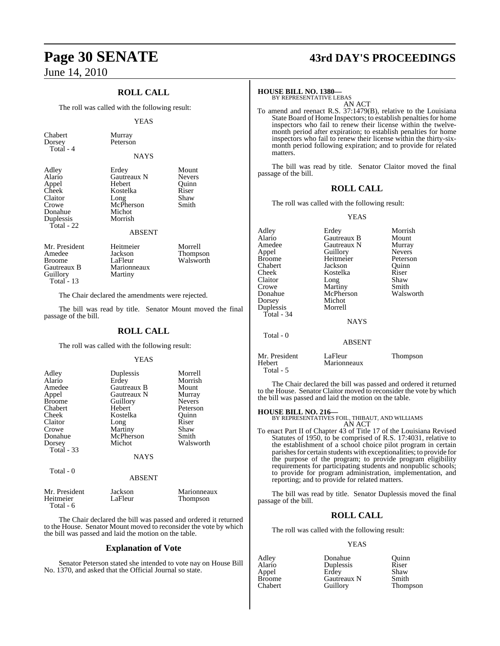## **ROLL CALL**

The roll was called with the following result:

Peterson

### YEAS

Chabert Murray<br>Dorsey Peterso Total - 4

Total - 6

| NAYS |
|------|
|      |

| Adley      | Erdey         | Mount         |
|------------|---------------|---------------|
| Alario     | Gautreaux N   | <b>Nevers</b> |
| Appel      | Hebert        | Ouinn         |
| Cheek      | Kostelka      | Riser         |
| Claitor    | Long          | Shaw          |
| Crowe      | McPherson     | Smith         |
| Donahue    | Michot        |               |
| Duplessis  | Morrish       |               |
| Total - 22 |               |               |
|            | <b>ABSENT</b> |               |
|            |               |               |

| Mr. President | Heitmeier   | Morrell   |
|---------------|-------------|-----------|
| Amedee        | Jackson     | Thompson  |
| <b>Broome</b> | LaFleur     | Walsworth |
| Gautreaux B   | Marionneaux |           |
| Guillory      | Martiny     |           |
| Total $-13$   |             |           |

The Chair declared the amendments were rejected.

The bill was read by title. Senator Mount moved the final passage of the bill.

### **ROLL CALL**

The roll was called with the following result:

### YEAS

| Adley             | Duplessis     | Morrell         |
|-------------------|---------------|-----------------|
| Alario            | Erdey         | Morrish         |
| Amedee            | Gautreaux B   | Mount           |
| Appel             | Gautreaux N   | Murray          |
| <b>Broome</b>     | Guillory      | <b>Nevers</b>   |
| Chabert           | Hebert        | Peterson        |
| Cheek             | Kostelka      | Quinn           |
| Claitor           | Long          | Riser           |
| Crowe             | Martiny       | Shaw            |
| Donahue           | McPherson     | Smith           |
| Dorsey            | Michot        | Walsworth       |
| <b>Total - 33</b> | <b>NAYS</b>   |                 |
| Total - 0         | <b>ABSENT</b> |                 |
| Mr. President     | Jackson       | Marionneaux     |
| Heitmeier         | LaFleur       | <b>Thompson</b> |

The Chair declared the bill was passed and ordered it returned to the House. Senator Mount moved to reconsider the vote by which the bill was passed and laid the motion on the table.

### **Explanation of Vote**

Senator Peterson stated she intended to vote nay on House Bill No. 1370, and asked that the Official Journal so state.

# **Page 30 SENATE 43rd DAY'S PROCEEDINGS**

### **HOUSE BILL NO. 1380—**

BY REPRESENTATIVE LEBAS AN ACT

To amend and reenact R.S. 37:1479(B), relative to the Louisiana State Board of Home Inspectors; to establish penalties for home inspectors who fail to renew their license within the twelvemonth period after expiration; to establish penalties for home inspectors who fail to renew their license within the thirty-sixmonth period following expiration; and to provide for related matters.

The bill was read by title. Senator Claitor moved the final passage of the bill.

### **ROLL CALL**

The roll was called with the following result:

YEAS

| Adley<br>Alario<br>Amedee<br>Appel<br><b>Broome</b><br>Chabert<br>Cheek<br>Claitor<br>Crowe<br>Donahue<br>Dorsey<br>Duplessis<br>Total - 34 | Erdey<br>Gautreaux B<br>Gautreaux N<br>Guillory<br>Heitmeier<br>Jackson<br>Kostelka<br>Long<br>Martiny<br>McPherson<br>Michot<br>Morrell<br><b>NAYS</b> | Morrish<br>Mount<br>Murray<br><b>Nevers</b><br>Peterson<br>Ouinn<br>Riser<br>Shaw<br>Smith<br>Walsworth |
|---------------------------------------------------------------------------------------------------------------------------------------------|---------------------------------------------------------------------------------------------------------------------------------------------------------|---------------------------------------------------------------------------------------------------------|
| Total - 0                                                                                                                                   | <b>ABSENT</b>                                                                                                                                           |                                                                                                         |
| Mr. President<br>Hebert                                                                                                                     | LaFleur<br>Marionneaux                                                                                                                                  | Thompson                                                                                                |

The Chair declared the bill was passed and ordered it returned to the House. Senator Claitor moved to reconsider the vote by which the bill was passed and laid the motion on the table.

Total - 5

**HOUSE BILL NO. 216—** BY REPRESENTATIVES FOIL, THIBAUT, AND WILLIAMS AN ACT

To enact Part II of Chapter 43 of Title 17 of the Louisiana Revised Statutes of 1950, to be comprised of R.S. 17:4031, relative to the establishment of a school choice pilot program in certain parishes for certain students with exceptionalities; to provide for the purpose of the program; to provide program eligibility requirements for participating students and nonpublic schools; to provide for program administration, implementation, and reporting; and to provide for related matters.

The bill was read by title. Senator Duplessis moved the final passage of the bill.

### **ROLL CALL**

The roll was called with the following result:

### YEAS

| Adley         | Donahue     | Ouinn    |
|---------------|-------------|----------|
| Alario        | Duplessis   | Riser    |
| Appel         | Erdev       | Shaw     |
| <b>Broome</b> | Gautreaux N | Smith    |
| Chabert       | Guillory    | Thompson |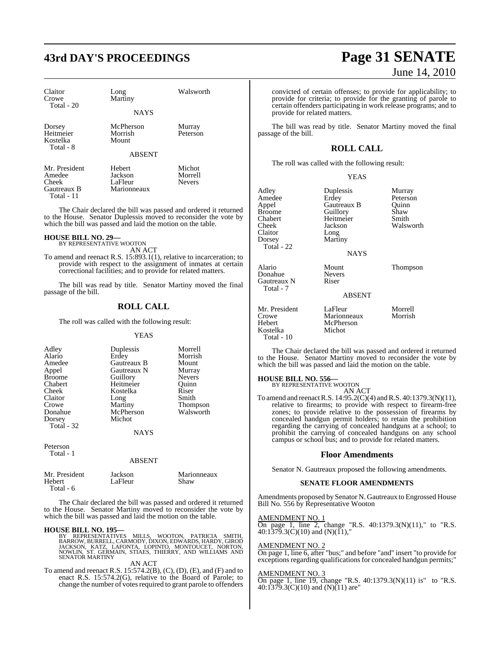# **43rd DAY'S PROCEEDINGS Page 31 SENATE**

| Claitor<br>Crowe<br>Total $-20$                               | Long<br>Martiny                             | Walsworth                          |
|---------------------------------------------------------------|---------------------------------------------|------------------------------------|
|                                                               | <b>NAYS</b>                                 |                                    |
| Dorsey<br>Heitmeier<br>Kostelka<br>Total - 8                  | McPherson<br>Morrish<br>Mount               | Murray<br>Peterson                 |
|                                                               | <b>ABSENT</b>                               |                                    |
| Mr. President<br>Amedee<br>Cheek<br>Gautreaux B<br>Total - 11 | Hebert<br>Jackson<br>LaFleur<br>Marionneaux | Michot<br>Morrell<br><b>Nevers</b> |

The Chair declared the bill was passed and ordered it returned to the House. Senator Duplessis moved to reconsider the vote by which the bill was passed and laid the motion on the table.

### **HOUSE BILL NO. 29—**

BY REPRESENTATIVE WOOTON AN ACT

To amend and reenact R.S. 15:893.1(1), relative to incarceration; to provide with respect to the assignment of inmates at certain correctional facilities; and to provide for related matters.

The bill was read by title. Senator Martiny moved the final passage of the bill.

### **ROLL CALL**

The roll was called with the following result:

### YEAS

| Adley<br>Alario<br>Amedee<br>Appel<br><b>Broome</b><br>Chabert<br>Cheek<br>Claitor<br>Crowe<br>Donahue<br>Dorsey | Duplessis<br>Erdey<br>Gautreaux B<br>Gautreaux N<br>Guillory<br>Heitmeier<br>Kostelka<br>Long<br>Martiny<br>McPherson<br>Michot | Morrell<br>Morrish<br>Mount<br>Murray<br><b>Nevers</b><br>Ouinn<br>Riser<br>Smith<br><b>Thompson</b><br>Walsworth |
|------------------------------------------------------------------------------------------------------------------|---------------------------------------------------------------------------------------------------------------------------------|-------------------------------------------------------------------------------------------------------------------|
| Total $-32$                                                                                                      | <b>NAYS</b>                                                                                                                     |                                                                                                                   |
| Peterson<br>Total - 1                                                                                            | ABSENT                                                                                                                          |                                                                                                                   |

| Mr. President | Jackson | Marionneaux |
|---------------|---------|-------------|
| Hebert        | LaFleur | Shaw        |
| Total - 6     |         |             |

The Chair declared the bill was passed and ordered it returned to the House. Senator Martiny moved to reconsider the vote by which the bill was passed and laid the motion on the table.

### **HOUSE BILL NO. 195—**

BY REPRESENTATIVES MILLS, WOOTON, PATRICIA SMITH,<br>BARROW,BURRELL,CARMODY,DIXON,EDWARDS,HARDY,GIROD<br>JACKSON, KATZ, LAFONTA, LOPINTO,MMONTOUCET,NORTON,<br>NOWLIN, ST. GERMAIN,STIAES,THIERRY,AND WILLIAMSAND<br>SENATORMARTINY

### AN ACT

To amend and reenact R.S. 15:574.2(B), (C), (D), (E), and (F) and to enact R.S. 15:574.2(G), relative to the Board of Parole; to change the number of votes required to grant parole to offenders

# June 14, 2010

convicted of certain offenses; to provide for applicability; to provide for criteria; to provide for the granting of parole to certain offenders participating in work release programs; and to provide for related matters.

The bill was read by title. Senator Martiny moved the final passage of the bill.

## **ROLL CALL**

The roll was called with the following result:

| v |
|---|
|---|

| Adley         | Duplessis   | Murray    |
|---------------|-------------|-----------|
| Amedee        | Erdey       | Peterson  |
| Appel         | Gautreaux B | Ouinn     |
| <b>Broome</b> | Guillory    | Shaw      |
| Chabert       | Heitmeier   | Smith     |
| Cheek         | Jackson     | Walsworth |
| Claitor       | Long        |           |
| Dorsey        | Martiny     |           |
| Total - 22    |             |           |
|               | <b>NAYS</b> |           |

**NAYS** 

Donahue Never<br>
Gautreaux N<br>
Riser ABSENT

McPherson<br>Michot

Alario Mount Thompson

Mr. President LaFleur Morrell<br>Crowe Marionneaux Morrish Crowe Marionneaux<br>
Hebert McPherson Kostelka Total - 10

Gautreaux N Total - 7

The Chair declared the bill was passed and ordered it returned to the House. Senator Martiny moved to reconsider the vote by which the bill was passed and laid the motion on the table.

**HOUSE BILL NO. 556—**

BY REPRESENTATIVE WOOTON

AN ACT To amend and reenactR.S. 14:95.2(C)(4) andR.S. 40:1379.3(N)(11), relative to firearms; to provide with respect to firearm-free zones; to provide relative to the possession of firearms by concealed handgun permit holders; to retain the prohibition regarding the carrying of concealed handguns at a school; to prohibit the carrying of concealed handguns on any school campus or school bus; and to provide for related matters.

### **Floor Amendments**

Senator N. Gautreaux proposed the following amendments.

### **SENATE FLOOR AMENDMENTS**

Amendments proposed by Senator N. Gautreaux to Engrossed House Bill No. 556 by Representative Wooton

### AMENDMENT NO. 1

On page 1, line 2, change "R.S. 40:1379.3(N)(11)," to "R.S. 40:1379.3(C)(10) and (N)(11),"

### AMENDMENT NO. 2

On page 1, line 6, after "bus;" and before "and" insert "to provide for exceptions regarding qualifications for concealed handgun permits;

### AMENDMENT NO. 3

On page 1, line 19, change "R.S. 40:1379.3(N)(11) is" to "R.S. 40:1379.3(C)(10) and (N)(11) are"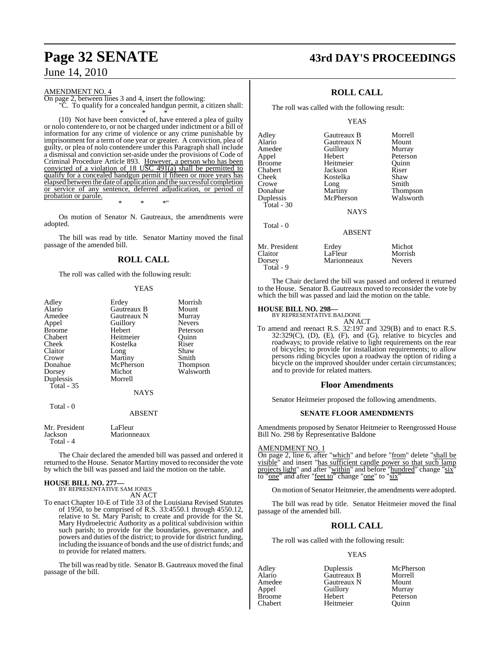### AMENDMENT NO. 4

On page 2, between lines 3 and 4, insert the following: "C. To qualify for a concealed handgun permit, a citizen shall:

\* \* \* (10) Not have been convicted of, have entered a plea of guilty or nolo contendere to, or not be charged under indictment or a bill of information for any crime of violence or any crime punishable by imprisonment for a term of one year or greater. A conviction, plea of guilty, or plea of nolo contendere under this Paragraph shall include a dismissal and conviction set-aside under the provisions of Code of Criminal Procedure Article 893. However, a person who has been convicted of a violation of 18 USC  $491(a)$  shall be permitted to qualify for a concealed handgun permit if fifteen or more years has elapsed between the date of application and the successful completion or service of any sentence, deferred adjudication, or period of probation or parole.

\* \* \*"

On motion of Senator N. Gautreaux, the amendments were adopted.

The bill was read by title. Senator Martiny moved the final passage of the amended bill.

## **ROLL CALL**

The roll was called with the following result:

### YEAS

| Adley<br>Alario<br>Amedee<br>Appel<br>Broome<br>Chabert<br>Cheek<br>Claitor<br>Crowe<br>Donahue<br>Dorsey<br>Duplessis<br>Total - 35 | Erdey<br>Gautreaux B<br>Gautreaux N<br>Guillory<br>Hebert<br>Heitmeier<br>Kostelka<br>Long<br>Martiny<br>McPherson<br>Michot<br>Morrell<br><b>NAYS</b> | Morrish<br>Mount<br>Murray<br><b>Nevers</b><br>Peterson<br>Quinn<br>Riser<br>Shaw<br>Smith<br>Thompson<br>Walsworth |
|--------------------------------------------------------------------------------------------------------------------------------------|--------------------------------------------------------------------------------------------------------------------------------------------------------|---------------------------------------------------------------------------------------------------------------------|
|                                                                                                                                      |                                                                                                                                                        |                                                                                                                     |
| Total - 0                                                                                                                            | <b>ABSENT</b>                                                                                                                                          |                                                                                                                     |
| Mr President                                                                                                                         | LaFleur                                                                                                                                                |                                                                                                                     |

| Mr. President | LaFleur     |
|---------------|-------------|
| Jackson       | Marionneaux |
| Total - 4     |             |

The Chair declared the amended bill was passed and ordered it returned to the House. Senator Martiny moved to reconsider the vote by which the bill was passed and laid the motion on the table.

# **HOUSE BILL NO. 277—** BY REPRESENTATIVE SAM JONES

AN ACT

To enact Chapter 10-E of Title 33 of the Louisiana Revised Statutes of 1950, to be comprised of R.S. 33:4550.1 through 4550.12, relative to St. Mary Parish; to create and provide for the St. Mary Hydroelectric Authority as a political subdivision within such parish; to provide for the boundaries, governance, and powers and duties of the district; to provide for district funding, including the issuance of bonds and the use of district funds; and to provide for related matters.

The bill was read by title. Senator B. Gautreaux moved the final passage of the bill.

# **Page 32 SENATE 43rd DAY'S PROCEEDINGS**

## **ROLL CALL**

The roll was called with the following result:

### YEAS

Adley Gautreaux B Morrell **Gautreaux N** Amedee Guillory Murray<br>Appel Hebert Peterso Appel Hebert Peterson Broome Heitmeier Quinn<br>
Chabert Jackson Riser Chabert Jackson Riser Cheek Kostelka Shaw<br>Crowe Long Smith Crowe Long<br>Donahue Martiny Donahue Martiny Thompson<br>
Duplessis McPherson Walsworth McPherson Total - 30 **NAYS**  Total - 0 ABSENT Mr. President Erdey Michot Claitor LaFleur Morrisl<br>Dorsey Marionneaux Nevers

The Chair declared the bill was passed and ordered it returned to the House. Senator B. Gautreaux moved to reconsider the vote by which the bill was passed and laid the motion on the table.

Marionneaux

# **HOUSE BILL NO. 298—** BY REPRESENTATIVE BALDONE

Total - 9

AN ACT

To amend and reenact R.S. 32:197 and 329(B) and to enact R.S.  $32:329(C)$ , (D), (E), (F), and (G), relative to bicycles and roadways; to provide relative to light requirements on the rear of bicycles; to provide for installation requirements; to allow persons riding bicycles upon a roadway the option of riding a bicycle on the improved shoulder under certain circumstances; and to provide for related matters.

### **Floor Amendments**

Senator Heitmeier proposed the following amendments.

### **SENATE FLOOR AMENDMENTS**

Amendments proposed by Senator Heitmeier to Reengrossed House Bill No. 298 by Representative Baldone

### AMENDMENT NO. 1

On page 2, line 6, after "which" and before "from" delete "shall be visible" and insert "has sufficient candle power so that such lamp projects light" and after "within" and before "hundred" change "six" to "one" and after "feet to" change "one" to "six"

On motion of Senator Heitmeier, the amendments were adopted.

The bill was read by title. Senator Heitmeier moved the final passage of the amended bill.

### **ROLL CALL**

The roll was called with the following result:

### YEAS

Appel Guillory<br>Broome Hebert

Alario Gautreaux B Morrell Amedee Gautreaux N Mount Broome Hebert Peterson<br>Chabert Heitmeier Ouinn Heitmeier

Adley Duplessis McPherson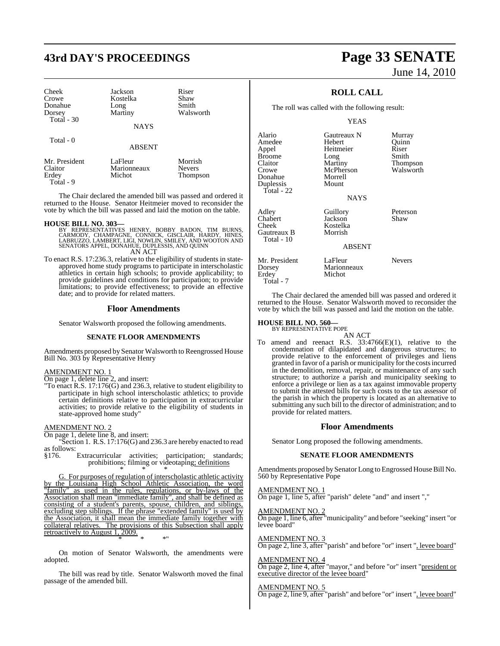# **43rd DAY'S PROCEEDINGS Page 33 SENATE**

| Cheek       | Jackson     | Riser     |
|-------------|-------------|-----------|
| Crowe       | Kostelka    | Shaw      |
| Donahue     | Long        | Smith     |
| Dorsey      | Martiny     | Walsworth |
| Total $-30$ |             |           |
|             | <b>NAYS</b> |           |

| Mr. President | LaFleur     | Morrish       |
|---------------|-------------|---------------|
| Claitor       | Marionneaux | <b>Nevers</b> |
| Erdey         | Michot      | Thompson      |
| Total - 9     |             |               |

The Chair declared the amended bill was passed and ordered it returned to the House. Senator Heitmeier moved to reconsider the vote by which the bill was passed and laid the motion on the table.

ABSENT

### **HOUSE BILL NO. 303—**

Total - 0

- BY REPRESENTATIVES HENRY, BOBBY BADON, TIM BURNS,<br>CARMODY, CHAMPAGNE, CONNICK, GISCLAIR, HARDY, HINES,<br>LABRUZZO, LAMBERT, LIGI, NOWLIN, SMILEY, AND WOOTON AND<br>SENATORS APPEL, DONAHUE, DUPLESSIS, AND QUINN AN ACT
- To enact R.S. 17:236.3, relative to the eligibility of students in stateapproved home study programs to participate in interscholastic athletics in certain high schools; to provide applicability; to provide guidelines and conditions for participation; to provide limitations; to provide effectiveness; to provide an effective date; and to provide for related matters.

### **Floor Amendments**

Senator Walsworth proposed the following amendments.

### **SENATE FLOOR AMENDMENTS**

Amendments proposed by Senator Walsworth to Reengrossed House Bill No. 303 by Representative Henry

### AMENDMENT NO. 1

On page 1, delete line 2, and insert:

"To enact R.S. 17:176(G) and 236.3, relative to student eligibility to participate in high school interscholastic athletics; to provide certain definitions relative to participation in extracurricular activities; to provide relative to the eligibility of students in state-approved home study"

### AMENDMENT NO. 2

On page 1, delete line 8, and insert:

"Section 1. R.S. 17:176(G) and 236.3 are hereby enacted to read as follows:<br>§176.

Extracurricular activities; participation; standards; prohibitions; filming or videotaping; definitions \* \* \*

G. For purposes of regulation of interscholastic athletic activity by the Louisiana High School Athletic Association, the word "family" as used in the rules, regulations, or by-laws of the Association shall mean "immediate family", and shall be defined as consisting of a student's parents, spouse, children, and siblings, excluding step siblings. If the phrase "extended family" is used by the Association, it shall mean the immediate family together with collateral relatives. The provisions of this Subsection shall apply retroactively to August 1, 2009. \* \* \*"

On motion of Senator Walsworth, the amendments were adopted.

The bill was read by title. Senator Walsworth moved the final passage of the amended bill.

# June 14, 2010

## **ROLL CALL**

The roll was called with the following result:

### YEAS

| Alario<br>Amedee<br>Appel<br>Broome<br>Claitor<br>Crowe<br>Donahue<br>Duplessis<br>Total - 22 | Gautreaux N<br>Hebert<br>Heitmeier<br>Long<br>Martiny<br>McPherson<br>Morrell<br>Mount<br><b>NAYS</b> | Murray<br>Quinn<br>Riser<br>Smith<br>Thompson<br>Walsworth |
|-----------------------------------------------------------------------------------------------|-------------------------------------------------------------------------------------------------------|------------------------------------------------------------|
| Adlev<br>Chabert<br>Cheek<br>Gautreaux B<br>Total - 10                                        | Guillory<br>Jackson<br>Kostelka<br>Morrish<br><b>ABSENT</b>                                           | Peterson<br>Shaw                                           |
| Mr. President<br>Dorsey<br>Erdey<br>Total - 7                                                 | LaFleur<br>Marionneaux<br>Michot                                                                      | <b>Nevers</b>                                              |

The Chair declared the amended bill was passed and ordered it returned to the House. Senator Walsworth moved to reconsider the vote by which the bill was passed and laid the motion on the table.

# **HOUSE BILL NO. 560—** BY REPRESENTATIVE POPE

AN ACT To amend and reenact R.S. 33:4766(E)(1), relative to the condemnation of dilapidated and dangerous structures; to provide relative to the enforcement of privileges and liens granted in favor of a parish or municipality for the costsincurred in the demolition, removal, repair, or maintenance of any such structure; to authorize a parish and municipality seeking to enforce a privilege or lien as a tax against immovable property to submit the attested bills for such costs to the tax assessor of the parish in which the property is located as an alternative to submitting any such bill to the director of administration; and to provide for related matters.

### **Floor Amendments**

Senator Long proposed the following amendments.

### **SENATE FLOOR AMENDMENTS**

Amendments proposed by Senator Long to Engrossed House Bill No. 560 by Representative Pope

AMENDMENT NO. 1 On page 1, line 5, after "parish" delete "and" and insert ","

AMENDMENT NO. 2 On page 1, line 6, after "municipality" and before "seeking" insert "or

levee board"

AMENDMENT NO. 3 On page 2, line 3, after "parish" and before "or" insert ", levee board"

AMENDMENT NO. 4 On page 2, line 4, after "mayor," and before "or" insert "president or executive director of the levee board"

### AMENDMENT NO. 5

On page 2, line 9, after "parish" and before "or" insert ", levee board"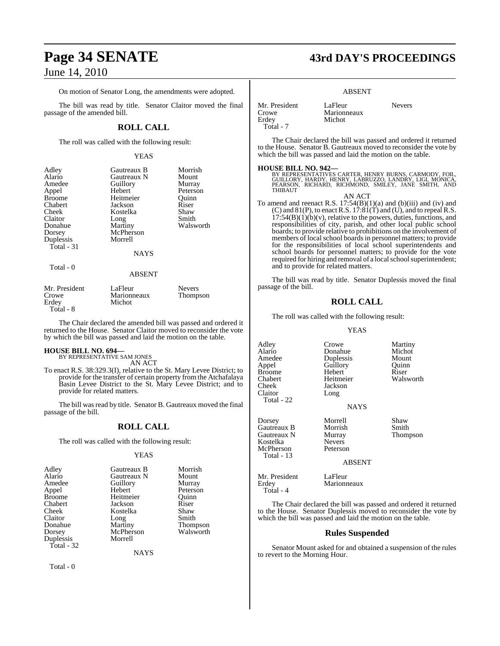On motion of Senator Long, the amendments were adopted.

The bill was read by title. Senator Claitor moved the final passage of the amended bill.

### **ROLL CALL**

The roll was called with the following result:

### YEAS

| Adley         | Gautreaux B   | Morrish   |
|---------------|---------------|-----------|
| Alario        | Gautreaux N   | Mount     |
| Amedee        | Guillory      | Murray    |
| Appel         | Hebert        | Peterson  |
| <b>Broome</b> | Heitmeier     | Ouinn     |
| Chabert       | Jackson       | Riser     |
| Cheek         | Kostelka      | Shaw      |
| Claitor       | Long          | Smith     |
| Donahue       | Martiny       | Walsworth |
| Dorsey        | McPherson     |           |
| Duplessis     | Morrell       |           |
| Total - 31    |               |           |
|               | <b>NAYS</b>   |           |
| Total - 0     |               |           |
|               | <b>ABSENT</b> |           |

| Mr. President | LaFleur     | <b>Nevers</b> |
|---------------|-------------|---------------|
| Crowe         | Marionneaux | Thompson      |
| Erdey         | Michot      |               |
| Total - 8     |             |               |

The Chair declared the amended bill was passed and ordered it returned to the House. Senator Claitor moved to reconsider the vote by which the bill was passed and laid the motion on the table.

# **HOUSE BILL NO. 694—** BY REPRESENTATIVE SAM JONES

AN ACT

To enact R.S. 38:329.3(I), relative to the St. Mary Levee District; to provide for the transfer of certain property from the Atchafalaya Basin Levee District to the St. Mary Levee District; and to provide for related matters.

The bill was read by title. Senator B. Gautreaux moved the final passage of the bill.

### **ROLL CALL**

The roll was called with the following result:

### YEAS

| Adley         | Gautreaux B | Morrish         |
|---------------|-------------|-----------------|
| Alario        | Gautreaux N | Mount           |
| Amedee        | Guillory    | Murray          |
| Appel         | Hebert      | Peterson        |
| <b>Broome</b> | Heitmeier   | Ouinn           |
| Chabert       | Jackson     | Riser           |
| Cheek         | Kostelka    | Shaw            |
| Claitor       | Long        | Smith           |
| Donahue       | Martiny     | <b>Thompson</b> |
| Dorsey        | McPherson   | Walsworth       |
| Duplessis     | Morrell     |                 |
| Total - 32    |             |                 |
|               |             |                 |

NAYS

Total - 0

# **Page 34 SENATE 43rd DAY'S PROCEEDINGS**

### ABSENT

Marionneaux Michot

| Mr. President |  |
|---------------|--|
| Crowe         |  |
| Erdey         |  |
| Total - 7     |  |

LaFleur Nevers

The Chair declared the bill was passed and ordered it returned to the House. Senator B. Gautreaux moved to reconsider the vote by which the bill was passed and laid the motion on the table.

**HOUSE BILL NO. 942—**<br>BY REPRESENTATIVES CARTER, HENRY BURNS, CARMODY, FOIL,<br>GUILLORY, HARDY, HENRY, LABRUZZO, LANDRY, LIGI, MONICA,<br>PEARSON, RICHARD, RICHMOND, SMILEY, JANE SMITH, AND **THIBAUT** 

AN ACT

To amend and reenact R.S.  $17:54(B)(1)(a)$  and  $(b)(iii)$  and  $(iv)$  and (C) and  $81(P)$ , to enact R.S.  $17:81(T)$  and (U), and to repeal R.S.  $17:54(B)(1)(b)(v)$ , relative to the powers, duties, functions, and responsibilities of city, parish, and other local public school boards; to provide relative to prohibitions on the involvement of members of local school boards in personnel matters; to provide for the responsibilities of local school superintendents and school boards for personnel matters; to provide for the vote required for hiring and removal of a local school superintendent; and to provide for related matters.

The bill was read by title. Senator Duplessis moved the final passage of the bill.

### **ROLL CALL**

The roll was called with the following result:

### YEAS

**Donahue** Michot<br> **Dunlessis** Mount

Guillory Quinn<br>
Hebert Riser

Adley Crowe Martiny<br>
Alario Donahue Michot Amedee Duplessis Mount<br>
Appel Guillory Quinn Broome Hebert<br>Chabert Heitmeier Chabert Heitmeier Walsworth<br>
Cheek Iackson Claitor Long Total - 22

Gautreaux N Murray<br>
Kostelka Nevers Kostelka McPherson Peterson Total - 13

Dorsey Morrell Shaw Gautreaux B Morrish Smith<br>Gautreaux N Murray Thompson

Jackson

### ABSENT

NAYS

Mr. President LaFleur<br>Erdey Marionn Marionneaux Total - 4

The Chair declared the bill was passed and ordered it returned to the House. Senator Duplessis moved to reconsider the vote by which the bill was passed and laid the motion on the table.

### **Rules Suspended**

Senator Mount asked for and obtained a suspension of the rules to revert to the Morning Hour.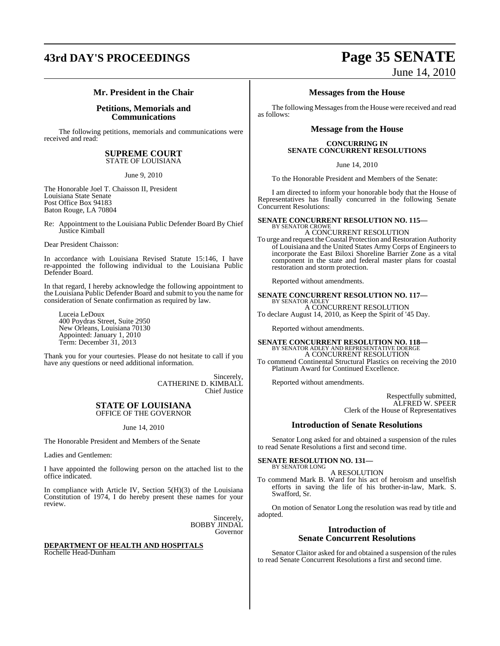# **43rd DAY'S PROCEEDINGS Page 35 SENATE**

# June 14, 2010

### **Mr. President in the Chair**

### **Petitions, Memorials and Communications**

The following petitions, memorials and communications were received and read:

### **SUPREME COURT** STATE OF LOUISIANA

June 9, 2010

The Honorable Joel T. Chaisson II, President Louisiana State Senate Post Office Box 94183 Baton Rouge, LA 70804

Re: Appointment to the Louisiana Public Defender Board By Chief Justice Kimball

Dear President Chaisson:

In accordance with Louisiana Revised Statute 15:146, I have re-appointed the following individual to the Louisiana Public Defender Board.

In that regard, I hereby acknowledge the following appointment to the Louisiana Public Defender Board and submit to you the name for consideration of Senate confirmation as required by law.

Luceia LeDoux 400 Poydras Street, Suite 2950 New Orleans, Louisiana 70130 Appointed: January 1, 2010 Term: December 31, 2013

Thank you for your courtesies. Please do not hesitate to call if you have any questions or need additional information.

> Sincerely, CATHERINE D. KIMBALL Chief Justice

### **STATE OF LOUISIANA** OFFICE OF THE GOVERNOR

### June 14, 2010

The Honorable President and Members of the Senate

Ladies and Gentlemen:

I have appointed the following person on the attached list to the office indicated.

In compliance with Article IV, Section  $5(H)(3)$  of the Louisiana Constitution of 1974, I do hereby present these names for your review.

> Sincerely, BOBBY JINDAL Governor

### **DEPARTMENT OF HEALTH AND HOSPITALS** Rochelle Head-Dunham

## **Messages from the House**

The following Messages from the House were received and read as follows:

### **Message from the House**

### **CONCURRING IN SENATE CONCURRENT RESOLUTIONS**

June 14, 2010

To the Honorable President and Members of the Senate:

I am directed to inform your honorable body that the House of Representatives has finally concurred in the following Senate Concurrent Resolutions:

### **SENATE CONCURRENT RESOLUTION NO. 115—** BY SENATOR CROWE

A CONCURRENT RESOLUTION To urge and request theCoastal Protection and Restoration Authority of Louisiana and the United States Army Corps of Engineers to incorporate the East Biloxi Shoreline Barrier Zone as a vital component in the state and federal master plans for coastal restoration and storm protection.

Reported without amendments.

**SENATE CONCURRENT RESOLUTION NO. 117—** BY SENATOR ADLEY A CONCURRENT RESOLUTION

To declare August 14, 2010, as Keep the Spirit of '45 Day.

Reported without amendments.

### **SENATE CONCURRENT RESOLUTION NO. 118—**

BY SENATOR ADLEY AND REPRESENTATIVE DOERGE A CONCURRENT RESOLUTION To commend Continental Structural Plastics on receiving the 2010 Platinum Award for Continued Excellence.

Reported without amendments.

Respectfully submitted, ALFRED W. SPEER Clerk of the House of Representatives

### **Introduction of Senate Resolutions**

Senator Long asked for and obtained a suspension of the rules to read Senate Resolutions a first and second time.

**SENATE RESOLUTION NO. 131—** BY SENATOR LONG

### A RESOLUTION

To commend Mark B. Ward for his act of heroism and unselfish efforts in saving the life of his brother-in-law, Mark. S. Swafford, Sr.

On motion of Senator Long the resolution was read by title and adopted.

### **Introduction of Senate Concurrent Resolutions**

Senator Claitor asked for and obtained a suspension of the rules to read Senate Concurrent Resolutions a first and second time.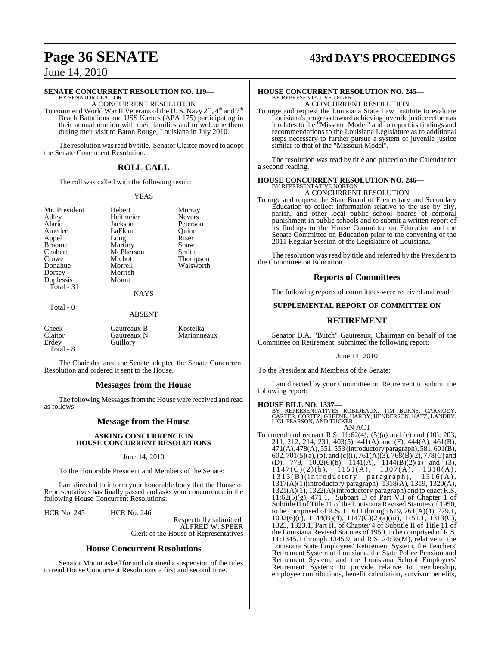# **Page 36 SENATE 43rd DAY'S PROCEEDINGS**

## June 14, 2010

### **SENATE CONCURRENT RESOLUTION NO. 119—**

BY SENATOR CLAITOR A CONCURRENT RESOLUTION

To commend World War II Veterans of the U.S. Navy  $2^{\text{nd}}$ ,  $4^{\text{th}}$  and  $7^{\text{th}}$ Beach Battalions and USS Karnes (APA 175) participating in their annual reunion with their families and to welcome them during their visit to Baton Rouge, Louisiana in July 2010.

The resolution was read by title. Senator Claitor moved to adopt the Senate Concurrent Resolution.

### **ROLL CALL**

The roll was called with the following result:

### YEAS

Mr. President Hebert Murray<br>Adley Heitmeier Nevers Adley Heitmeier<br>Alario Jackson Appel Long Riser<br>Broome Martiny Shaw Broome Martiny Shaw<br>
Chabert McPherson Smith Chabert McPherson<br>
Crowe Michot Dorsey Morris<br>
Dunlessis Mount Duplessis

LaFleur

Alario Jackson Peterson Crowe Michot Thompson<br>
Donahue Morrell Walsworth Morrell Walsworth<br>Morrish

NAYS

### Total - 0

Total - 31

### ABSENT

| Cheek     | Gautreaux B | Kostelka    |
|-----------|-------------|-------------|
| Claitor   | Gautreaux N | Marionneaux |
| Erdey     | Guillory    |             |
| Total - 8 |             |             |

The Chair declared the Senate adopted the Senate Concurrent Resolution and ordered it sent to the House.

### **Messages from the House**

The following Messages from the House were received and read as follows:

### **Message from the House**

### **ASKING CONCURRENCE IN HOUSE CONCURRENT RESOLUTIONS**

June 14, 2010

To the Honorable President and Members of the Senate:

I am directed to inform your honorable body that the House of Representatives has finally passed and asks your concurrence in the following House Concurrent Resolutions:

HCR No. 245 HCR No. 246

Respectfully submitted, ALFRED W. SPEER Clerk of the House of Representatives

### **House Concurrent Resolutions**

Senator Mount asked for and obtained a suspension of the rules to read House Concurrent Resolutions a first and second time.

## **HOUSE CONCURRENT RESOLUTION NO. 245—** BY REPRESENTATIVE LEGER A CONCURRENT RESOLUTION

To urge and request the Louisiana State Law Institute to evaluate Louisiana's progresstoward achieving juvenile justice reformas it relates to the "Missouri Model" and to report its findings and recommendations to the Louisiana Legislature as to additional steps necessary to further pursue a system of juvenile justice similar to that of the "Missouri Model".

The resolution was read by title and placed on the Calendar for a second reading.

### **HOUSE CONCURRENT RESOLUTION NO. 246—** BY REPRESENTATIVE NORTON A CONCURRENT RESOLUTION

To urge and request the State Board of Elementary and Secondary Education to collect information relative to the use by city, parish, and other local public school boards of corporal punishment in public schools and to submit a written report of its findings to the House Committee on Education and the Senate Committee on Education prior to the convening of the 2011 Regular Session of the Legislature of Louisiana.

The resolution was read by title and referred by the President to the Committee on Education.

### **Reports of Committees**

The following reports of committees were received and read:

### **SUPPLEMENTAL REPORT OF COMMITTEE ON**

### **RETIREMENT**

Senator D.A. "Butch" Gautreaux, Chairman on behalf of the Committee on Retirement, submitted the following report:

June 14, 2010

To the President and Members of the Senate:

I am directed by your Committee on Retirement to submit the following report:

### **HOUSE BILL NO. 1337—**

BY REPRESENTATIVES ROBIDEAUX, TIM BURNS, CARMODY, CARTER, CORTEZ, GREENE, HARDY, HENDERSON, KATZ, LANDRY, LIGI, PEARSON, AND TUCKER AN ACT

To amend and reenact R.S. 11:62(4), (5)(a) and (c) and (10), 203, 211, 212, 214, 231, 403(5), 441(A) and (F), 444(A), 461(B), 471(A), 478(A), 551, 553 (introductory paragraph), 581, 601(B), 602, 701(5)(a),(b), and (c)(i), 761(A)(3), 768(B)(2), 778(C) and (D), 779, 1002(6)(b), 1141(A), 1144(B)(2)(a) and (3),  $1147(C)(2)(b)$ ,  $1151(A)$ ,  $1307(A)$ ,  $1310(A)$ , 1313(B)(introductory paragraph), 1316(A), 1317(A)(1)(introductory paragraph), 1318(A), 1319, 1320(A), 1321(A)(1), 1322(A)(introductory paragraph) and to enact R.S.  $11:62(5)(g)$ , 471.1, Subpart D of Part VII of Chapter 1 of Subtitle II of Title 11 of the Louisiana Revised Statutes of 1950, to be comprised of R.S. 11:611 through 619, 761(A)(4), 779.1, 1002(6)(c), 1144(B)(4), 1147(C)(2)(a)(iii), 1151.1, 1313(C), 1323, 1323.1, Part III of Chapter 4 of Subtitle II of Title 11 of the Louisiana Revised Statutes of 1950, to be comprised of R.S. 11:1345.1 through 1345.9, and R.S. 24:36(M), relative to the Louisiana State Employees' Retirement System, the Teachers' Retirement System of Louisiana, the State Police Pension and Retirement System, and the Louisiana School Employees' Retirement System; to provide relative to membership, employee contributions, benefit calculation, survivor benefits,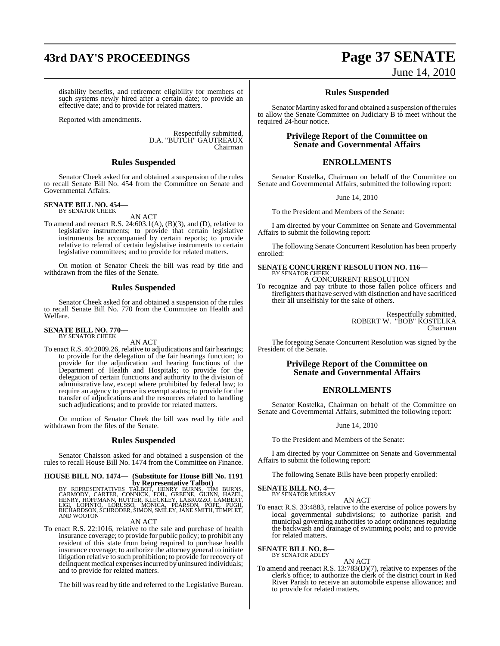# **43rd DAY'S PROCEEDINGS Page 37 SENATE**

disability benefits, and retirement eligibility for members of such systems newly hired after a certain date; to provide an effective date; and to provide for related matters.

Reported with amendments.

Respectfully submitted, D.A. "BUTCH" GAUTREAUX Chairman

### **Rules Suspended**

Senator Cheek asked for and obtained a suspension of the rules to recall Senate Bill No. 454 from the Committee on Senate and Governmental Affairs.

### **SENATE BILL NO. 454—** BY SENATOR CHEEK

AN ACT

To amend and reenact R.S.  $24:603.1(A)$ ,  $(B)(3)$ , and  $(D)$ , relative to legislative instruments; to provide that certain legislative instruments be accompanied by certain reports; to provide relative to referral of certain legislative instruments to certain legislative committees; and to provide for related matters.

On motion of Senator Cheek the bill was read by title and withdrawn from the files of the Senate.

### **Rules Suspended**

Senator Cheek asked for and obtained a suspension of the rules to recall Senate Bill No. 770 from the Committee on Health and Welfare.

### **SENATE BILL NO. 770—** BY SENATOR CHEEK

AN ACT

To enact R.S. 40:2009.26, relative to adjudications and fair hearings; to provide for the delegation of the fair hearings function; to provide for the adjudication and hearing functions of the Department of Health and Hospitals; to provide for the delegation of certain functions and authority to the division of administrative law, except where prohibited by federal law; to require an agency to prove its exempt status; to provide for the transfer of adjudications and the resources related to handling such adjudications; and to provide for related matters.

On motion of Senator Cheek the bill was read by title and withdrawn from the files of the Senate.

### **Rules Suspended**

Senator Chaisson asked for and obtained a suspension of the rules to recall House Bill No. 1474 from the Committee on Finance.

## **HOUSE BILL NO. 1474— (Substitute for House Bill No. 1191**

**by Representative Talbot)**<br>BY REPRESENTATIVES TALBOT, HENRY BURNS, TIM BURNS,<br>CARMODY, CARTER, CONNICK, FOIL, GREENE, GUINN, HAZEL,<br>HENRY, HOFFMANN, HUTTER, KLECKLEY, LABRUZZO, LAMBERT,<br>RICHARDSON, SCHRODER, SIMON, SMILEY

### AN ACT

To enact R.S. 22:1016, relative to the sale and purchase of health insurance coverage; to provide for public policy; to prohibit any resident of this state from being required to purchase health insurance coverage; to authorize the attorney general to initiate litigation relative to such prohibition; to provide for recovery of delinquent medical expenses incurred by uninsured individuals; and to provide for related matters.

The bill was read by title and referred to the Legislative Bureau.

# June 14, 2010

### **Rules Suspended**

Senator Martiny asked for and obtained a suspension of the rules to allow the Senate Committee on Judiciary B to meet without the required 24-hour notice.

### **Privilege Report of the Committee on Senate and Governmental Affairs**

### **ENROLLMENTS**

Senator Kostelka, Chairman on behalf of the Committee on Senate and Governmental Affairs, submitted the following report:

June 14, 2010

To the President and Members of the Senate:

I am directed by your Committee on Senate and Governmental Affairs to submit the following report:

The following Senate Concurrent Resolution has been properly enrolled:

# **SENATE CONCURRENT RESOLUTION NO. 116—** BY SENATOR CHEEK

A CONCURRENT RESOLUTION

To recognize and pay tribute to those fallen police officers and firefighters that have served with distinction and have sacrificed their all unselfishly for the sake of others.

> Respectfully submitted, ROBERT W. "BOB" KOSTELKA Chairman

The foregoing Senate Concurrent Resolution was signed by the President of the Senate.

### **Privilege Report of the Committee on Senate and Governmental Affairs**

### **ENROLLMENTS**

Senator Kostelka, Chairman on behalf of the Committee on Senate and Governmental Affairs, submitted the following report:

June 14, 2010

To the President and Members of the Senate:

I am directed by your Committee on Senate and Governmental Affairs to submit the following report:

The following Senate Bills have been properly enrolled:

**SENATE BILL NO. 4—** BY SENATOR MURRAY

AN ACT

To enact R.S. 33:4883, relative to the exercise of police powers by local governmental subdivisions; to authorize parish and municipal governing authorities to adopt ordinances regulating the backwash and drainage of swimming pools; and to provide for related matters.

**SENATE BILL NO. 8—** BY SENATOR ADLEY

AN ACT

To amend and reenact R.S. 13:783(D)(7), relative to expenses of the clerk's office; to authorize the clerk of the district court in Red River Parish to receive an automobile expense allowance; and to provide for related matters.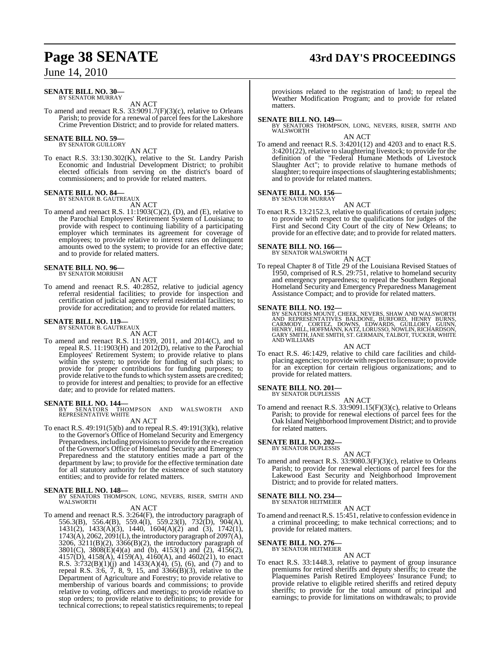# **Page 38 SENATE 43rd DAY'S PROCEEDINGS**

## June 14, 2010

### **SENATE BILL NO. 30—** BY SENATOR MURRAY

AN ACT

To amend and reenact R.S. 33:9091.7(F)(3)(c), relative to Orleans Parish; to provide for a renewal of parcel fees for the Lakeshore Crime Prevention District; and to provide for related matters.

# **SENATE BILL NO. 59—**<br>BY SENATOR GUILLORY

AN ACT

To enact R.S. 33:130.302(K), relative to the St. Landry Parish Economic and Industrial Development District; to prohibit elected officials from serving on the district's board of commissioners; and to provide for related matters.

# **SENATE BILL NO. 84—** BY SENATOR B. GAUTREAUX

AN ACT

To amend and reenact R.S. 11:1903(C)(2), (D), and (E), relative to the Parochial Employees' Retirement System of Louisiana; to provide with respect to continuing liability of a participating employer which terminates its agreement for coverage of employees; to provide relative to interest rates on delinquent amounts owed to the system; to provide for an effective date; and to provide for related matters.

# **SENATE BILL NO. 96—** BY SENATOR MORRISH

AN ACT To amend and reenact R.S. 40:2852, relative to judicial agency referral residential facilities; to provide for inspection and certification of judicial agency referral residential facilities; to provide for accreditation; and to provide for related matters.

# **SENATE BILL NO. 119—** BY SENATOR B. GAUTREAUX

AN ACT

To amend and reenact R.S. 11:1939, 2011, and 2014(C), and to repeal R.S. 11:1903(H) and 2012(D), relative to the Parochial Employees' Retirement System; to provide relative to plans within the system; to provide for funding of such plans; to provide for proper contributions for funding purposes; to provide relative to the funds to which system assets are credited; to provide for interest and penalties; to provide for an effective date; and to provide for related matters.

**SENATE BILL NO. 144—**<br>BY SENATORS THOMPSON AND WALSWORTH AND<br>REPRESENTATIVE WHITE AN ACT

To enact R.S. 49:191(5)(b) and to repeal R.S. 49:191(3)(k), relative to the Governor's Office of Homeland Security and Emergency Preparedness, including provisions to provide for the re-creation of the Governor's Office of Homeland Security and Emergency Preparedness and the statutory entities made a part of the department by law; to provide for the effective termination date for all statutory authority for the existence of such statutory entities; and to provide for related matters.

### **SENATE BILL NO. 148—**

BY SENATORS THOMPSON, LONG, NEVERS, RISER, SMITH AND WALSWORTH

AN ACT

To amend and reenact R.S. 3:264(F), the introductory paragraph of 556.3(B), 556.4(B), 559.4(I), 559.23(I), 732(D), 904(A), 1431(2), 1433(A)(3), 1440, 1604(A)(2) and (3), 1742(1), 1743(A), 2062, 2091(L), the introductory paragraph of 2097(A), 3206, 3211(B)(2), 3366(B)(2), the introductory paragraph of 3801(C), 3808(E)(4)(a) and (b), 4153(1) and (2), 4156(2), 4157(D), 4158(A), 4159(A), 4160(A), and 4602(21), to enact R.S.  $3:732(B)(1)(j)$  and  $1433(A)(4)$ , (5), (6), and (7) and to repeal R.S. 3:6, 7, 8, 9, 15, and 3366(B)(3), relative to the Department of Agriculture and Forestry; to provide relative to membership of various boards and commissions; to provide relative to voting, officers and meetings; to provide relative to stop orders; to provide relative to definitions; to provide for technical corrections; to repeal statistics requirements; to repeal

provisions related to the registration of land; to repeal the Weather Modification Program; and to provide for related matters.

**SENATE BILL NO. 149—** BY SENATORS THOMPSON, LONG, NEVERS, RISER, SMITH AND WALSWORTH

### AN ACT

To amend and reenact R.S. 3:4201(12) and 4203 and to enact R.S. 3:4201(22), relative to slaughtering livestock; to provide for the definition of the "Federal Humane Methods of Livestock Slaughter Act"; to provide relative to humane methods of slaughter; to require inspections of slaughtering establishments; and to provide for related matters.

### **SENATE BILL NO. 156—** BY SENATOR MURRAY

AN ACT

To enact R.S. 13:2152.3, relative to qualifications of certain judges; to provide with respect to the qualifications for judges of the First and Second City Court of the city of New Orleans; to provide for an effective date; and to provide for related matters.

# **SENATE BILL NO. 166—** BY SENATOR WALSWORTH

AN ACT To repeal Chapter 8 of Title 29 of the Louisiana Revised Statues of 1950, comprised of R.S. 29:751, relative to homeland security and emergency preparedness; to repeal the Southern Regional Homeland Security and Emergency Preparedness Management Assistance Compact; and to provide for related matters.

### **SENATE BILL NO. 192—**

BY SENATORS MOUNT, CHEEK, NEVERS, SHAW AND WALSWORTH<br>AND REPRESENTATIVES BALDONE, BURFORD, HENRY BURNS,<br>CARMODY, CORTEZ, DOWNS, EDWARDS, GUILLORY, GUINN,<br>HENRY, HILL, HOFFMANN, KATZ, LORUSSO, NOWLIN, RICHARDSON,<br>GARY SMITH AND WILLIAMS

### AN ACT

To enact R.S. 46:1429, relative to child care facilities and childplacing agencies; to provide with respect to licensure; to provide for an exception for certain religious organizations; and to provide for related matters.

# **SENATE BILL NO. 201—** BY SENATOR DUPLESSIS

AN ACT

To amend and reenact R.S. 33:9091.15(F)(3)(c), relative to Orleans Parish; to provide for renewal elections of parcel fees for the Oak Island Neighborhood Improvement District; and to provide for related matters.

# **SENATE BILL NO. 202—** BY SENATOR DUPLESSIS

AN ACT To amend and reenact R.S. 33:9080.3(F)(3)(c), relative to Orleans Parish; to provide for renewal elections of parcel fees for the Lakewood East Security and Neighborhood Improvement District; and to provide for related matters.

# **SENATE BILL NO. 234—** BY SENATOR HEITMEIER

AN ACT

To amend and reenact R.S. 15:451, relative to confession evidence in a criminal proceeding; to make technical corrections; and to provide for related matters.

# **SENATE BILL NO. 276—** BY SENATOR HEITMEIER

AN ACT

To enact R.S. 33:1448.3, relative to payment of group insurance premiums for retired sheriffs and deputy sheriffs; to create the Plaquemines Parish Retired Employees' Insurance Fund; to provide relative to eligible retired sheriffs and retired deputy sheriffs; to provide for the total amount of principal and earnings; to provide for limitations on withdrawals; to provide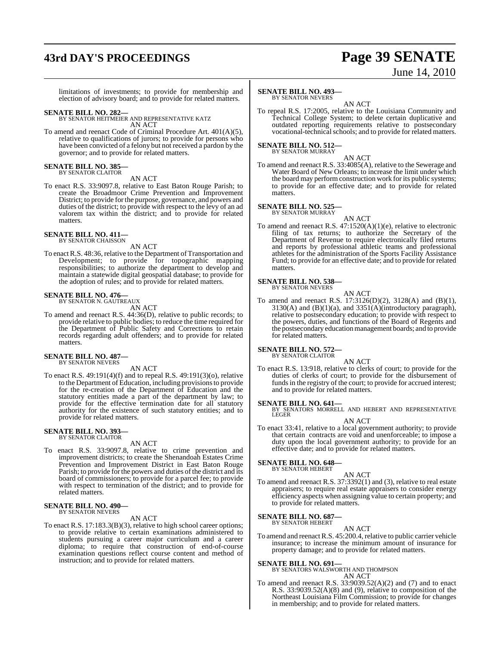# **43rd DAY'S PROCEEDINGS Page 39 SENATE**

# June 14, 2010

limitations of investments; to provide for membership and election of advisory board; and to provide for related matters.

**SENATE BILL NO. 282—** BY SENATOR HEITMEIER AND REPRESENTATIVE KATZ AN ACT

To amend and reenact Code of Criminal Procedure Art. 401(A)(5), relative to qualifications of jurors; to provide for persons who have been convicted of a felony but not received a pardon by the governor; and to provide for related matters.

### **SENATE BILL NO. 385—** BY SENATOR CLAITOR

AN ACT

To enact R.S. 33:9097.8, relative to East Baton Rouge Parish; to create the Broadmoor Crime Prevention and Improvement District; to provide for the purpose, governance, and powers and duties of the district; to provide with respect to the levy of an ad valorem tax within the district; and to provide for related matters.

### **SENATE BILL NO. 411—** BY SENATOR CHAISSON

AN ACT

To enact R.S. 48:36, relative to the Department of Transportation and Development; to provide for topographic mapping responsibilities; to authorize the department to develop and maintain a statewide digital geospatial database; to provide for the adoption of rules; and to provide for related matters.

# **SENATE BILL NO. 476—** BY SENATOR N. GAUTREAUX

AN ACT

To amend and reenact R.S. 44:36(D), relative to public records; to provide relative to public bodies; to reduce the time required for the Department of Public Safety and Corrections to retain records regarding adult offenders; and to provide for related matters.

# **SENATE BILL NO. 487—** BY SENATOR NEVERS

AN ACT

To enact R.S. 49:191(4)(f) and to repeal R.S. 49:191(3)(o), relative to the Department of Education, including provisionsto provide for the re-creation of the Department of Education and the statutory entities made a part of the department by law; to provide for the effective termination date for all statutory authority for the existence of such statutory entities; and to provide for related matters.

### **SENATE BILL NO. 393** BY SENATOR CLAITOR

### AN ACT

To enact R.S. 33:9097.8, relative to crime prevention and improvement districts; to create the Shenandoah Estates Crime Prevention and Improvement District in East Baton Rouge Parish; to provide for the powers and duties of the district and its board of commissioners; to provide for a parcel fee; to provide with respect to termination of the district; and to provide for related matters.

### **SENATE BILL NO. 490—** BY SENATOR NEVERS

AN ACT

To enact R.S. 17:183.3(B)(3), relative to high school career options; to provide relative to certain examinations administered to students pursuing a career major curriculum and a career diploma; to require that construction of end-of-course examination questions reflect course content and method of instruction; and to provide for related matters.

### **SENATE BILL NO. 493—**

BY SENATOR NEVERS AN ACT

To repeal R.S. 17:2005, relative to the Louisiana Community and Technical College System; to delete certain duplicative and outdated reporting requirements relative to postsecondary vocational-technical schools; and to provide for related matters.

### **SENATE BILL NO. 512—** BY SENATOR MURRAY

AN ACT To amend and reenact R.S. 33:4085(A), relative to the Sewerage and Water Board of New Orleans; to increase the limit under which the board may perform construction work for its public systems; to provide for an effective date; and to provide for related matters.

### **SENATE BILL NO. 525**

- BY SENATOR MURRAY
- AN ACT To amend and reenact R.S. 47:1520(A)(1)(e), relative to electronic filing of tax returns; to authorize the Secretary of the Department of Revenue to require electronically filed returns and reports by professional athletic teams and professional athletes for the administration of the Sports Facility Assistance Fund; to provide for an effective date; and to provide for related matters.

### **SENATE BILL NO. 538—** BY SENATOR NEVERS

AN ACT

To amend and reenact R.S. 17:3126(D)(2), 3128(A) and (B)(1), 3130(A) and  $(B)(1)(a)$ , and  $3351(A)(introductory paragraph),$ relative to postsecondary education; to provide with respect to the powers, duties, and functions of the Board of Regents and the postsecondary education management boards; and to provide for related matters.

# **SENATE BILL NO. 572—** BY SENATOR CLAITOR

AN ACT

To enact R.S. 13:918, relative to clerks of court; to provide for the duties of clerks of court; to provide for the disbursement of funds in the registry of the court; to provide for accrued interest; and to provide for related matters.

**SENATE BILL NO. 641—**<br>BY SENATORS MORRELL AND HEBERT AND REPRESENTATIVE<br>LEGER

- AN ACT
- To enact 33:41, relative to a local government authority; to provide that certain contracts are void and unenforceable; to impose a duty upon the local government authority; to provide for an effective date; and to provide for related matters.

### **SENATE BILL NO. 648—**

BY SENATOR HEBERT

AN ACT To amend and reenact R.S. 37:3392(1) and (3), relative to real estate appraisers; to require real estate appraisers to consider energy efficiency aspects when assigning value to certain property; and to provide for related matters.

**SENATE BILL NO. 687** BY SENATOR HEBERT

AN ACT

To amend and reenactR.S. 45:200.4, relative to public carrier vehicle insurance; to increase the minimum amount of insurance for property damage; and to provide for related matters.

**SENATE BILL NO. 691—** BY SENATORS WALSWORTH AND THOMPSON

- AN ACT
- To amend and reenact R.S.  $33:9039.52(A)(2)$  and (7) and to enact R.S. 33:9039.52(A)(8) and (9), relative to composition of the Northeast Louisiana Film Commission; to provide for changes in membership; and to provide for related matters.